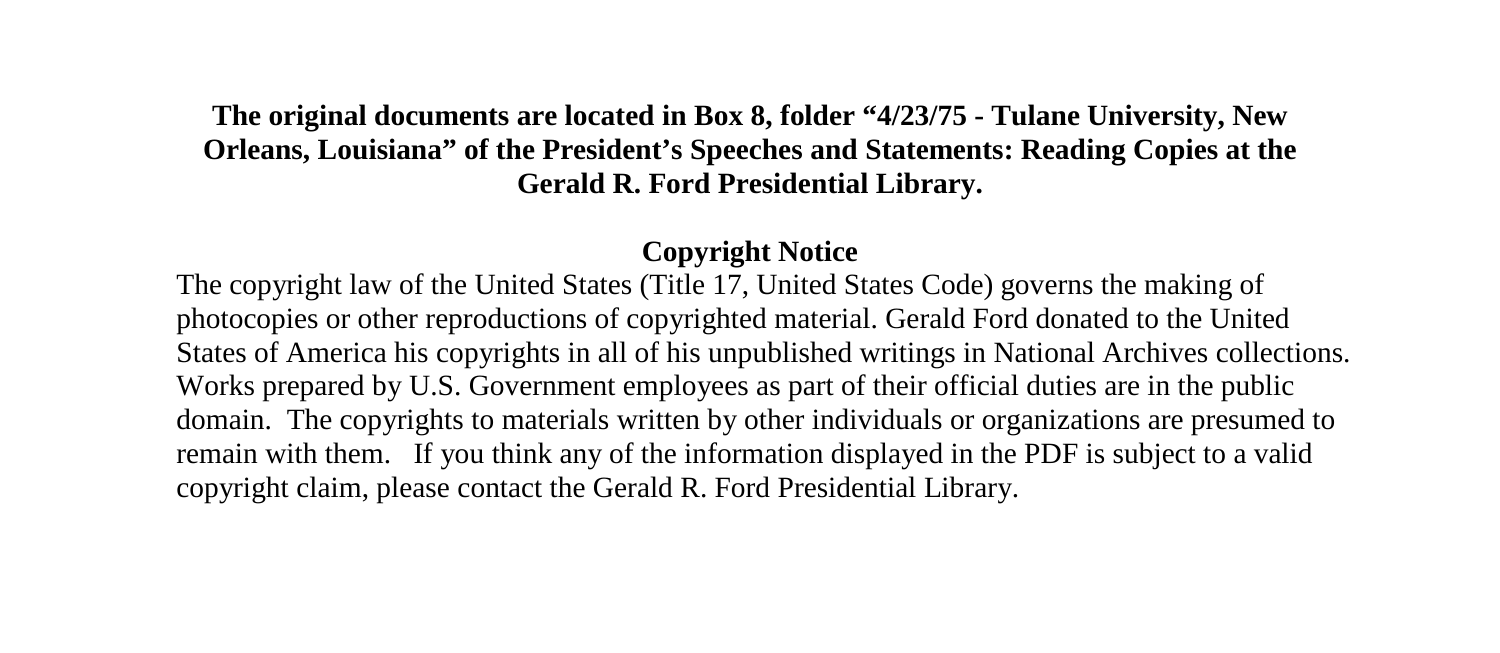#### **The original documents are located in Box 8, folder "4/23/75 - Tulane University, New Orleans, Louisiana" of the President's Speeches and Statements: Reading Copies at the Gerald R. Ford Presidential Library.**

#### **Copyright Notice**

The copyright law of the United States (Title 17, United States Code) governs the making of photocopies or other reproductions of copyrighted material. Gerald Ford donated to the United States of America his copyrights in all of his unpublished writings in National Archives collections. Works prepared by U.S. Government employees as part of their official duties are in the public domain. The copyrights to materials written by other individuals or organizations are presumed to remain with them. If you think any of the information displayed in the PDF is subject to a valid copyright claim, please contact the Gerald R. Ford Presidential Library.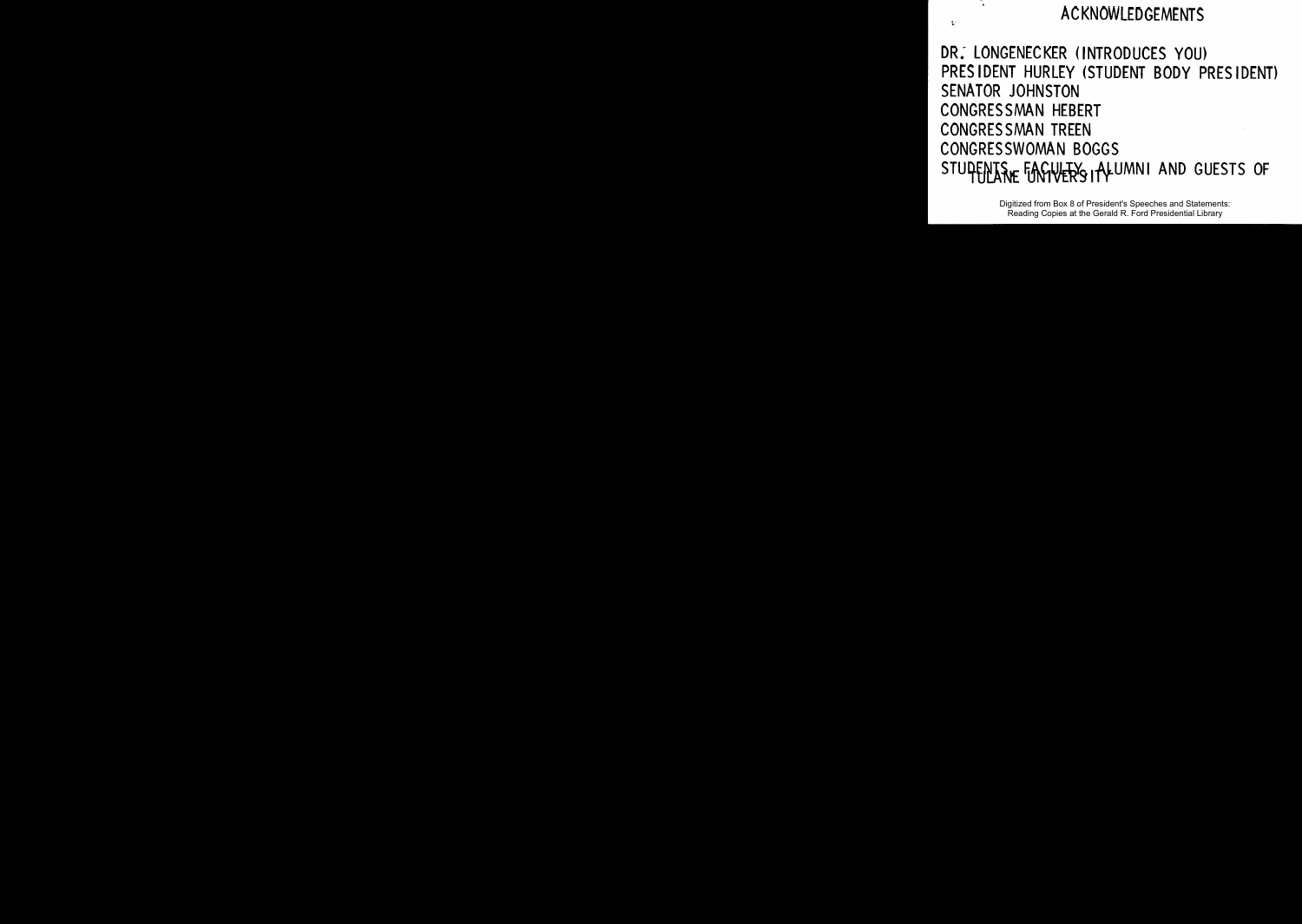#### ACKNOWLEDGEMENTS

DR.- LONGENECKER (INTRODUCES YOU) PRES IDENT HURLEY (STUDENT BODY PRES IDENT) SENATOR JOHNSTON CONGRESSMAN HEBERT CONGRESSMAN TREEN CONGRESSWOMAN BOGGS STUPENTS FINGUER'S I ALUMNI AND GUESTS OF

> Digitized from Box 8 of President's Speeches and Statements: Reading Copies at the Gerald R. Ford Presidential Library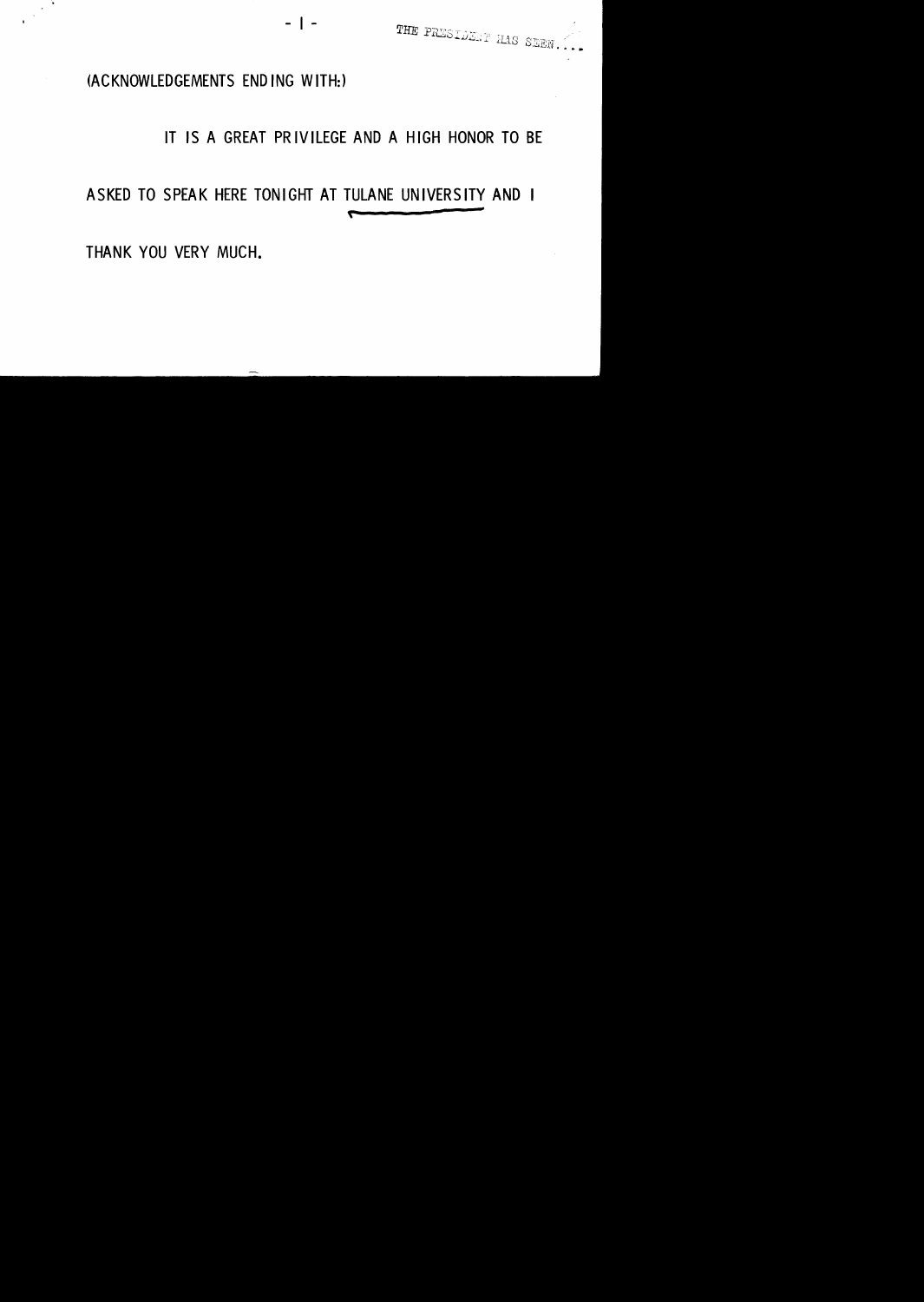

#### (ACKNOWLEDGEMENTS END lNG WITH:)

#### IT IS A GREAT PRIVILEGE AND A HIGH HONOR TO BE

#### ASKED TO SPEAK HERE TONIGHT AT TULANE UNIVERSITY AND I

- I -

THANK YOU VERY MUCH.

-.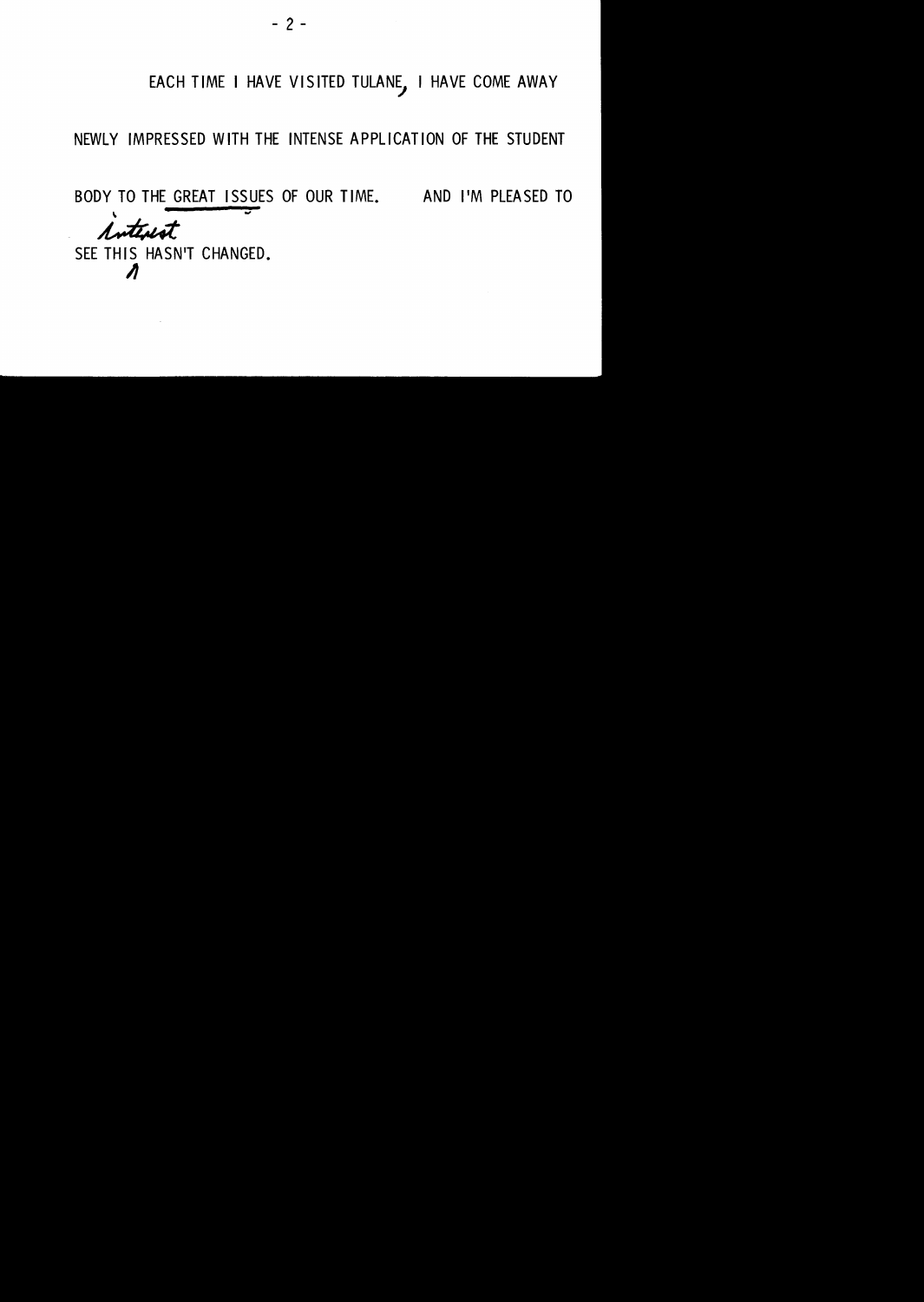#### EACH TIME I HAVE VISITED TULANE, I HAVE COME AWAY

#### NEWLY IMPRESSED WITH THE INTENSE APPLICATION OF THE STUDENT

BODY TO THE GREAT ISSUES OF OUR TIME. AND I'M PLEASED TO

SEE THIS HASN'T CHANGED. TO THE GREAT ISSUES A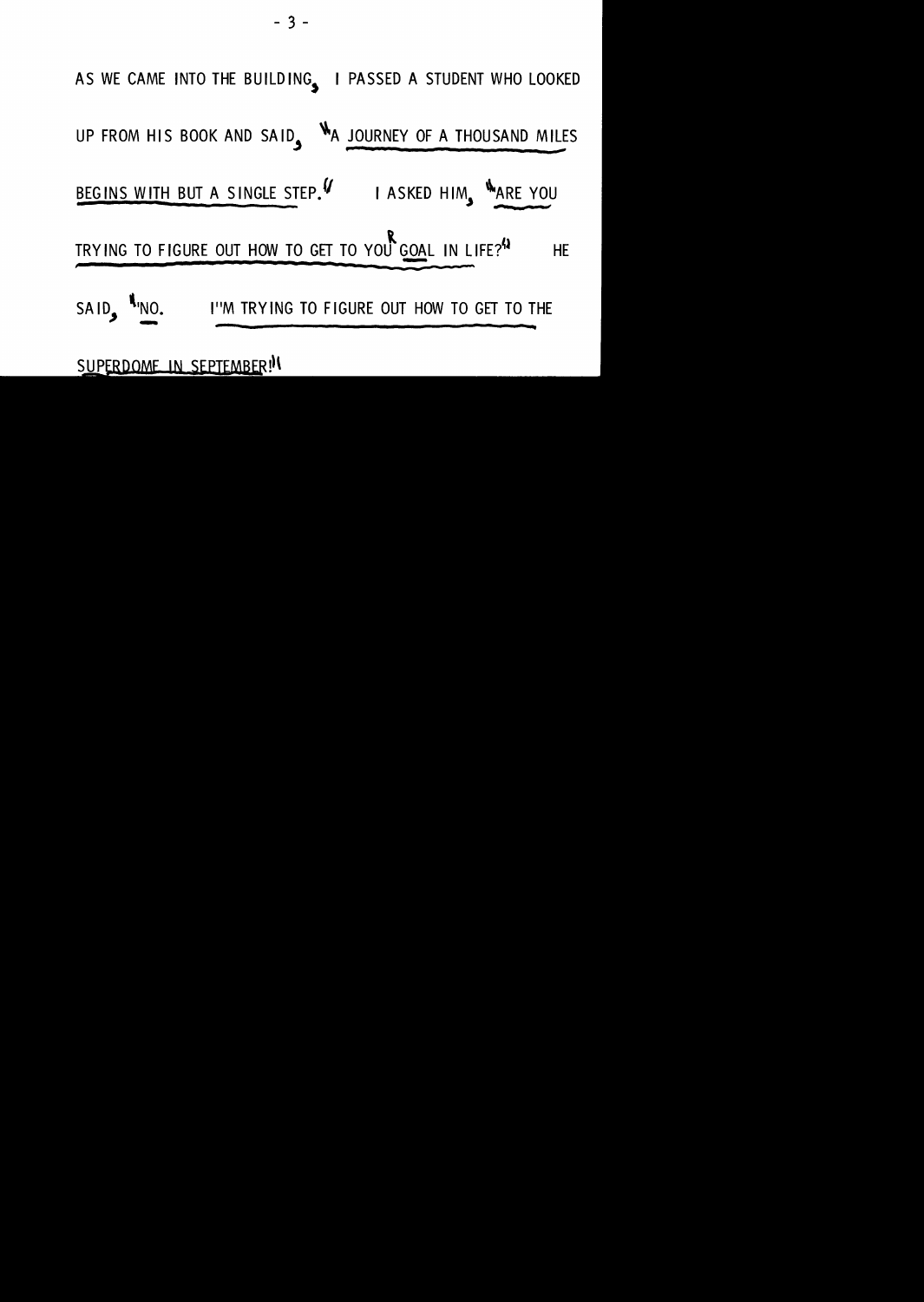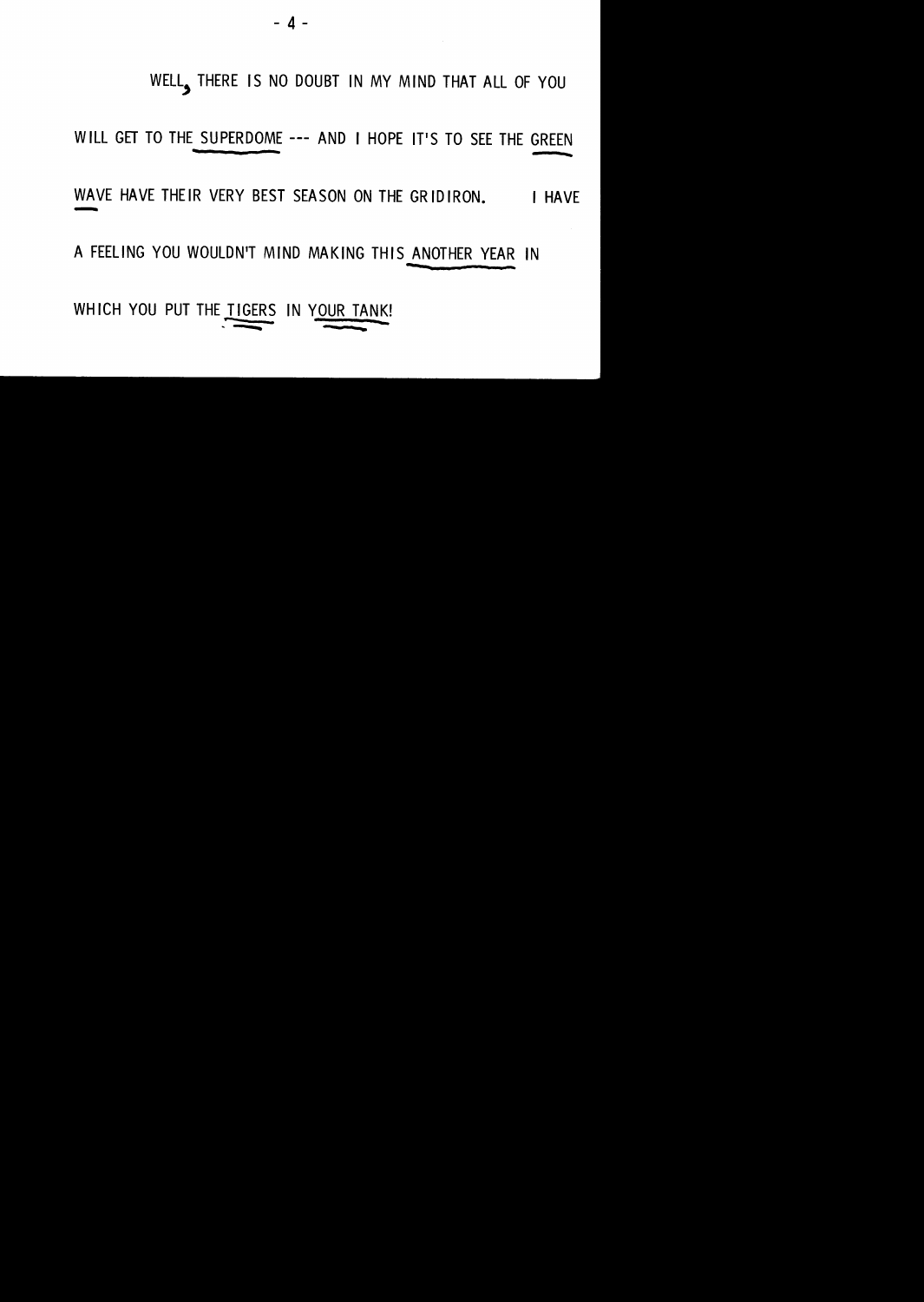$-4$  -

WELL, THERE IS NO DOUBT IN MY MIND THAT ALL OF YOU

WILL GET TO THE SUPERDOME --- AND I HOPE IT'S TO SEE THE GREEN

WAVE HAVE THEIR VERY BEST SEASON ON THE GRIDIRON. I HAVE

A FEELING YOU WOULDN'T MIND MAKING THIS ANOTHER YEAR IN

WHICH YOU PUT THE TIGERS IN YOUR TANK!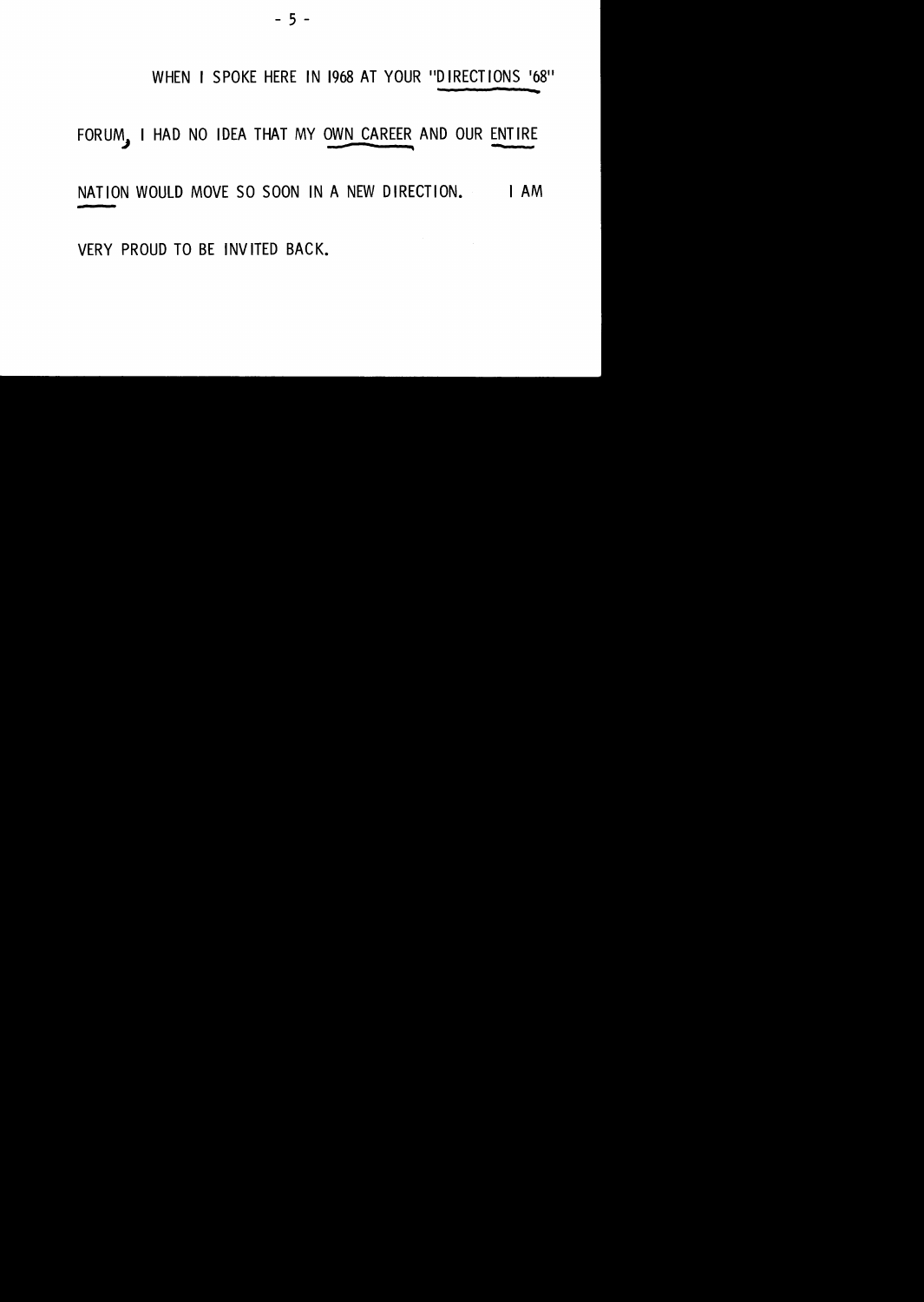#### - 5 -

#### WHEN I SPOKE HERE IN 1968 AT YOUR "DIRECT IONS '68"

#### FORUM, I HAD NO IDEA THAT MY OWN CAREER AND OUR ENTIRE

#### NATION WOULD MOVE SO SOON IN A NEW DIRECTION. I AM

VERY PROUD TO BE INVITED BACK.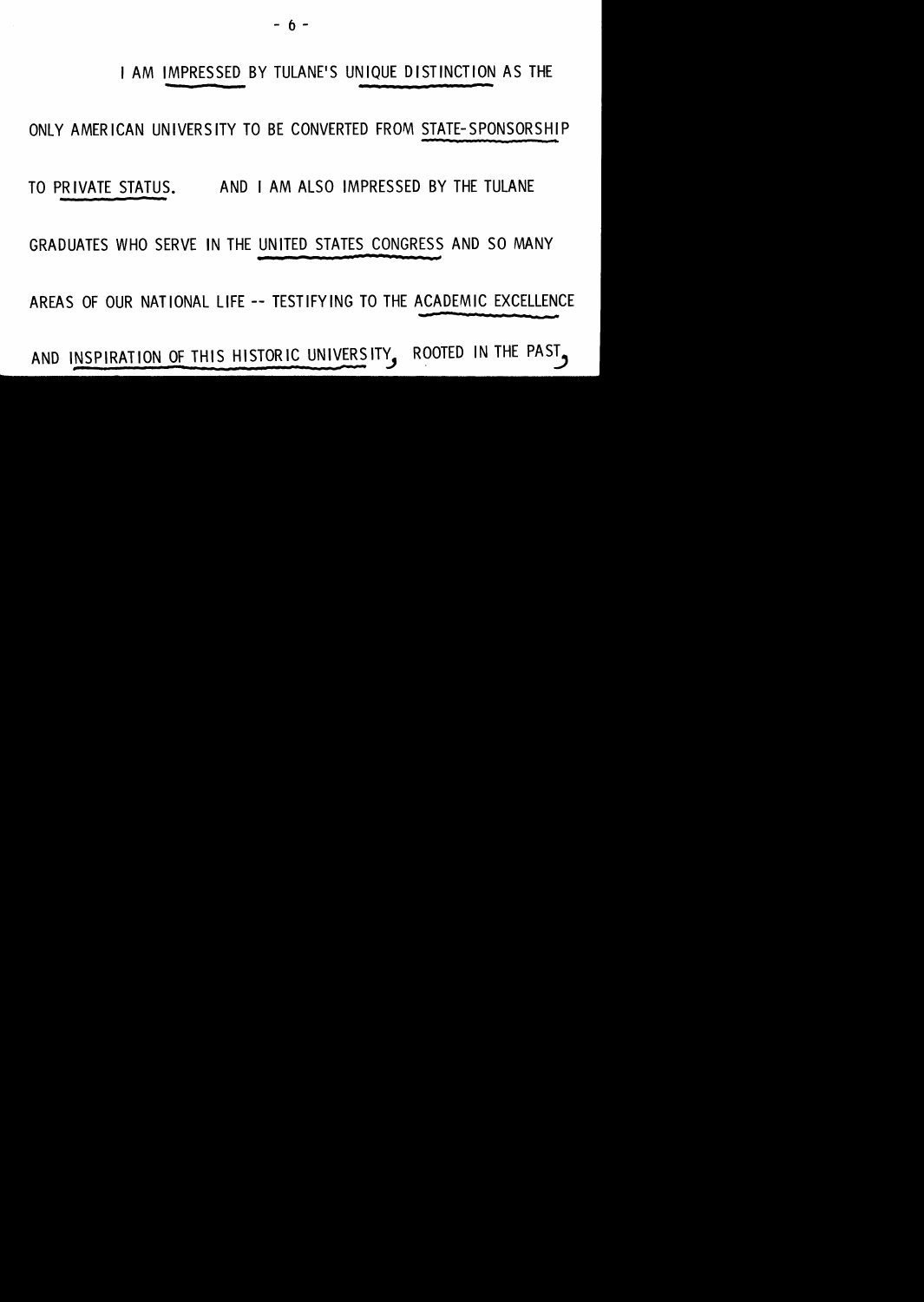- () -

#### I AM IMPRESSED BY TULANE'S UNIQUE DISTINCTION AS THE

#### ONLY AMERICAN UNIVERSITY TO BE CONVERTED FROM STATE-SPONSORSHIP

TO PRIVATE STATUS. AND I AM ALSO IMPRESSED BY THE TULANE

GRADUATES WHO SERVE IN THE UNITED STATES CONGRESS AND SO MANY

AREAS OF OUR NATIONAL LIFE-- TESTIFYING TO THE ACADEMIC EXCELLENCE

AND INSPIRATION OF THIS HISTORIC UNIVERSITY, ROOTED IN THE PAST.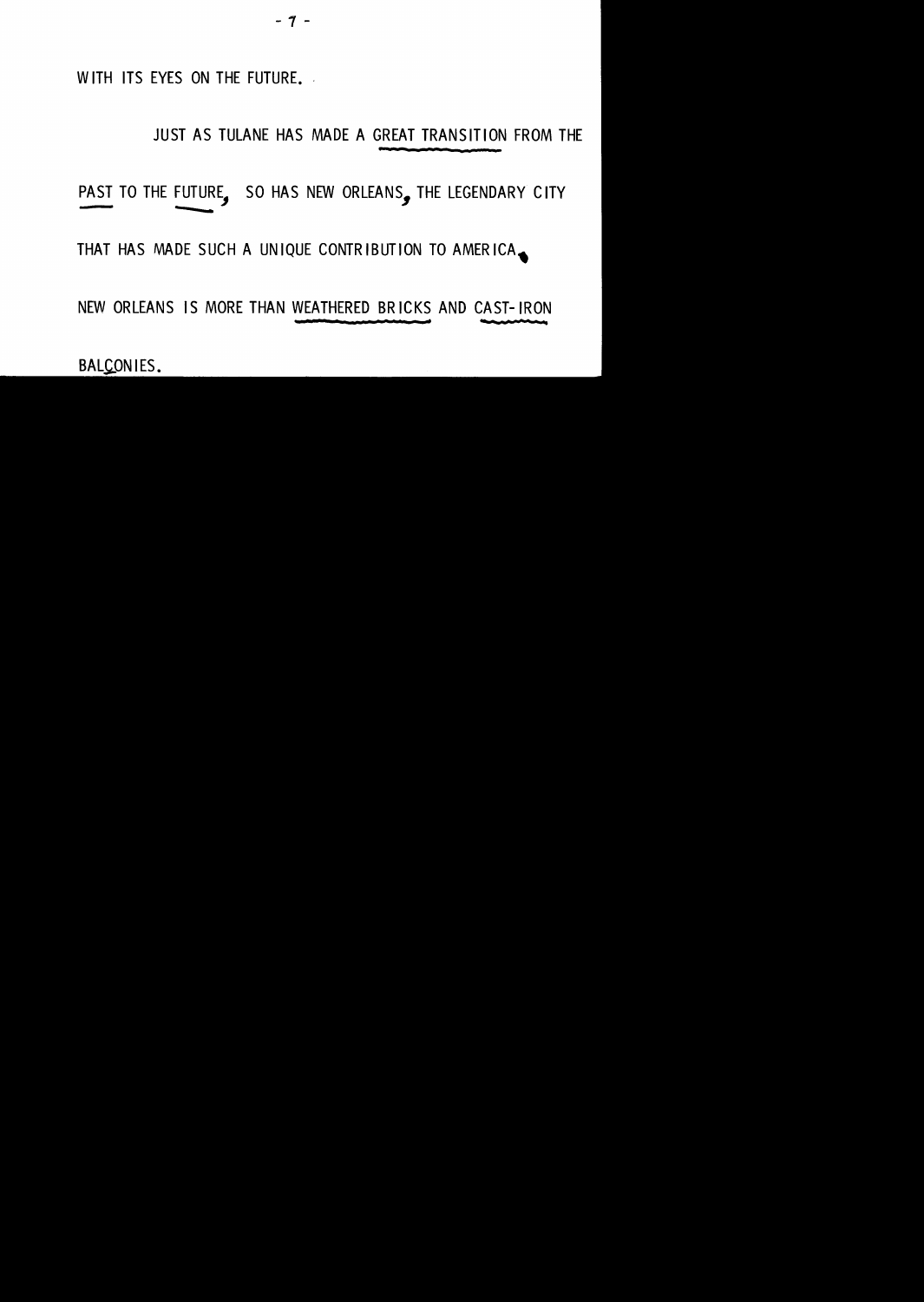- 7 -

WITH ITS EYES ON THE FUTURE.

#### JUST AS TULANE HAS MADE A GREAT TRANSITION FROM THE

#### PAST TO THE FUTURE, SO HAS NEW ORLEANS, THE LEGENDARY CITY -- ......

THAT HAS MADE SUCH A UNIQUE CONTRIBUTION TO AMERICA.

NEW ORLEANS IS MORE THAN WEATHERED BRICKS AND CAST-IRON

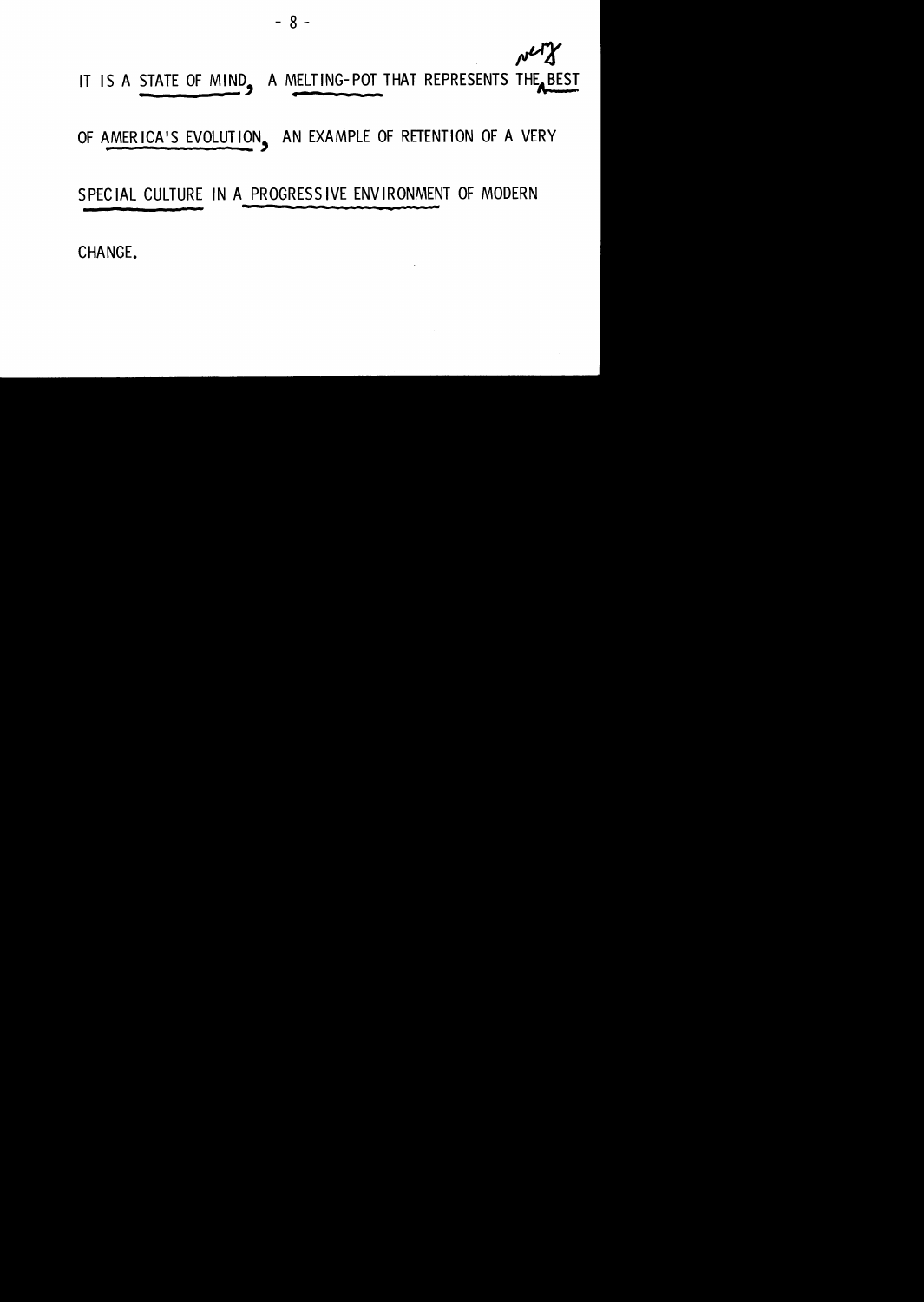

OF AMERICA'S EVOLUTION, AN EXAMPLE OF RETENTION OF A VERY

- 8 -

SPECIAL CULTURE IN A PROGRESSIVE ENVIRONMENT OF MODERN

CHANGE.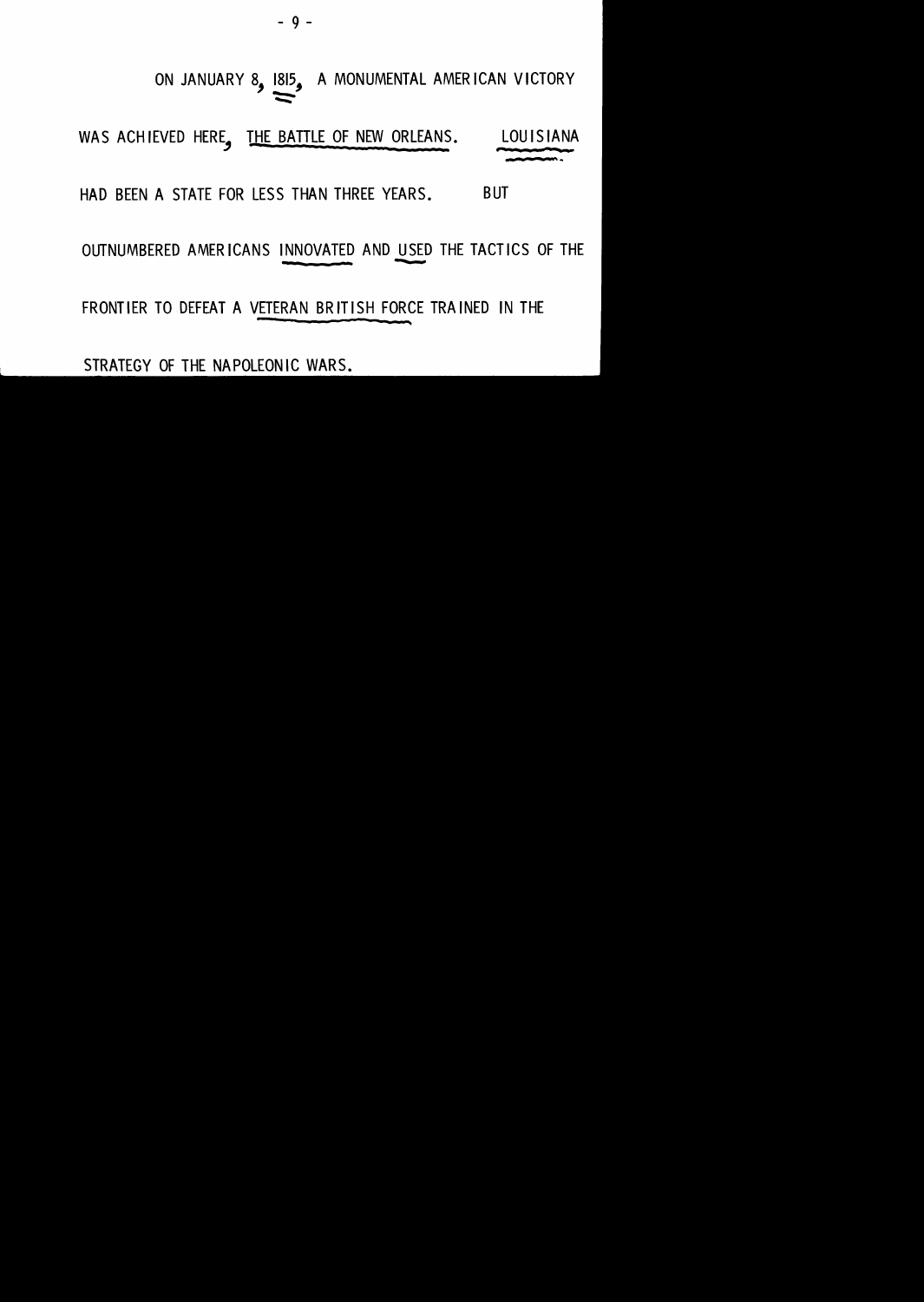$-9 -$ 

#### ON JANUARY 8, 1815, A MONUMENTAL AMERICAN VICTORY  $\Rightarrow$

WAS ACHIEVED HERE, THE BATTLE OF NEW ORLEANS. LOUISIANA ,..., be .. . ..

HAD BEEN A STATE FOR LESS THAN THREE YEARS. BUT

OUTNUMBERED AMERICANS INNOVATED AND USED THE TACTICS OF THE

FRONTIER TO DEFEAT A VETERAN BRIT ISH FORCE TRAINED IN THE

STRATEGY OF THE NAPOLEONIC WARS.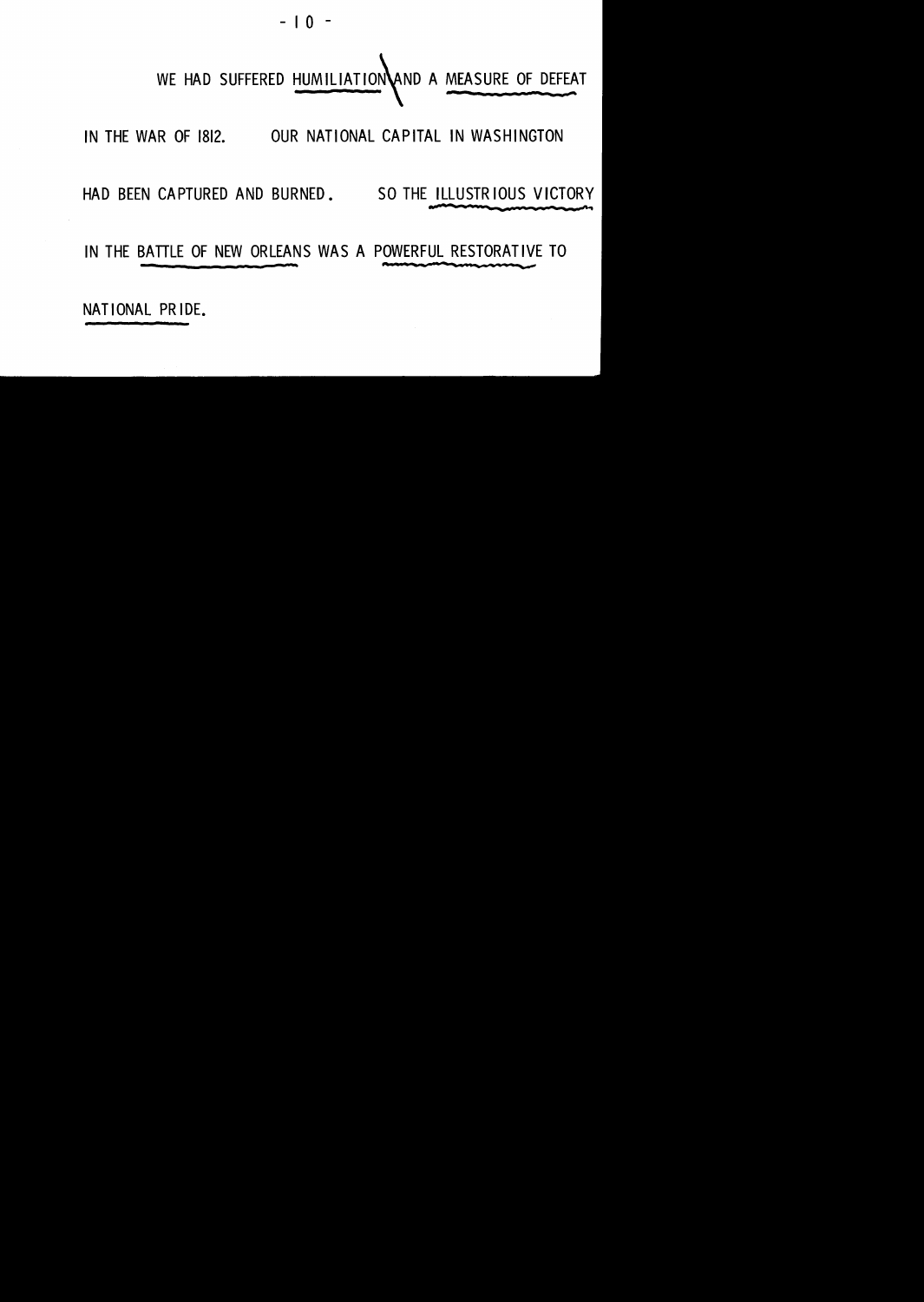$-10$ 

# WE HAD SUFFERED HUMILIATION AND A MEASURE OF DEFEAT

IN THE WAR OF 1812. OUR NATIONAL CAPITAL IN WASHINGTON

HAD BEEN CAPTURED AND BURNED. SO THE ILLUSTRIOUS VICTORY

IN THE BATTLE OF NEW ORLEANS WAS A POWERFUL RESTORATIVE TO

NATIONAL PRIDE.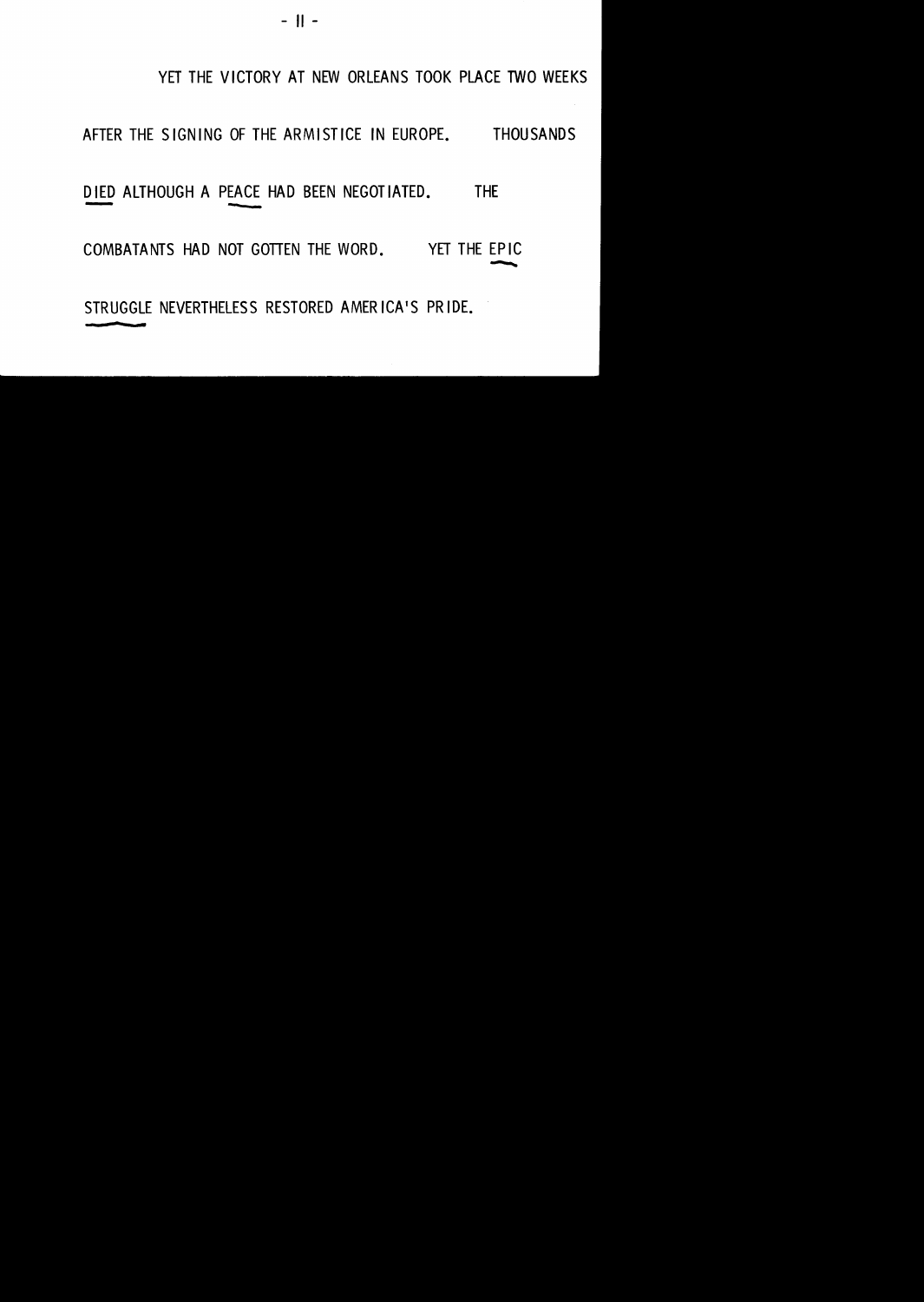YET THE VICTORY AT NEW ORLEANS TOOK PLACE TWO WEEKS

AFTER THE SIGNING OF THE ARMISTICE IN EUROPE. THOUSANDS

DIED ALTHOUGH A PEACE HAD BEEN NEGOTIATED. THE

COMBATANTS HAD NOT GOTTEN THE WORD. YET THE EPIC  $-$ 

STRUGGLE NEVERTHELESS RESTORED AMERICA'S PRIDE.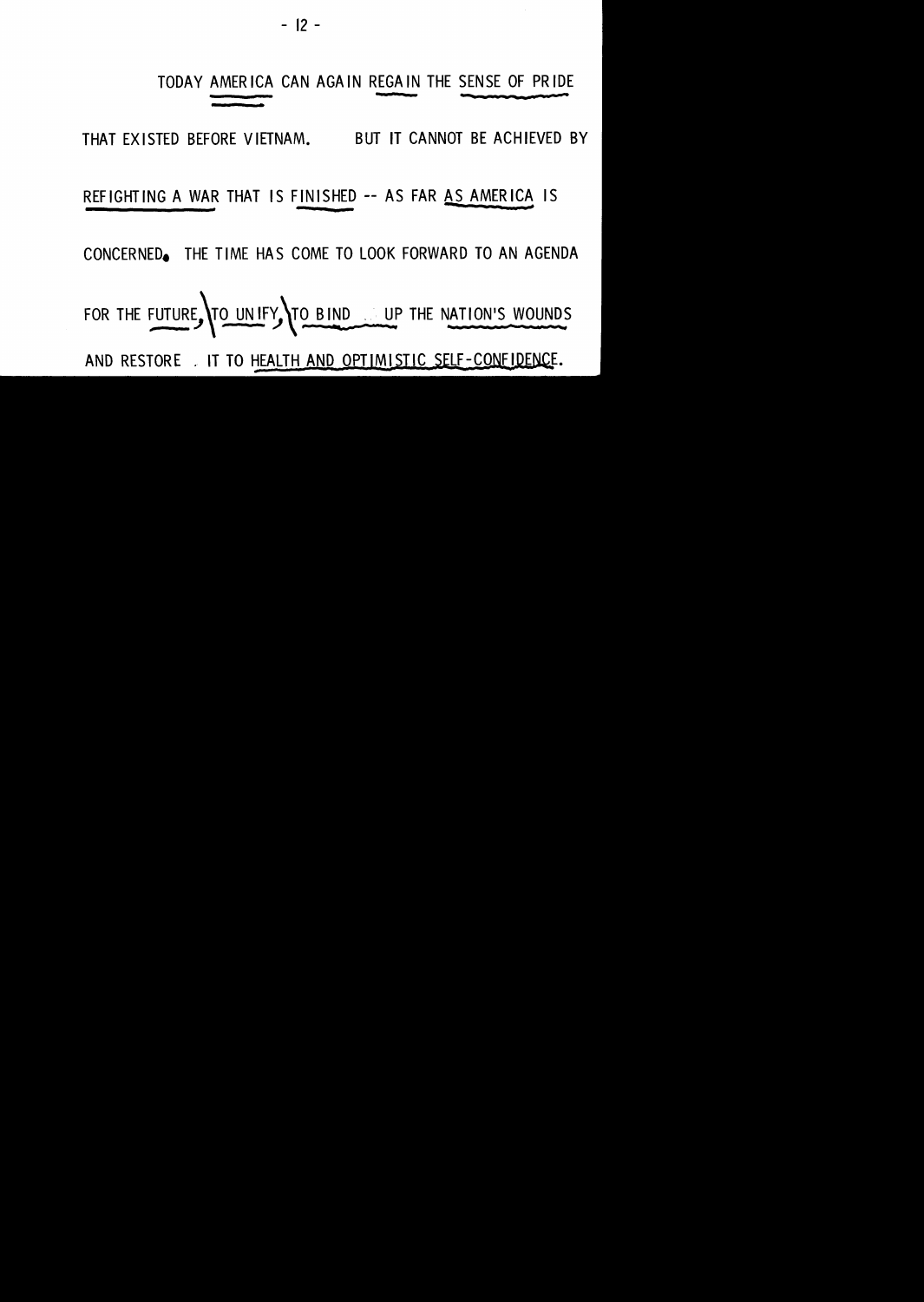- 12 -

#### TODAY AMERICA CAN AGAIN REGAIN THE SENSE OF PRIDE - --. ¥ .-

THAT EXISTED BEFORE VIETNAM. BUT IT CANNOT BE ACHIEVED BY

#### REFIGHTING A WAR THAT IS FINISHED -- AS FAR <u>AS AMERICA</u> IS

CONCERNEDe THE TIME HAS COME TO LOOK FORWARD TO AN AGENDA

FOR THE FUTURE, TO UNIFY TO BIND UP THE NATION'S WOUNDS

AND RESTORE . IT TO HEALTH AND OPTIMISTIC SELF-CONFIDENCE.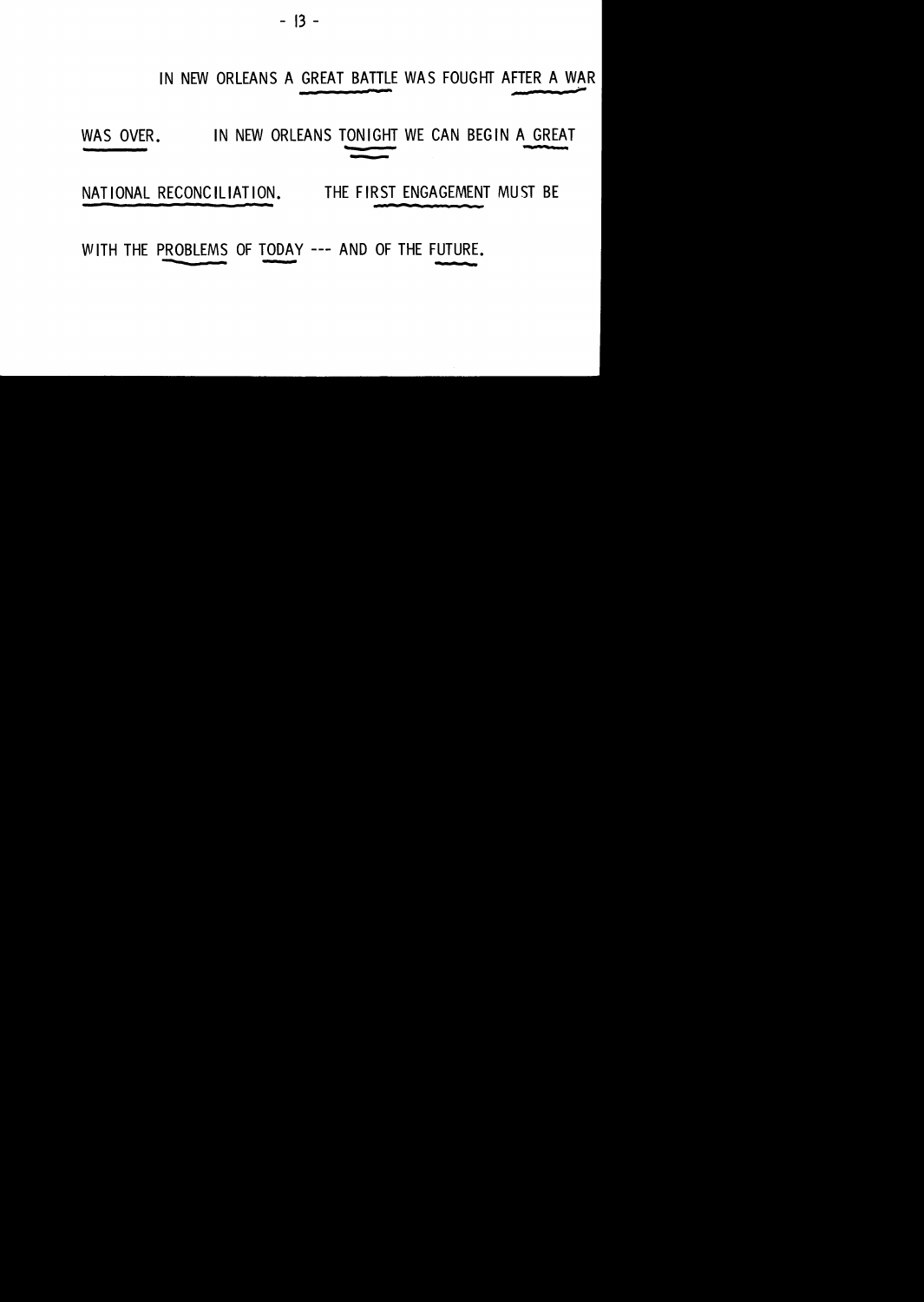- 13 -

#### IN NEW ORLEANS A GREAT BATTLE WAS FOUGHT AFTER A WAR

# WAS OVER. IN NEW ORLEANS TONIGHT WE CAN BEGIN A GREAT

NATIONAL RECONCILIATION. THE FIRST ENGAGEMENT MUST BE a n

WITH THE PROBLEMS OF TODAY --- AND OF THE FUTURE.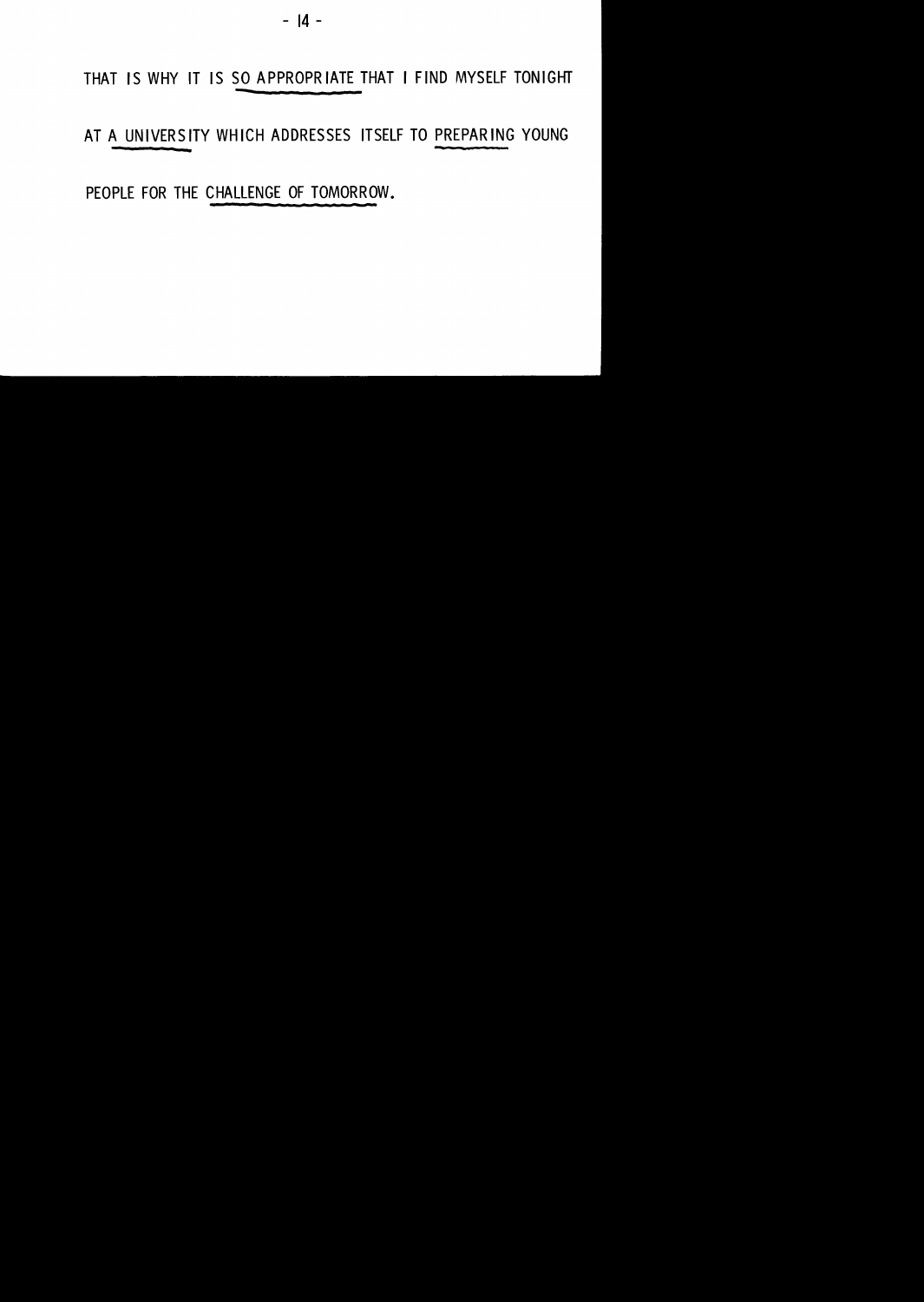$-14 -$ 

THAT IS WHY IT IS SO APPROPRIATE THAT I FIND MYSELF TONIGHT

AT A UNIVERSITY WHICH ADDRESSES ITSELF TO PREPARING YOUNG

PEOPLE FOR THE CHALLENGE OF TOMORROW.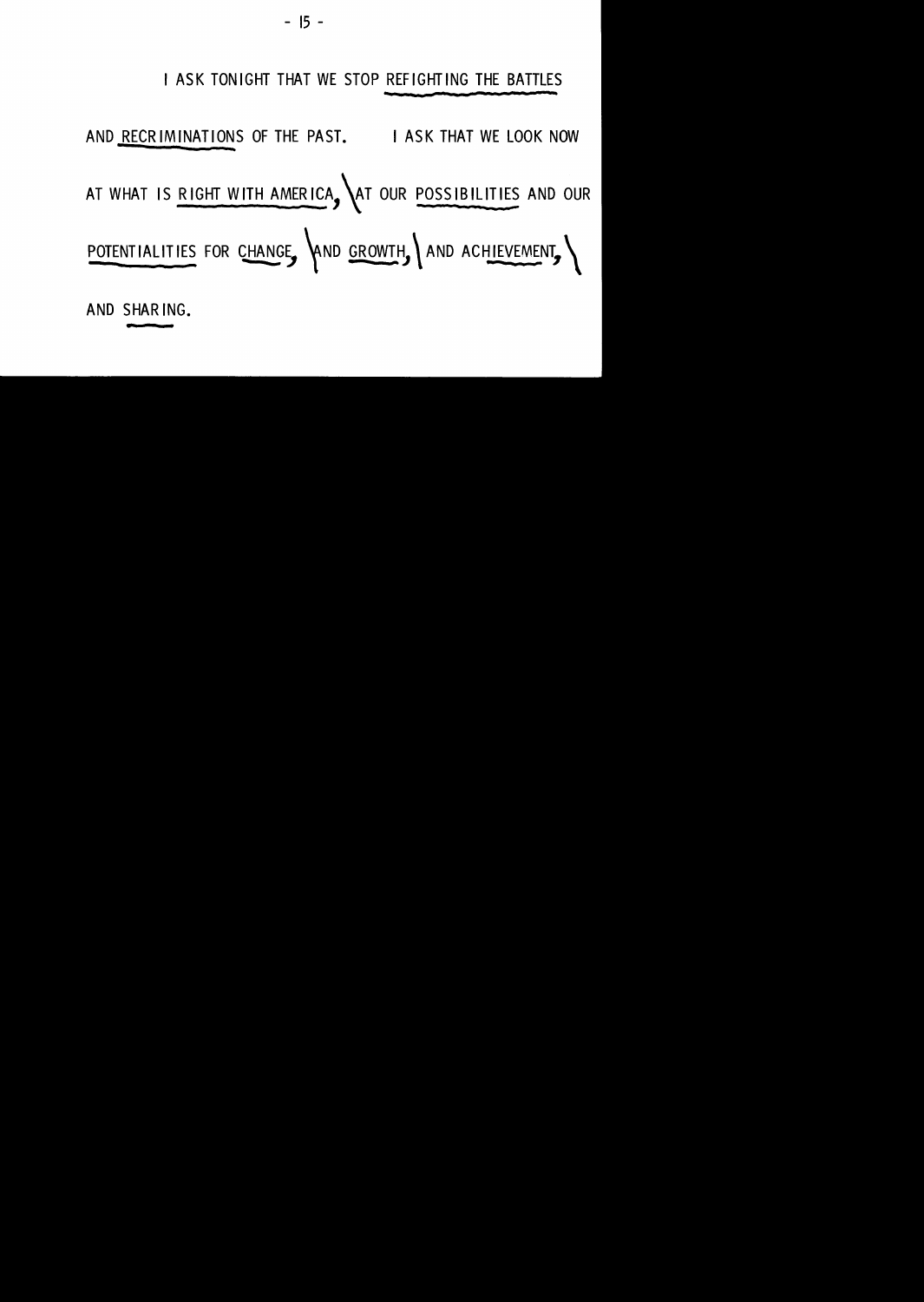

**AND SHAR lNG •** ..

- **<sup>15</sup>**-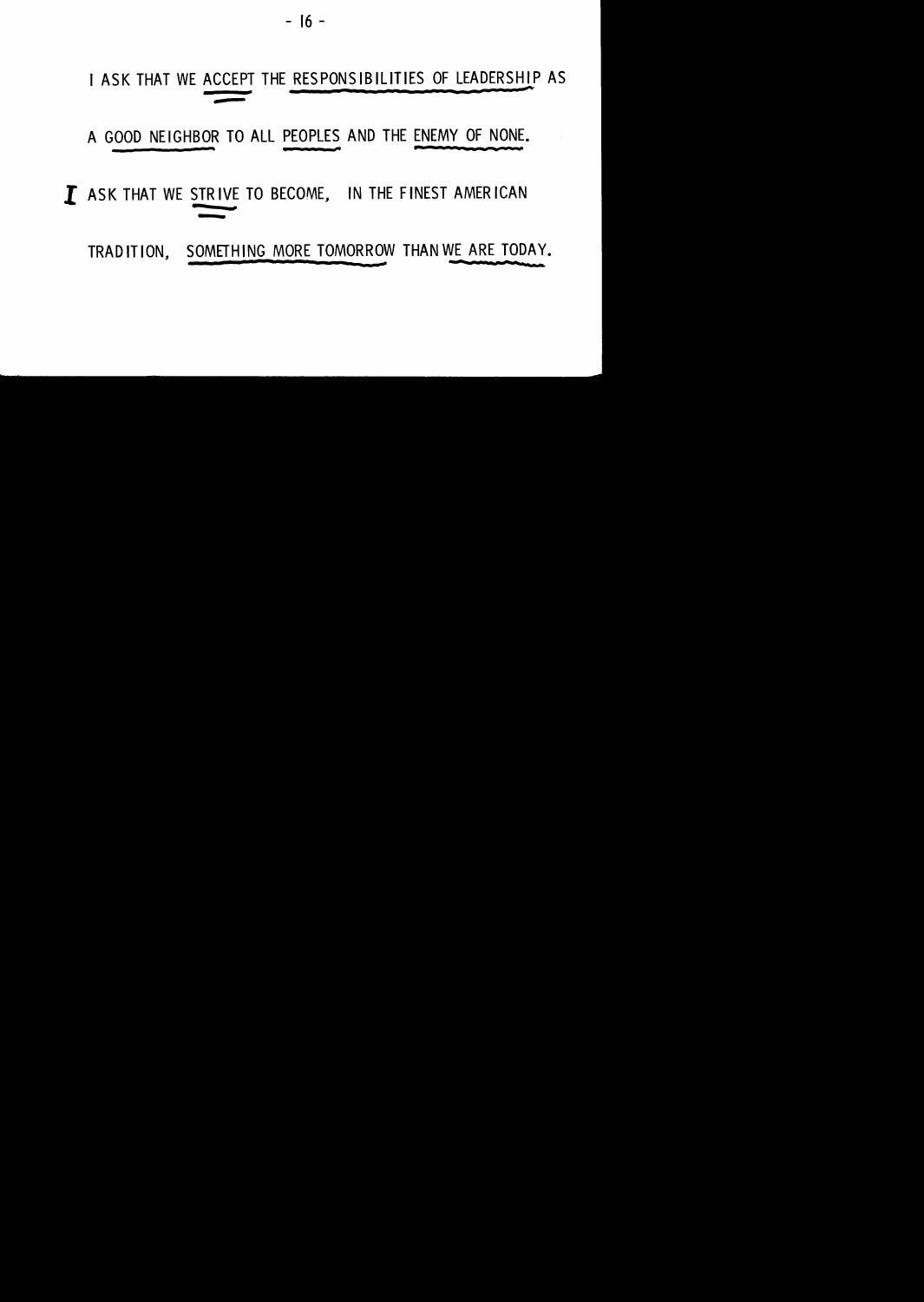$-16 -$ 

### I ASK THAT WE ACCEPT THE RESPONSIBILITIES OF LEADERSHIP AS ---

A GOOD NEIGHBOR TO ALL PEOPLES AND THE ENEMY OF NONE.

# *l* ASK THAT WE STRIVE TO BECOME, IN THE FINEST AMERICAN<br>TRADITION, SOMETHING MORE TOMORROW THAN WE ARE TODAY.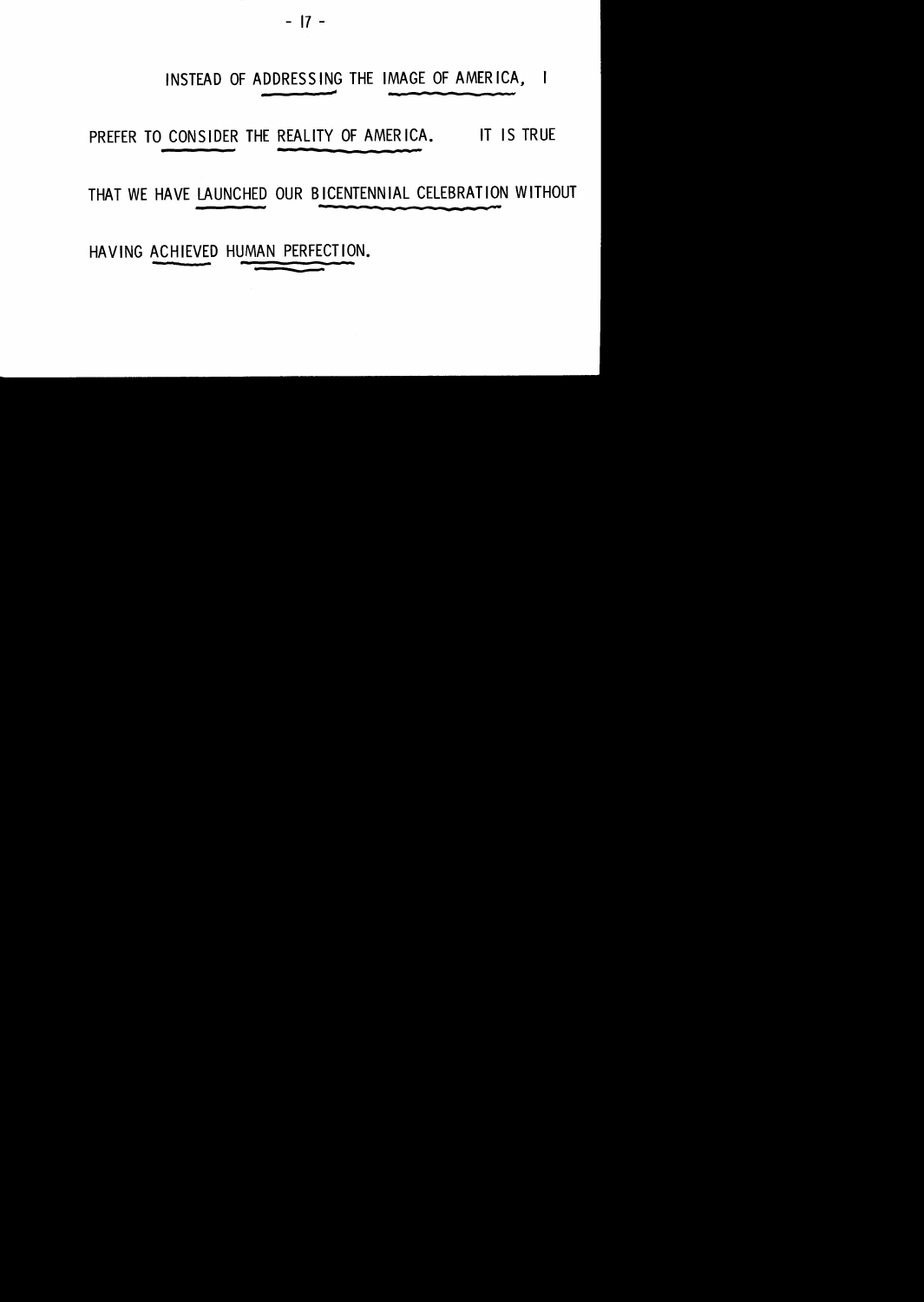- 17 -

INSTEAD OF ADDRESSING THE IMAGE OF AMERICA,  $\blacksquare$ 

PREFER TO CONSIDER THE REALITY OF AMERICA. IT IS TRUE

THAT WE HAVE LAUNCHED OUR BICENTENNIAL CELEBRATION WITHOUT

HAVING ACHIEVED HUMAN PERFECTION.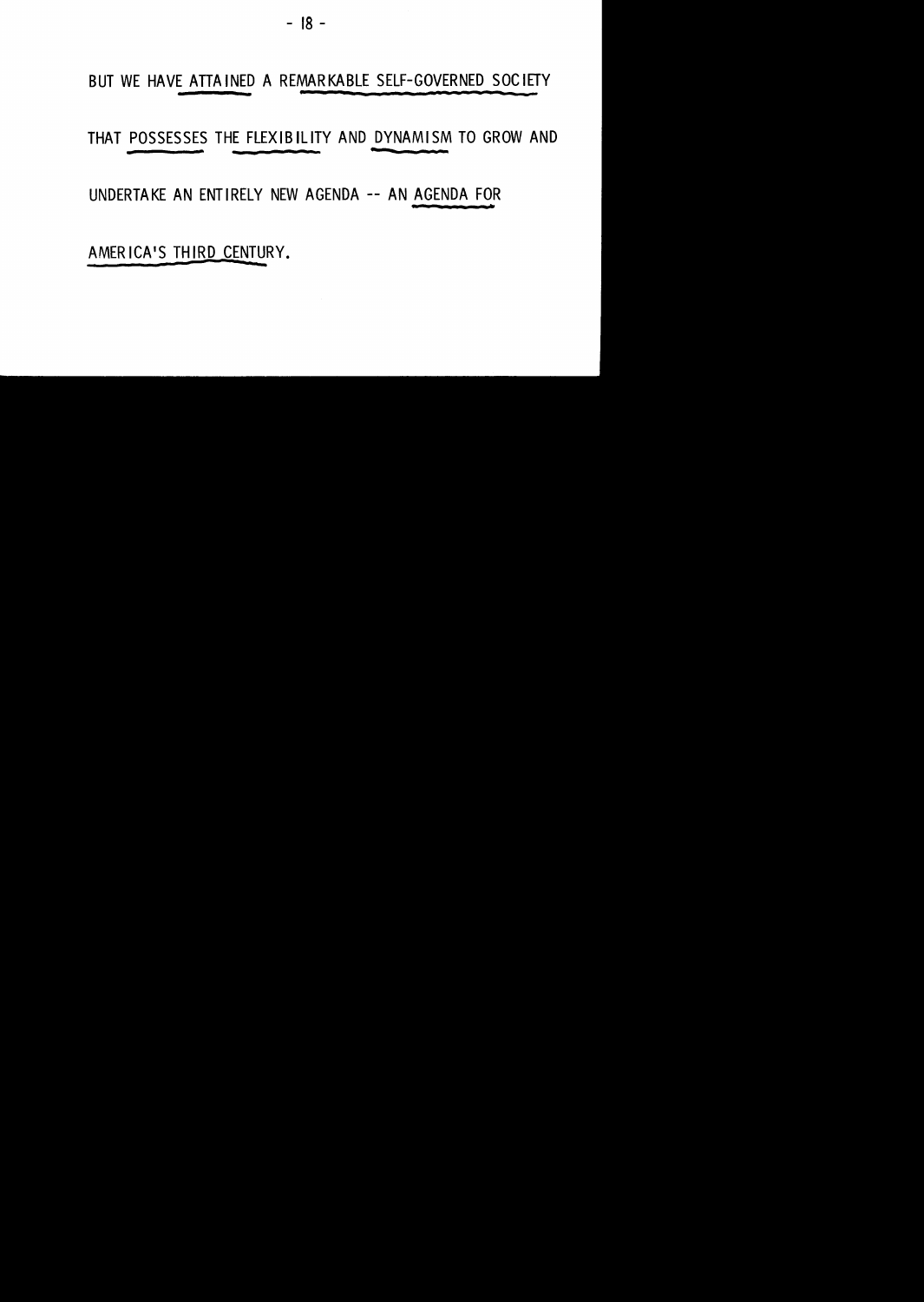- 18 -

BUT WE HAVE ATTAINED A REMARKABLE SELF-GOVERNED SOCIETY

THAT POSSESSES THE FLEXIBILITY AND DYNAMISM TO GROW AND

UNDERTAKE AN ENTIRELY NEW AGENDA -- AN AGENDA FOR

AMERICA'S THIRD CENTURY.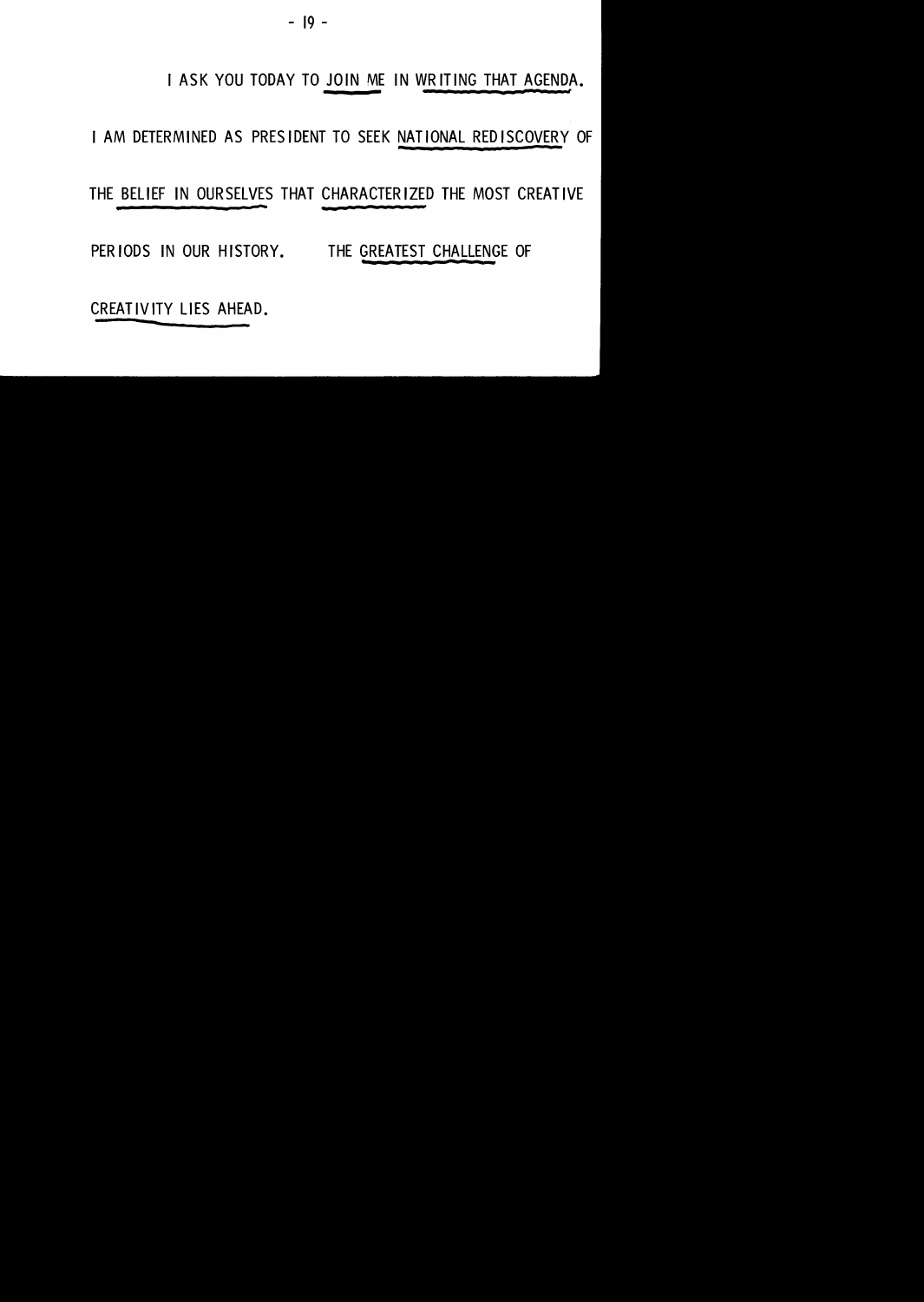- 19 -

#### I ASK YOU TODAY TO JOIN ME IN WRITING THAT AGENDA.

I AM DETERMINED AS PRESIDENT TO SEEK NATIONAL REDISCOVERY OF

THE BELIEF IN OURSELVES THAT CHARACTERIZED THE MOST CREATIVE

PERIODS IN OUR HISTORY. THE GREATEST CHALLENGE OF

CREATIVITY LIES AHEAD.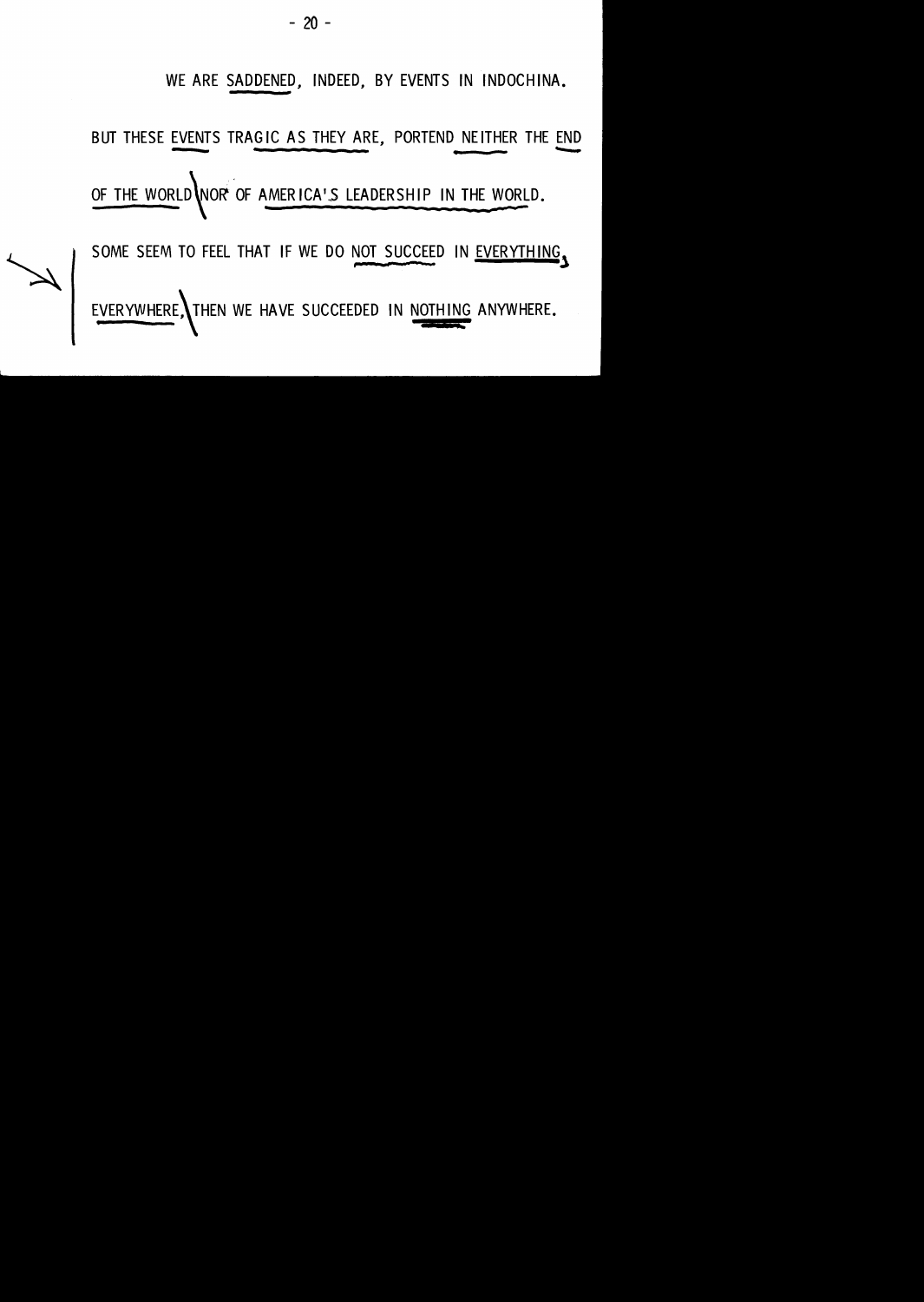#### **WE ARE SADDENED, INDEED, BY EVENTS IN INDOCHINA.**

**BUT THESE EVENTS TRAGIC AS THEY ARE, PORTEND NEITHER THE END** 

OF THE WORLD NOR OF AMERICA'S LEADERSHIP IN THE WORLD.

SOME SEEM TO FEEL THAT IF WE DO NOT SUCCEED IN EVERYTHING.

EVERYWHERE THEN WE HAVE SUCCEEDED IN NOTHING ANYWHERE.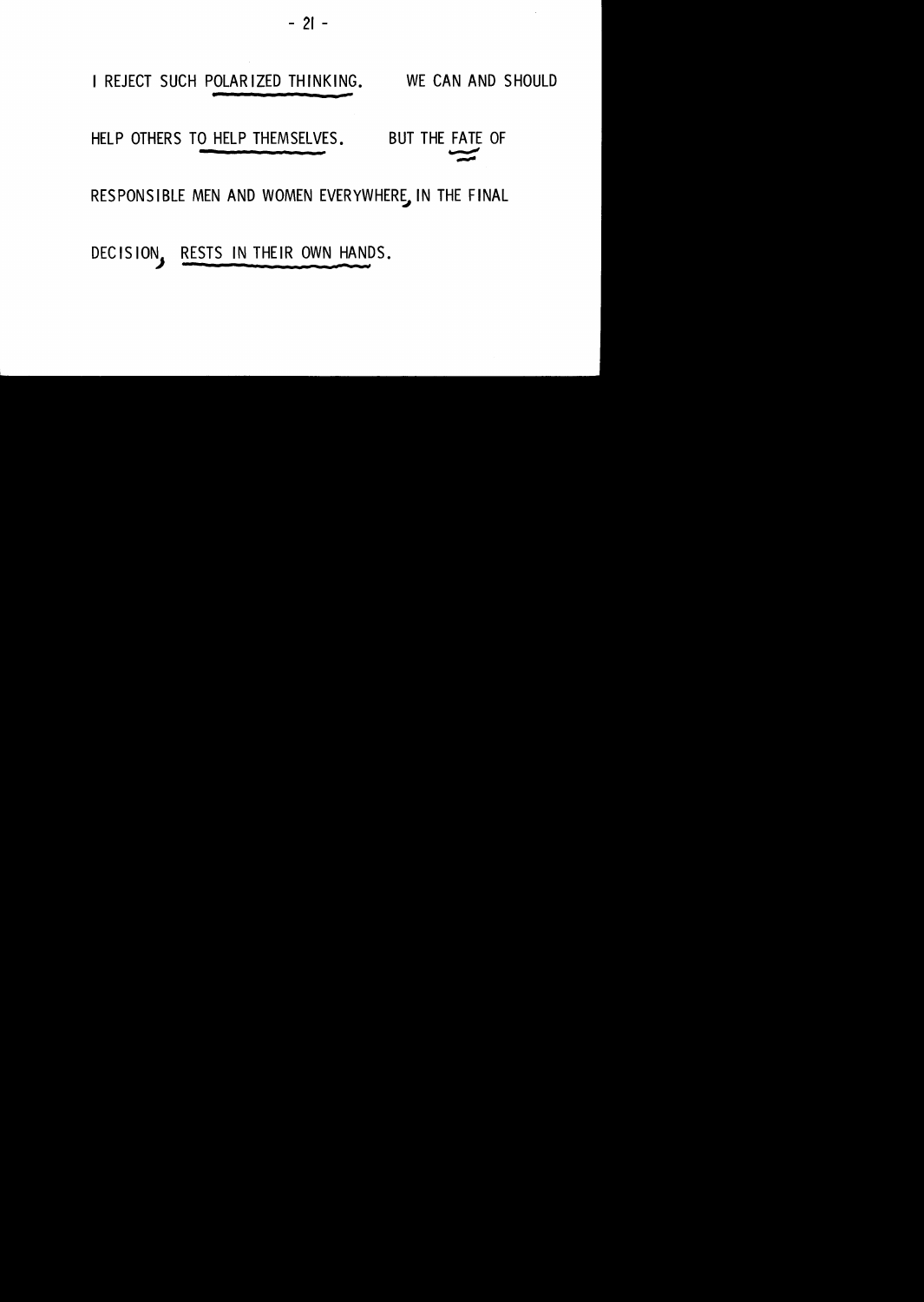

RESPONSIBLE MEN AND WOMEN EVERYWHERE, IN THE FINAL

DECISION, RESTS IN THEIR OWN HANDS.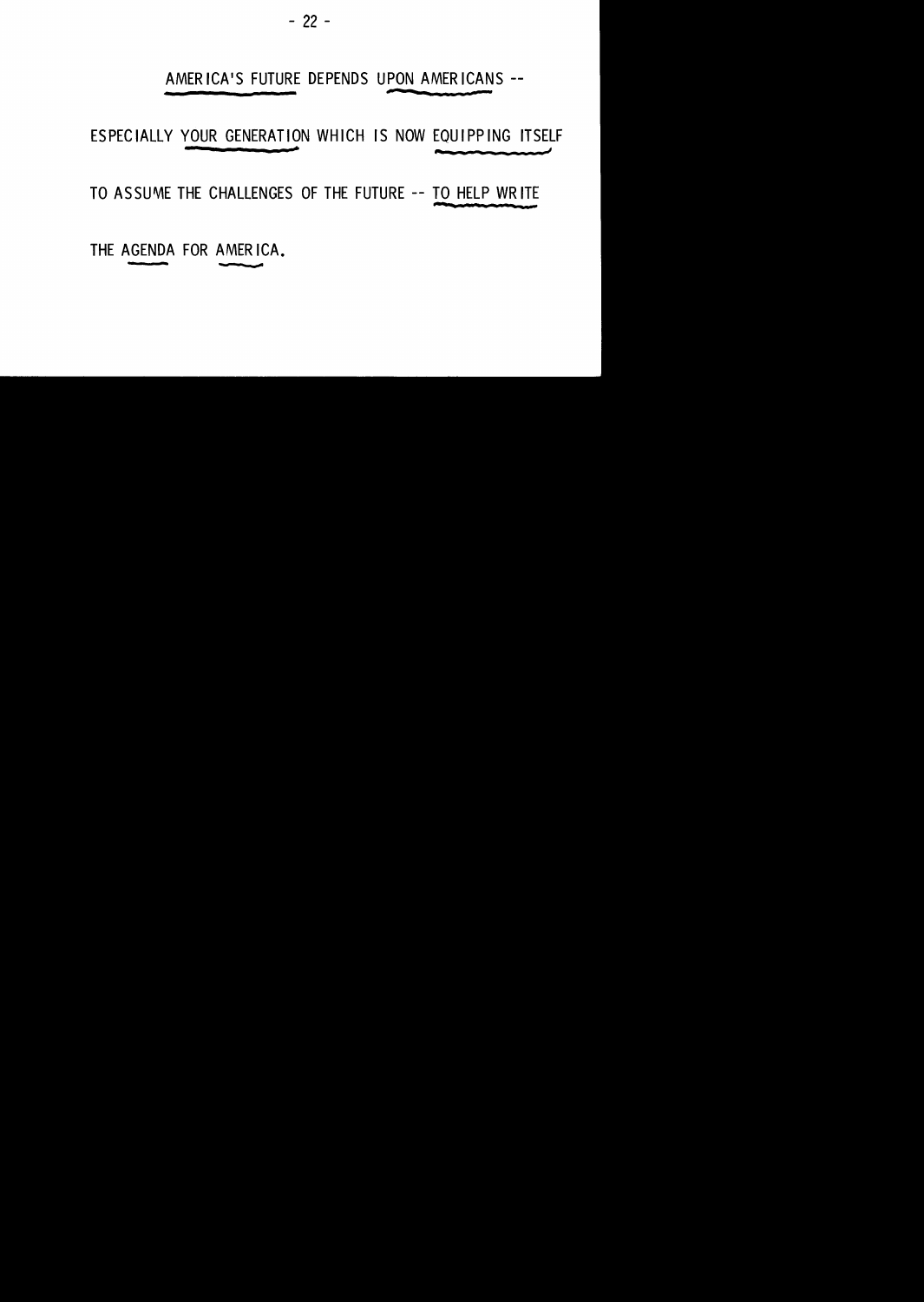- 22 -

#### AMERICA'S FUTURE DEPENDS UPON AMERICANS --

ESPECIALLY YOUR GENERATION WHICH IS NOW EQUIPPING ITSELF

TO ASSUME THE CHALLENGES OF THE FUTURE -- TO HELP WRITE

THE AGENDA FOR AMERICA.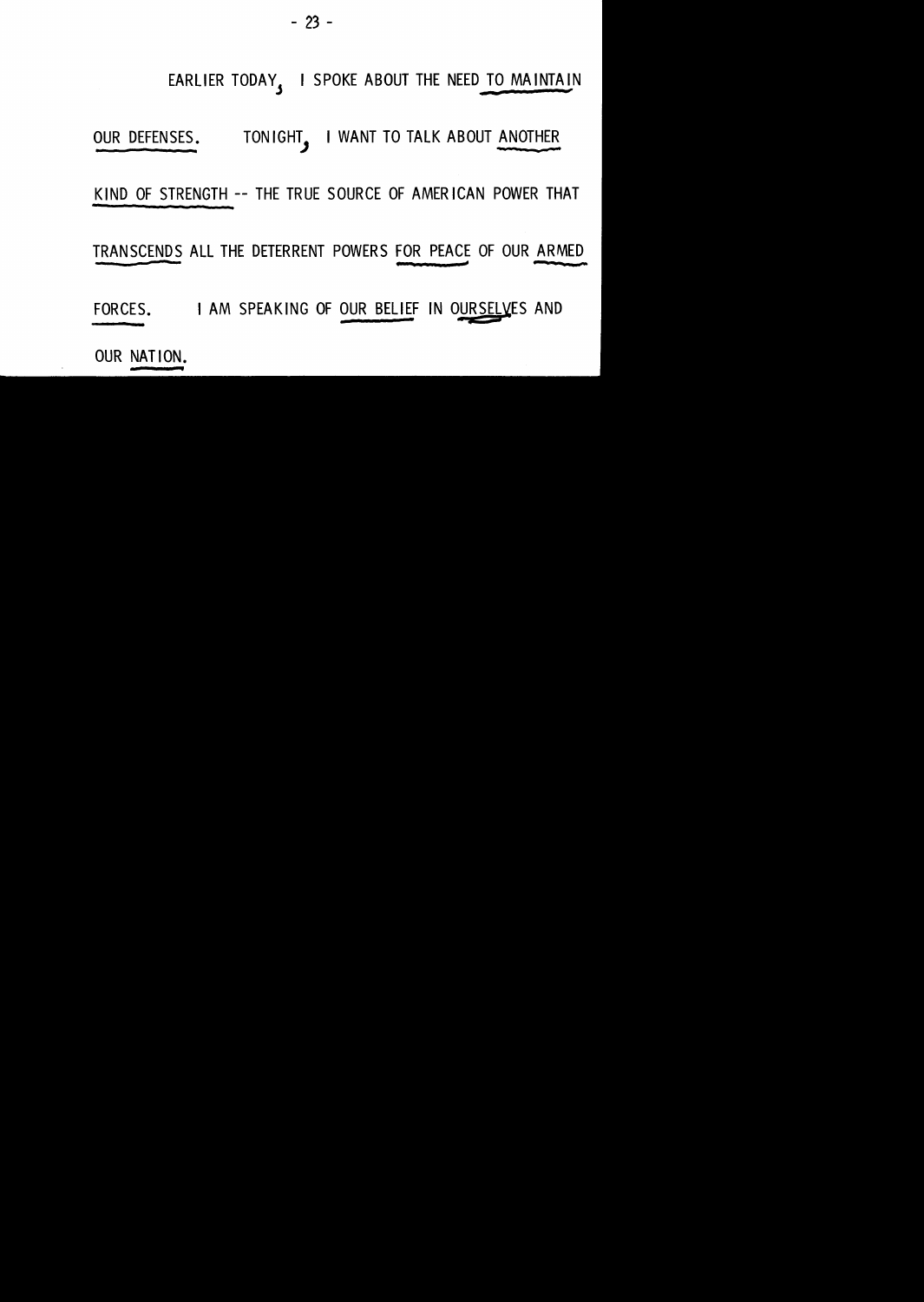

FORCES. I AM SPEAKING OF OUR BELIEF IN OURSELVES AND

TRANSCENDS ALL THE DETERRENT POWERS FOR PEACE OF OUR ARMED r:=z -

KIND OF STRENGTH -- THE TRUE SOURCE OF AMERICAN POWER THAT

OUR DEFENSES. TONIGHT, I WANT TO TALK ABOUT ANOTHER

EARLIER TODAY, I SPOKE ABOUT THE NEED TO MAINTAIN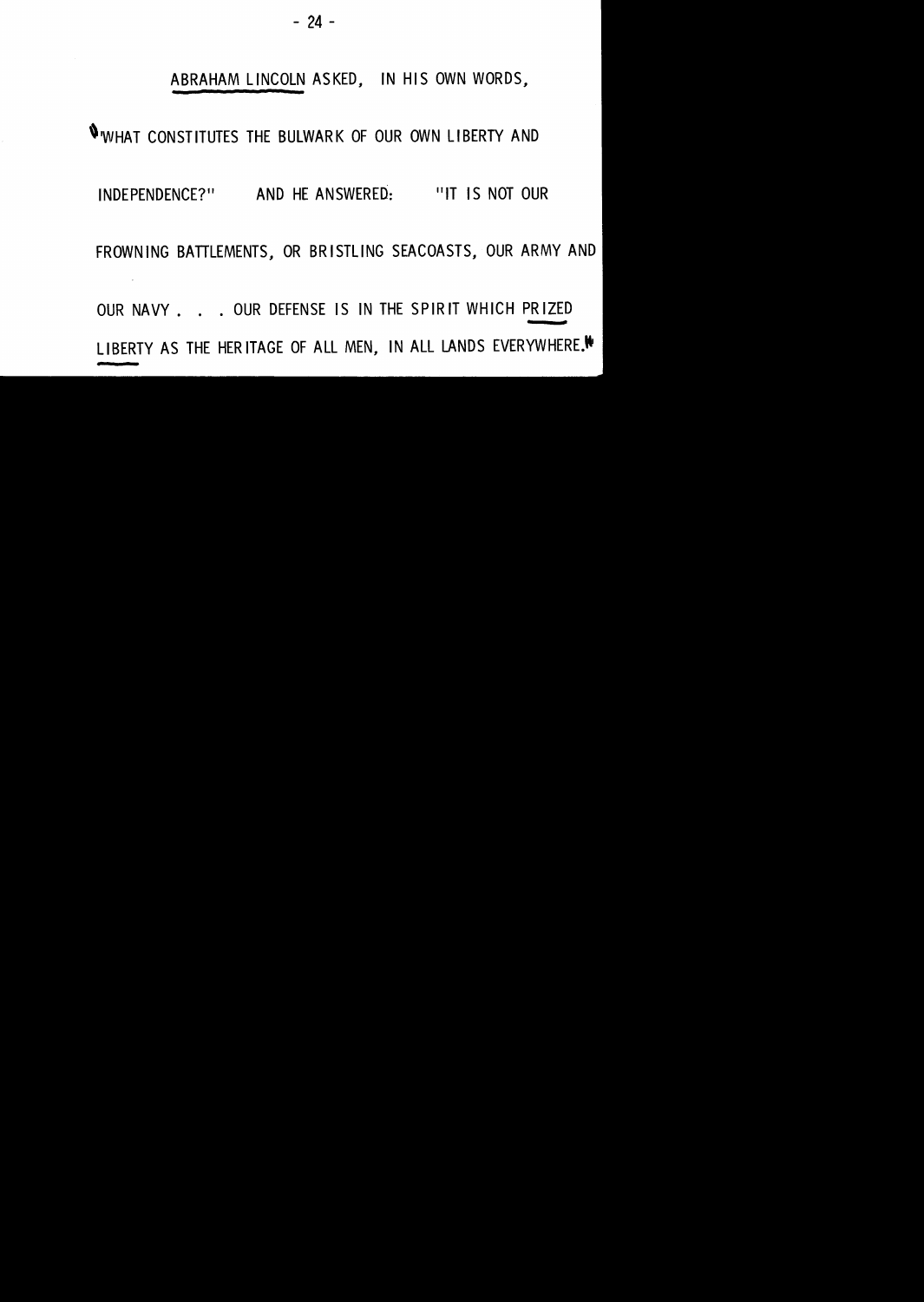#### ABRAHAM LINCOLN ASKED, IN HIS OWN WORDS,

#### ''WHAT CONSTITUTES THE BULWARK OF OUR OWN LIBERTY AND

#### INDEPENDENCE?" AND HE ANSWERED: "IT IS NOT OUR

FROWN lNG BATTLEMENTS, OR BRISTLING SEACOASTS, OUR ARMY AND

OUR NAVY . . . OUR DEFENSE IS IN THE SPIRIT WHICH PRIZED LIBERTY AS THE HERITAGE OF ALL MEN, IN ALL LANDS EVERYWHERE.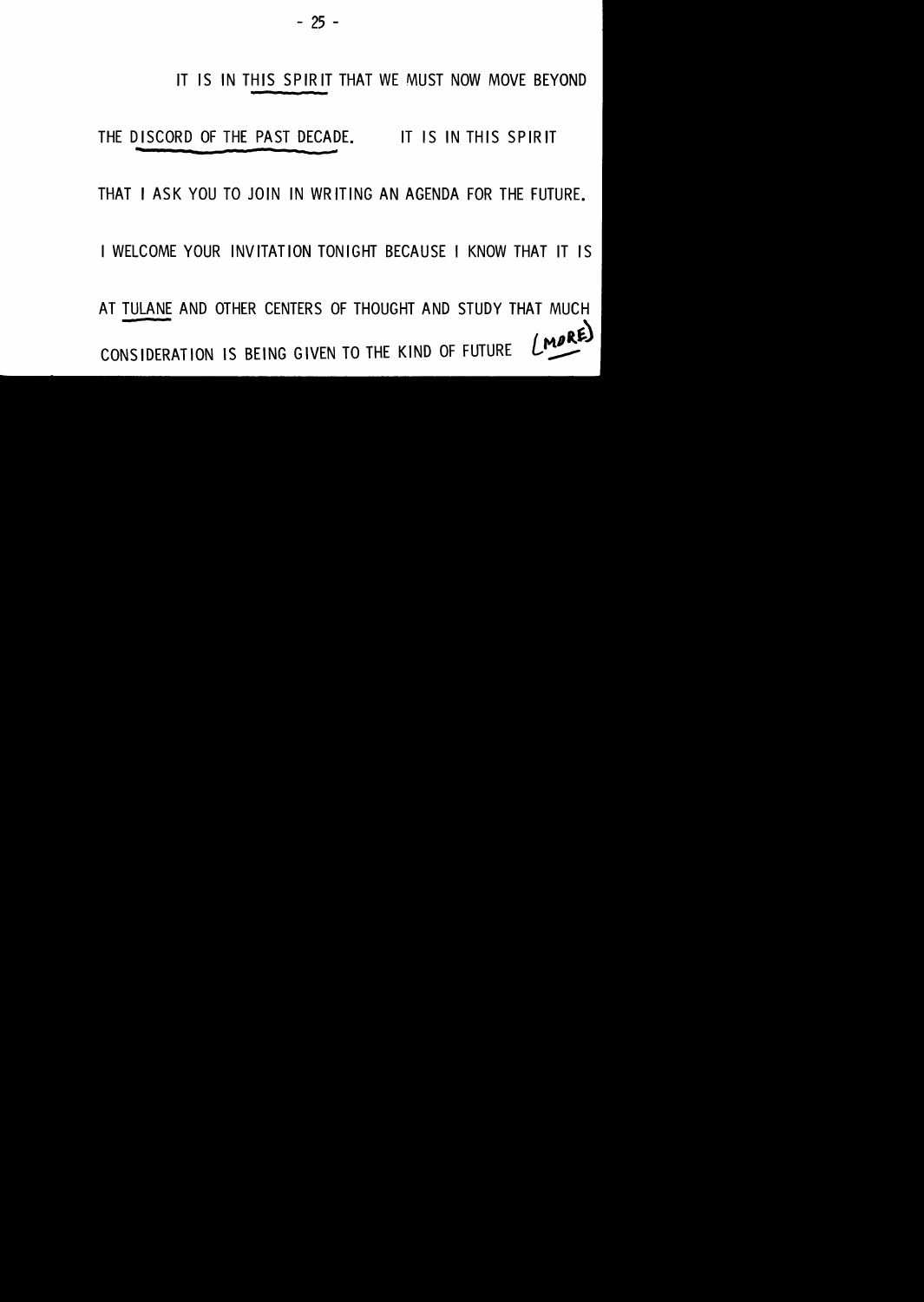#### IT IS IN THIS SPIRIT THAT WE MUST NOW MOVE BEYOND

THE DISCORD OF THE PAST DECADE. IT IS IN THIS SPIRIT

#### THAT I ASK YOU TO JOIN IN WRIT lNG AN AGENDA FOR THE FUTURE.

I WELCOME YOUR INVITATION TONIGHT BECAUSE I KNOW THAT IT IS

AT TULANE AND OTHER CENTERS OF THOUGHT AND STUDY THAT MUCH  $(MDRE)$ CONSIDERATION IS BEING GIVEN TO THE KIND OF FUTURE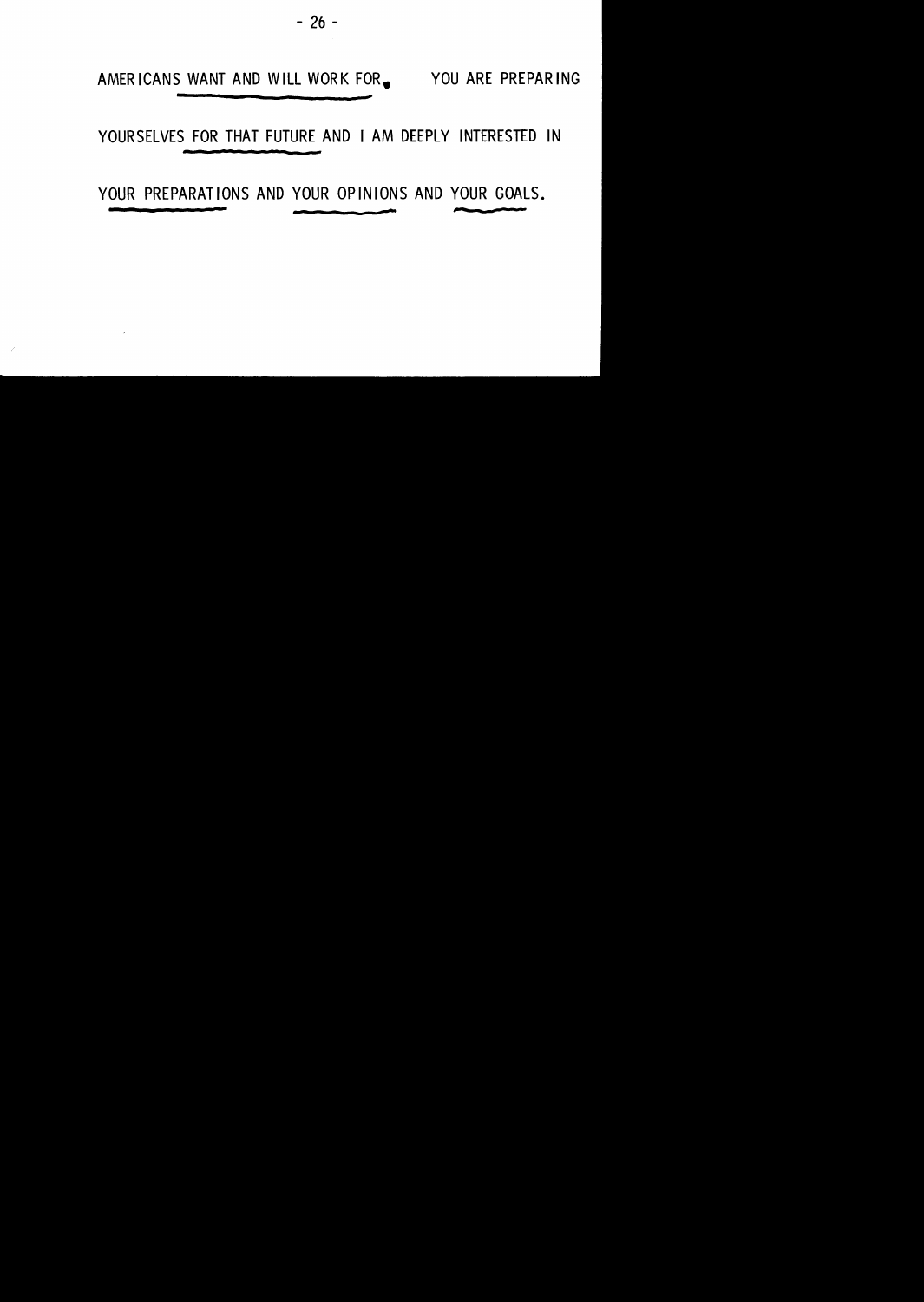AMERICANS WANT AND WILL WORK FOR 9TO YOU ARE PREPARING

YOURSELVES FOR THAT FUTURE AND I AM DEEPLY INTERESTED IN

YOUR PREPARATIONS AND YOUR OPINIONS AND YOUR GOALS.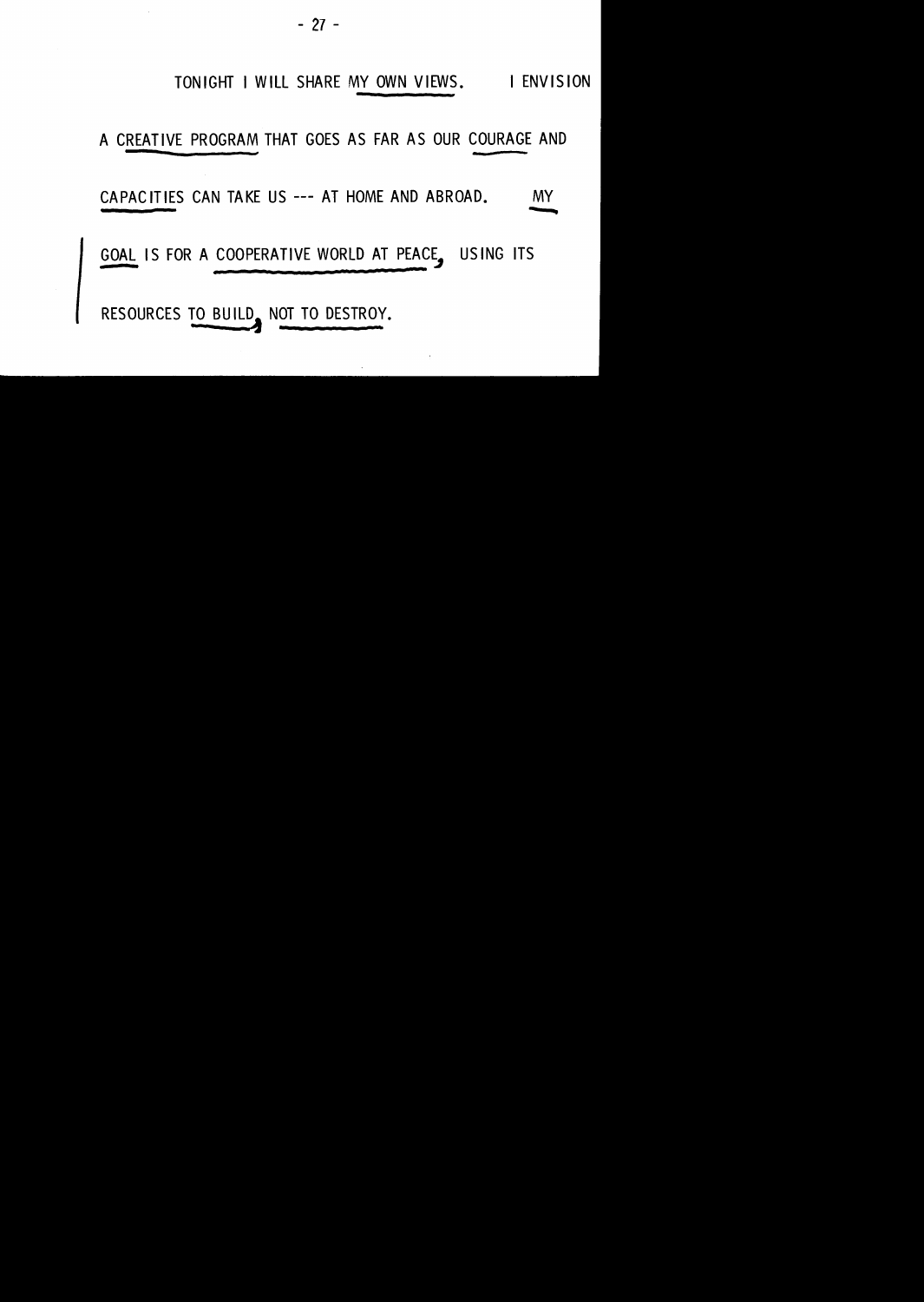#### TONIGHT I WILL SHARE MY OWN VIEWS. I ENVISION

A CREATIVE PROGRAM THAT GOES AS FAR AS OUR COURAGE AND

CAPACITIES CAN TAKE US --- AT HOME AND ABROAD. -.......

GOAL IS FOR A COOPERATIVE WORLD AT PEACE. USING ITS

RESOURCES TO BUILD\_ NOT TO DESTROY.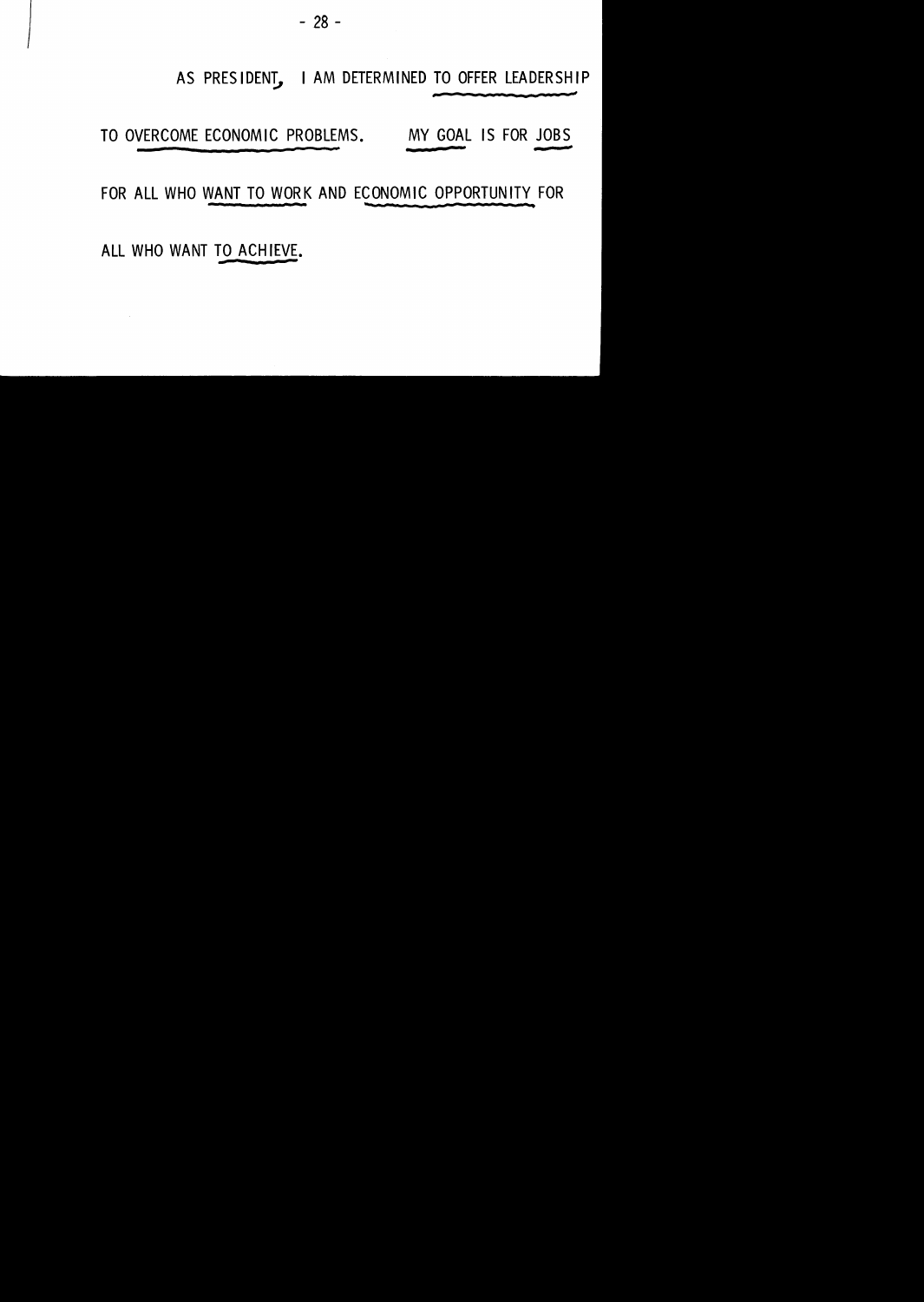# AS PRESIDENT, I AM DETERMINED TO OFFER LEADERSHIP

TO OVERCOME ECONOMIC PROBLEMS. MY GOAL IS FOR JOBS

FOR ALL WHO WANT TO WORK AND ECONOMIC OPPORTUNITY FOR

ALL WHO WANT TO ACHIEVE.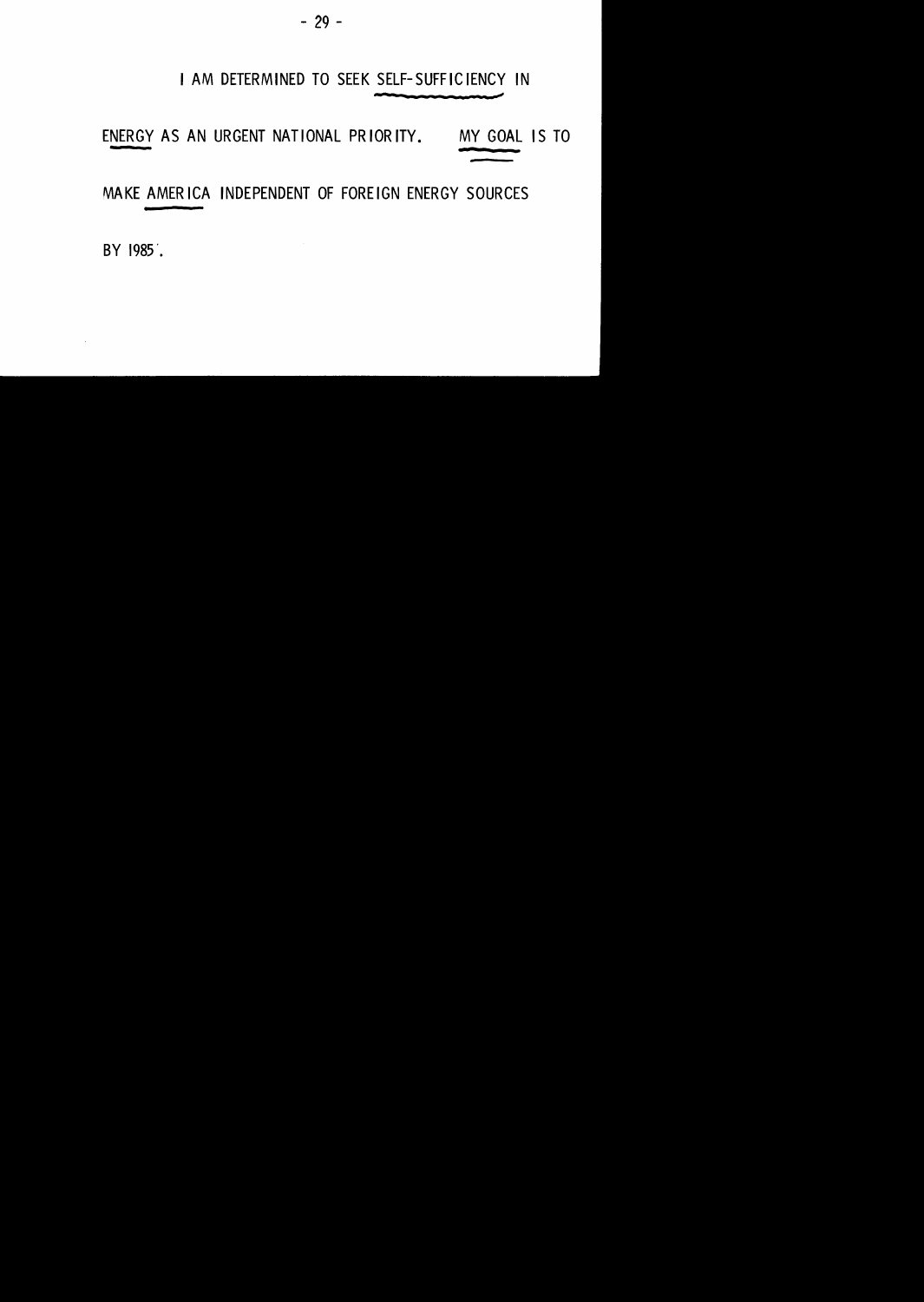#### I AM DETERMINED TO SEEK SELF-SUFFICIENCY IN

ENERGY AS AN URGENT NATIONAL PR lOR ITY. MY GOAL IS TO

MAKE AMERICA INDEPENDENT OF FOREIGN ENERGY SOURCES

BY 1985.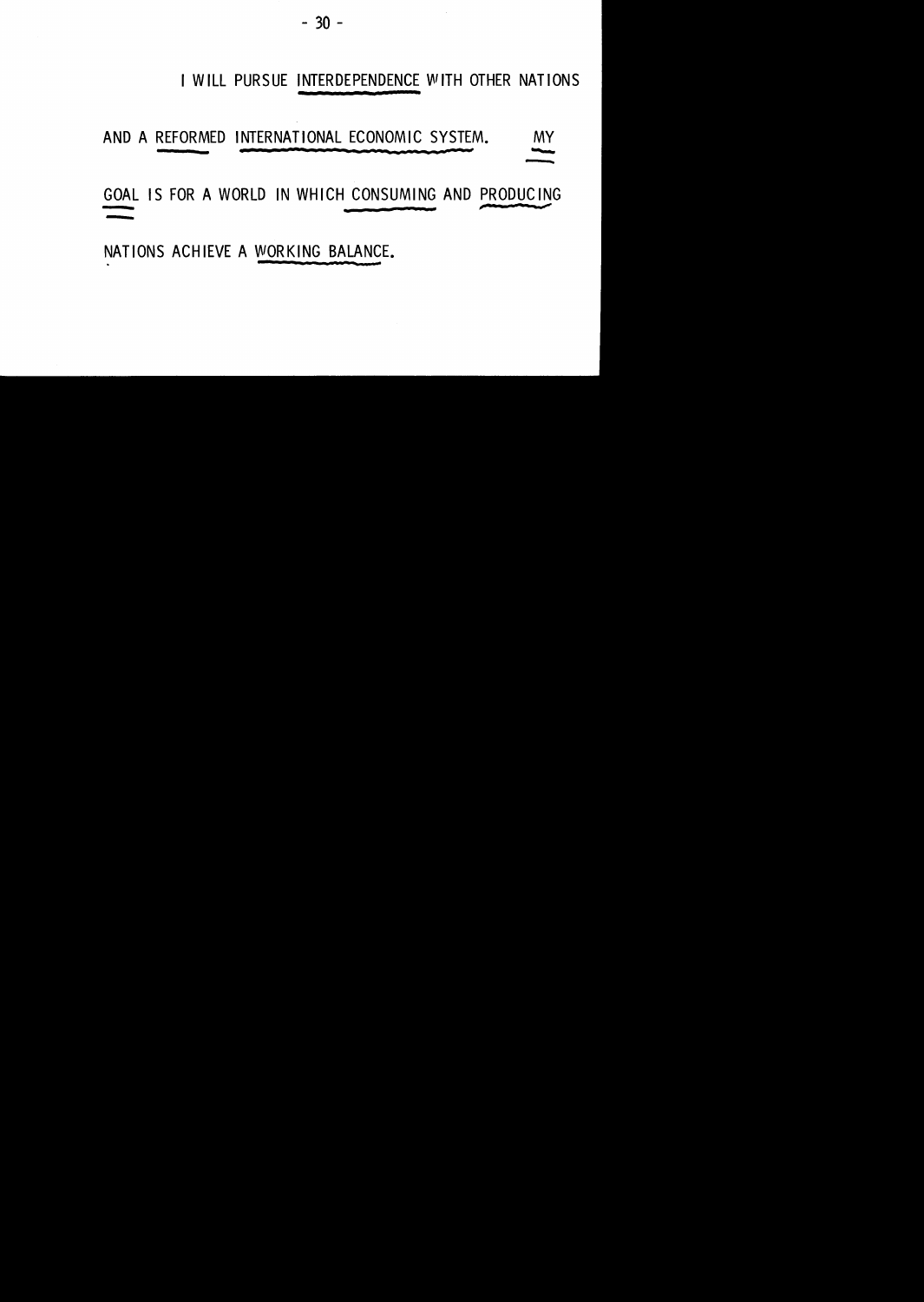- 30 -

#### I WILL PURSUE INTERDEPENDENCE WITH OTHER NATIONS

#### AND A REFORMED INTERNATIONAL ECONOMIC SYSTEM. MY

AND A REFORMED INTERNATIONAL ECONOMIC SYSTEM.<br>GOAL IS FOR A WORLD IN WHICH CONSUMING AND PRODUCING -

NATIONS ACHIEVE A WORKING BALANCE.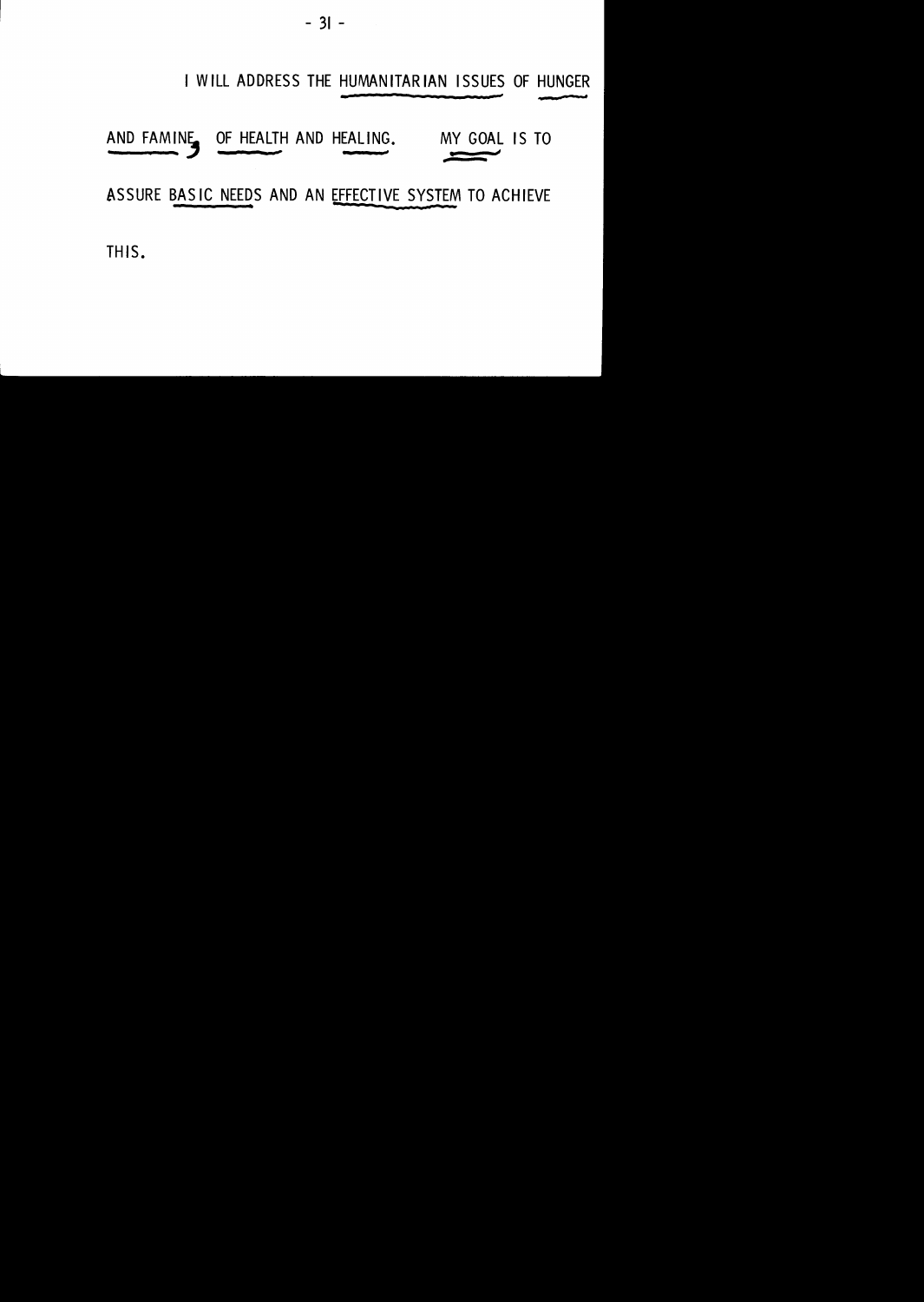$-31 -$ 

#### I WILL ADDRESS THE HUMANITARIAN ISSUES OF HUNGER

#### AND FAMINE OF HEALTH AND HEALING. MY GOAL IS TO

#### ASSURE BASIC NEEDS AND AN EFFECTIVE SYSTEM TO ACHIEVE

THIS.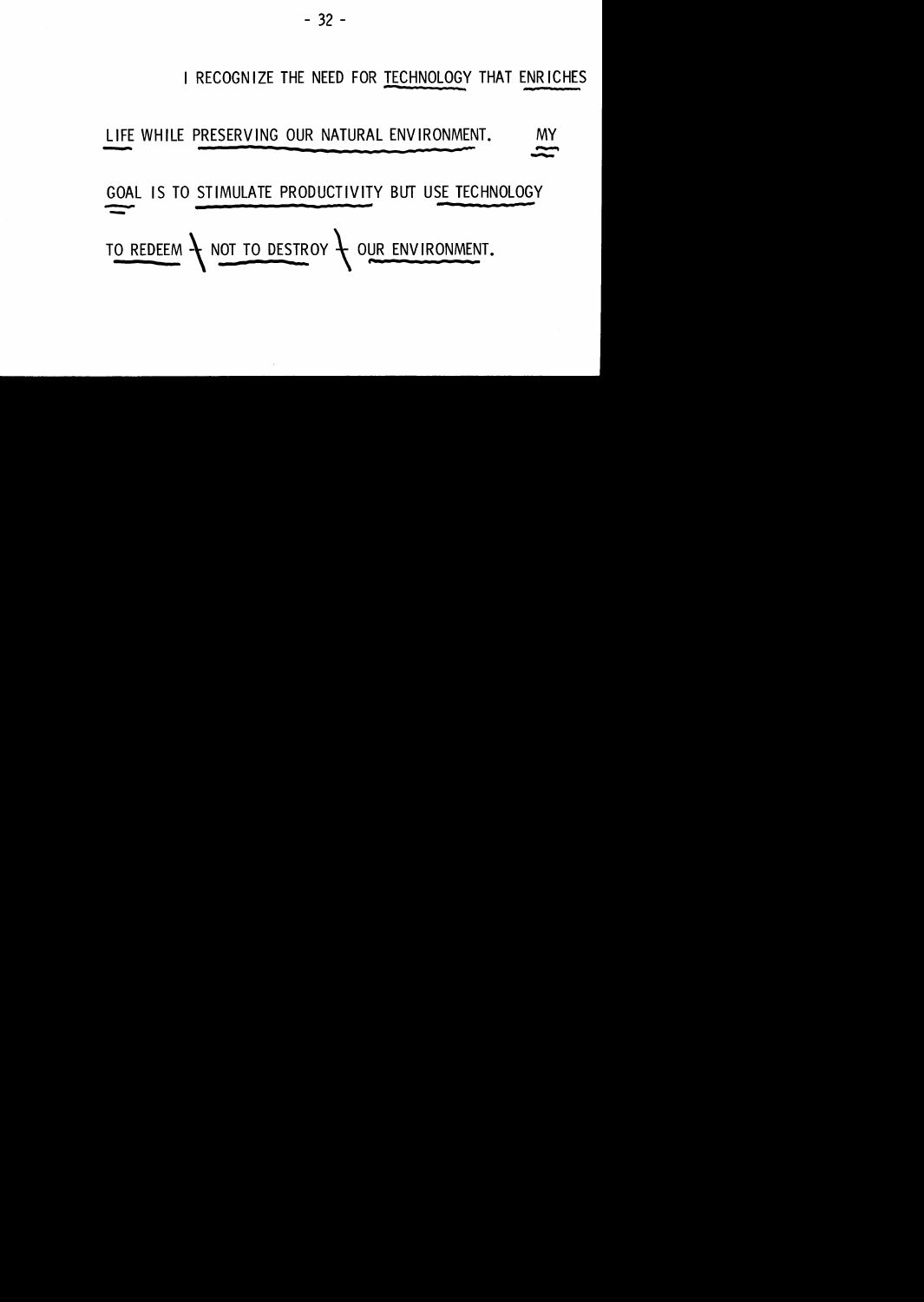#### I RECOGNIZE THE NEED FOR TECHNOLOGY THAT ENRICHES

# LIFE WHILE PRESERVING OUR NATURAL ENVIRONMENT. MY

GOAL IS TO STIMULATE PRODUCTIVITY BUT USE TECHNOLOGY TO REDEEM TO DESTROY TO DESTROY TO UR ENVIRONMENT.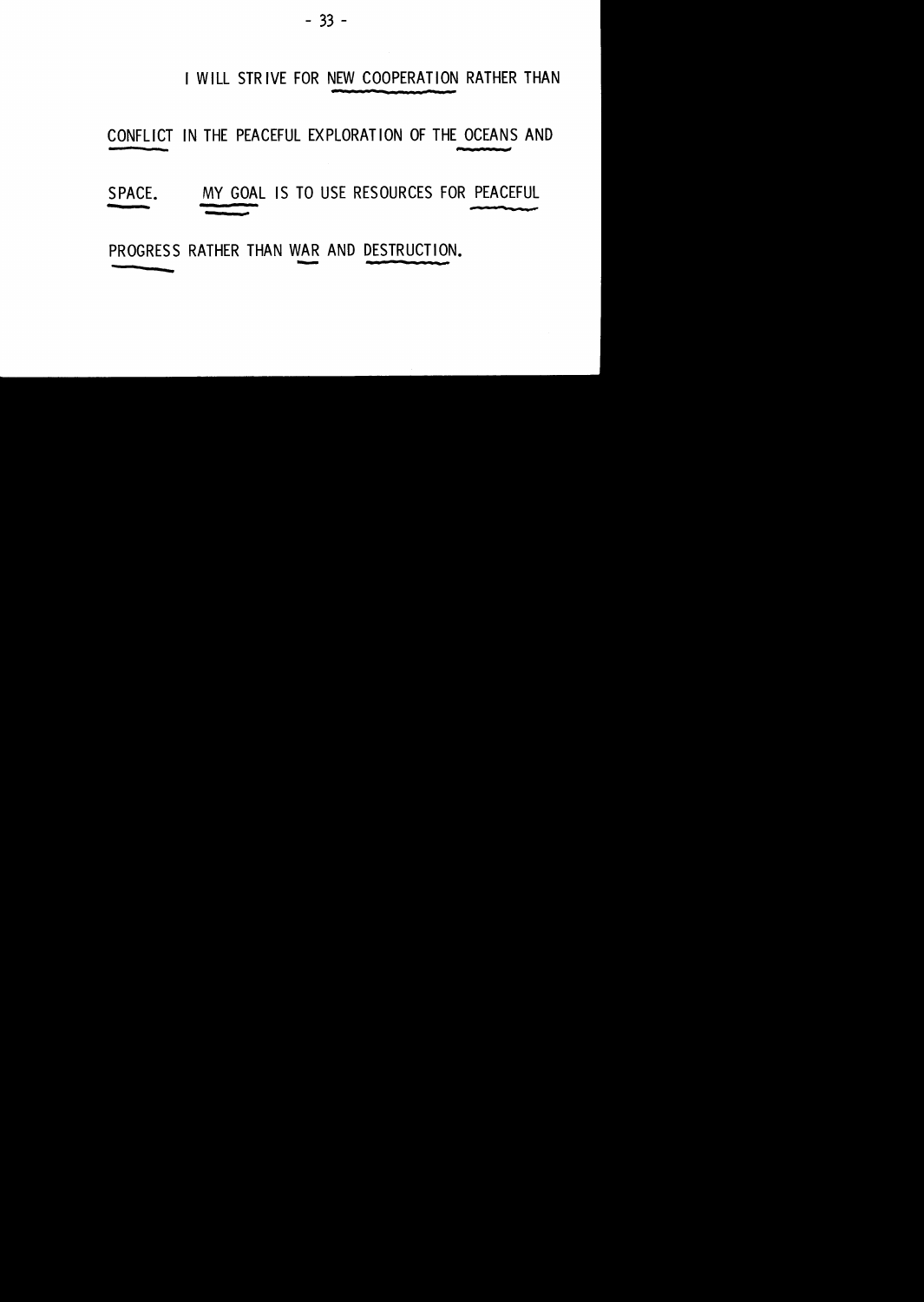#### I WILL STRIVE FOR NEW COOPERATION RATHER THAN

#### CONFLICT IN THE PEACEFUL EXPLORATION OF THE OCEANS AND

# SPACE. MY GOAL IS TO USE RESOURCES FOR PEACEFUL

PROGRESS RATHER THAN WAR AND DESTRUCTION. <u>VAF</u>

and the contract of the contract of the contract of the contract of the contract of the contract of the contract of the contract of the contract of the contract of the contract of the contract of the contract of the contra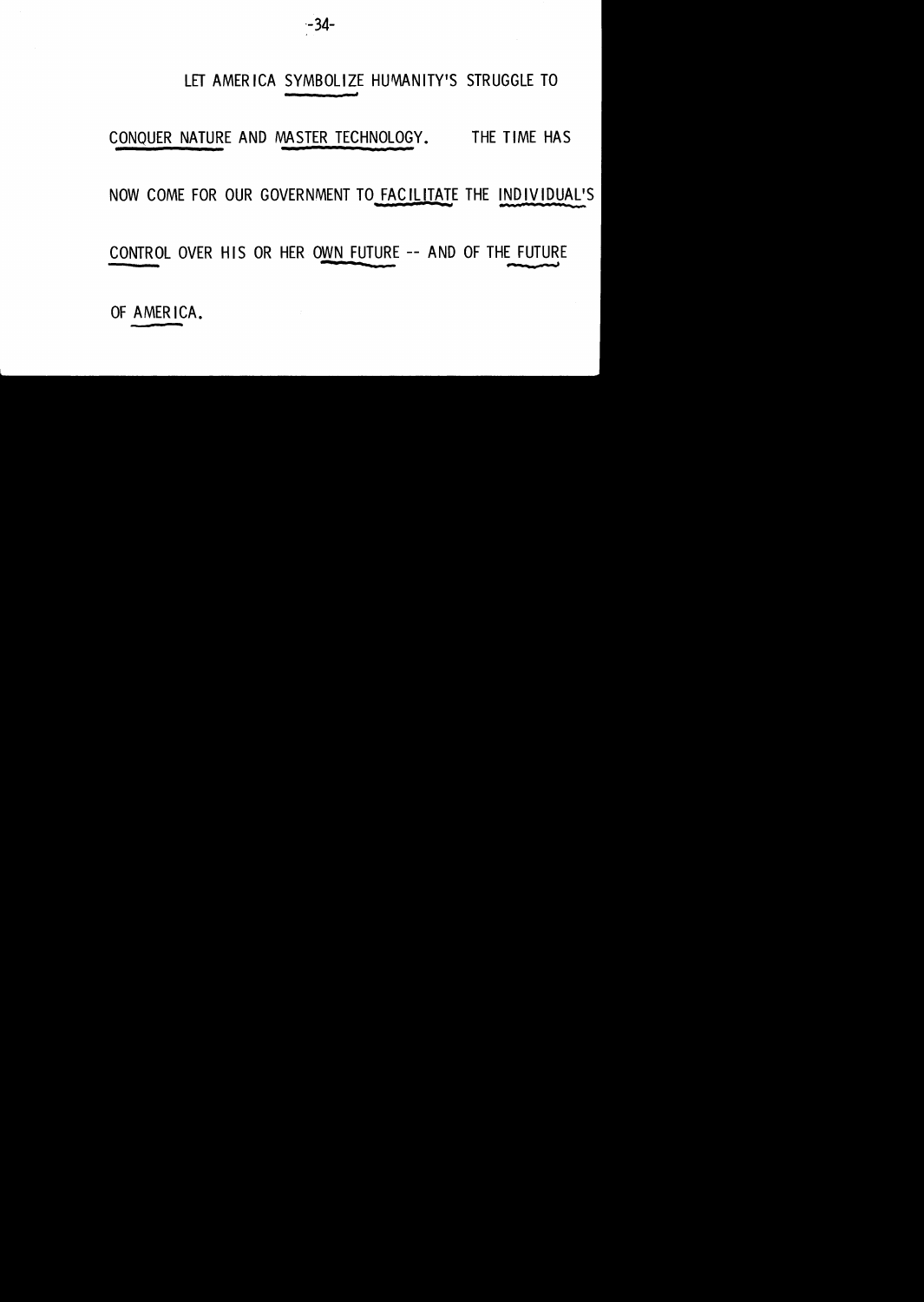

#### LET AMERICA SYMBOLIZE HUMANITY'S STRUGGLE TO

#### CONQUER NATURE AND MASTER TECHNOLOGY. THE TIME HAS

#### NOW COME FOR OUR GOVERNMENT TO FACILITATE THE INDIVIDUAL'S

CONTROL OVER HIS OR HER OWN FUTURE -- AND OF THE FUTURE

OF AMERICA.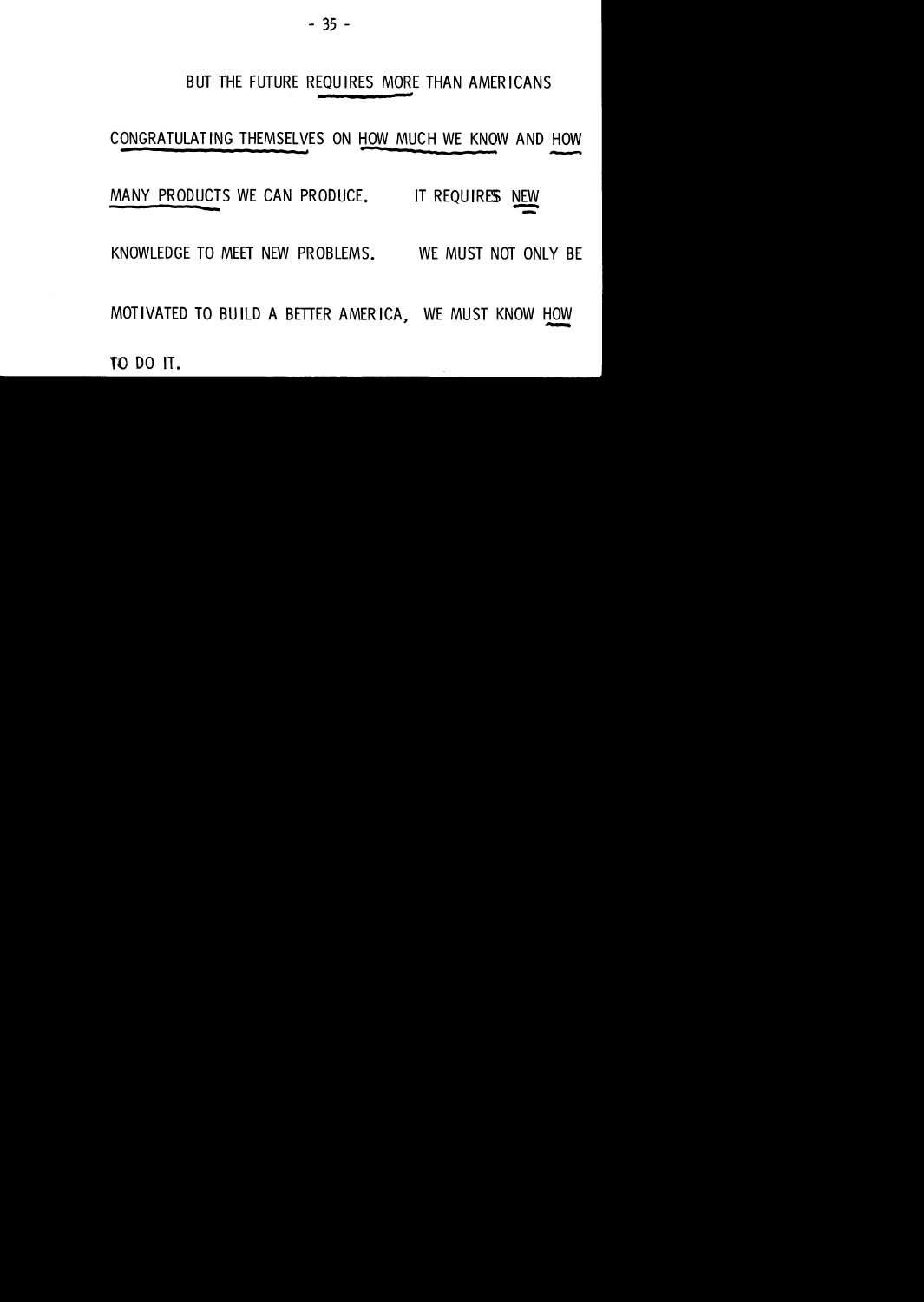#### BUT THE FUTURE REQUIRES MORE THAN AMERICANS

CONGRATULATING THEMSELVES ON HOW MUCH WE KNOW AND HOW HC<br>-<br>-

MANY PRODUCTS WE CAN PRODUCE. IT REQUIRES NEW

KNOWLEDGE TO MEET NEW PROBLEMS. WE MUST NOT ONLY BE

MOTIVATED TO BUILD A BETTER AMERICA, WE MUST KNOW HOW

**College** 

TO DO IT.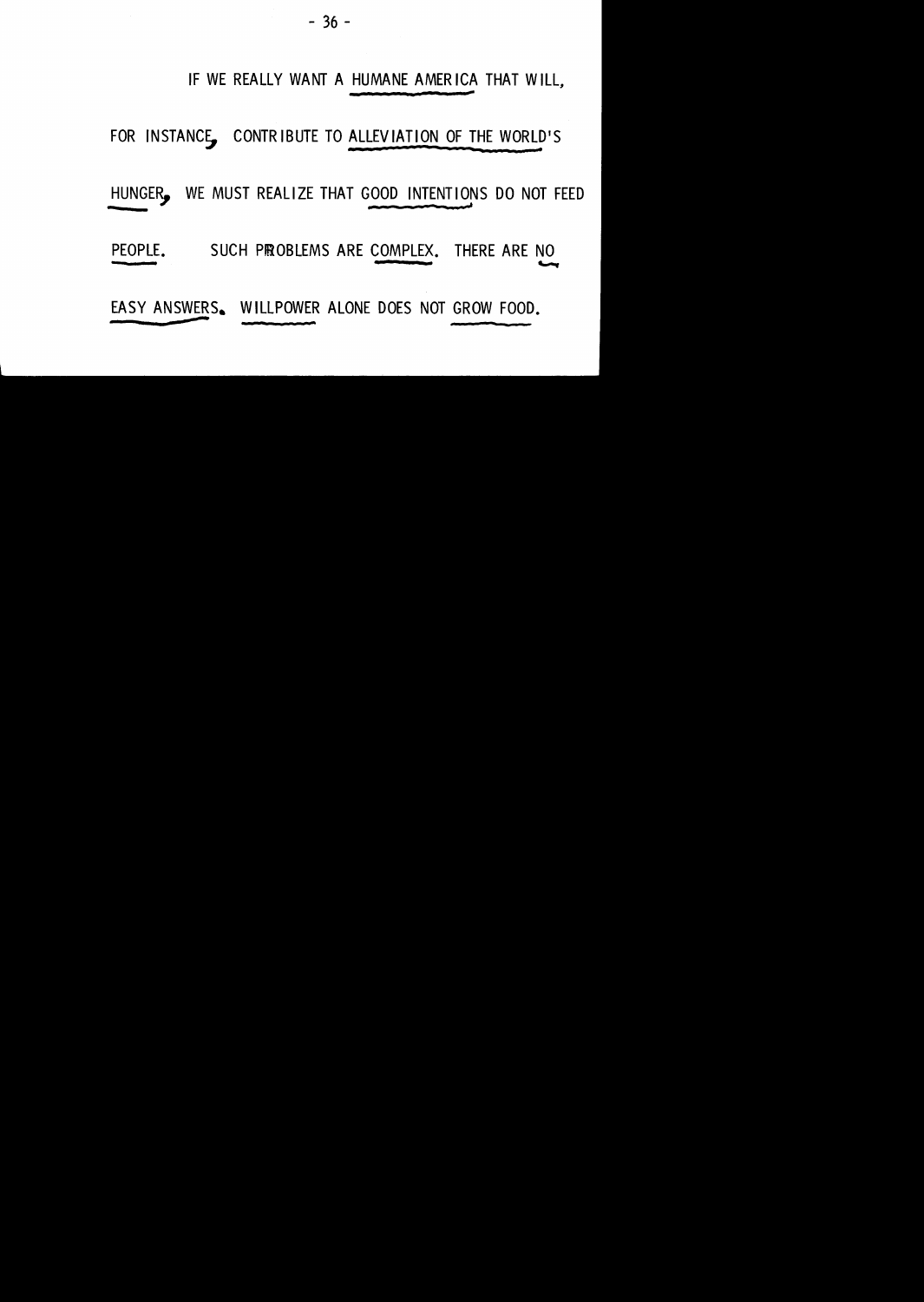#### IF WE REALLY WANT A HUMANE AMERICA THAT WILL,

FOR INSTANC§, CONTRIBUTE TO ALLEVIATION OF THE WORLD'S

HUNGER. WE MUST REALIZE THAT GOOD INTENTIONS DO NOT FEED

PEOPLE. SUCH PROBLEMS ARE COMPLEX. THERE ARE NO -.......,

EASY ANSWERS. WILLPOWER ALONE DOES NOT GROW FOOD.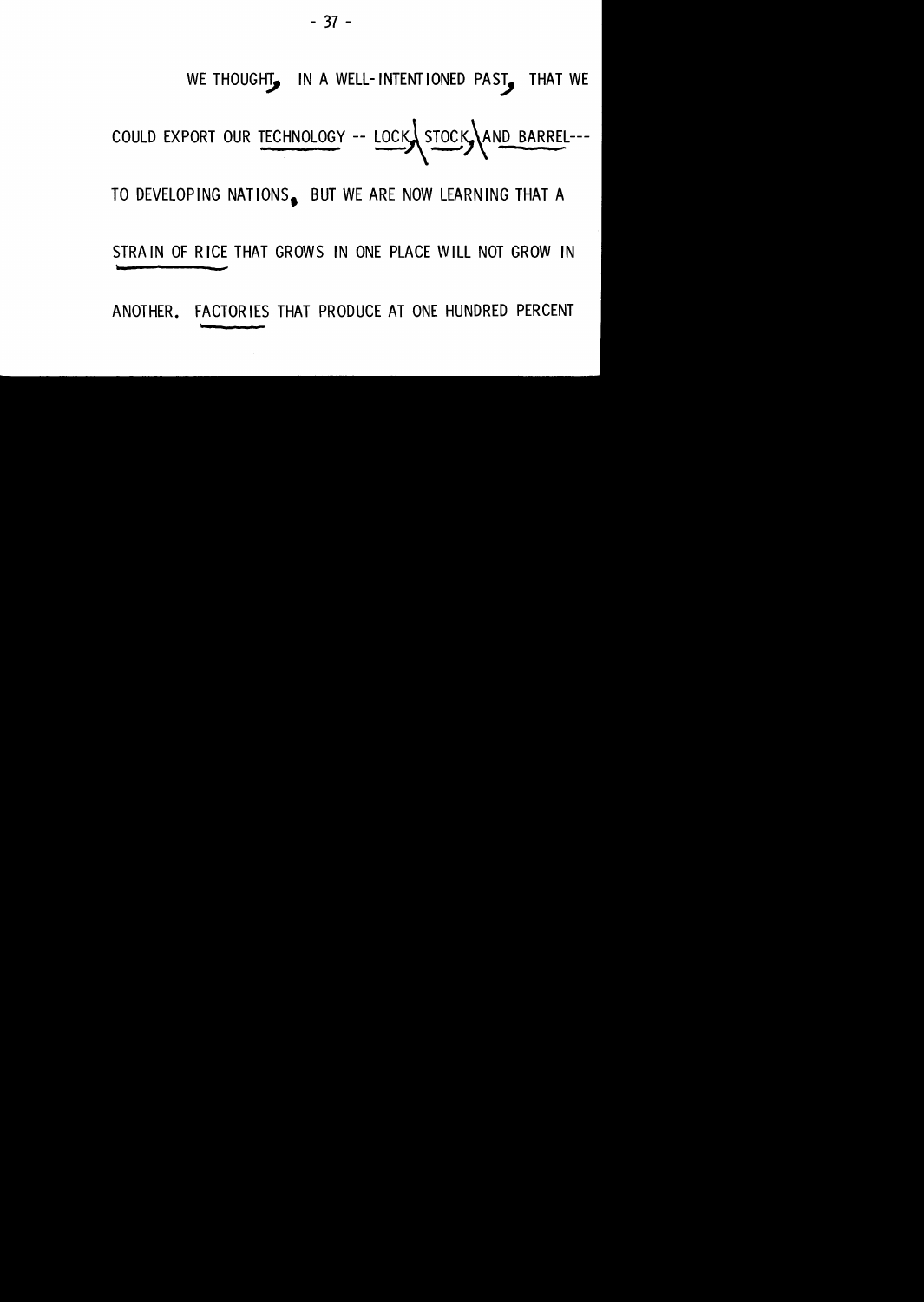WE THOUGHT, IN A WELL-INTENTIONED PAST, THAT WE

COULD EXPORT OUR TECHNOLOGY -- LOCK STOCK AND BARREL---

TO DEVELOPING NATIONS. BUT WE ARE NOW LEARNING THAT A

STRAIN OF RICE THAT GROWS IN ONE PLACE WILL NOT GROW IN

ANOTHER. FACTORIES THAT PRODUCE AT ONE HUNDRED PERCENT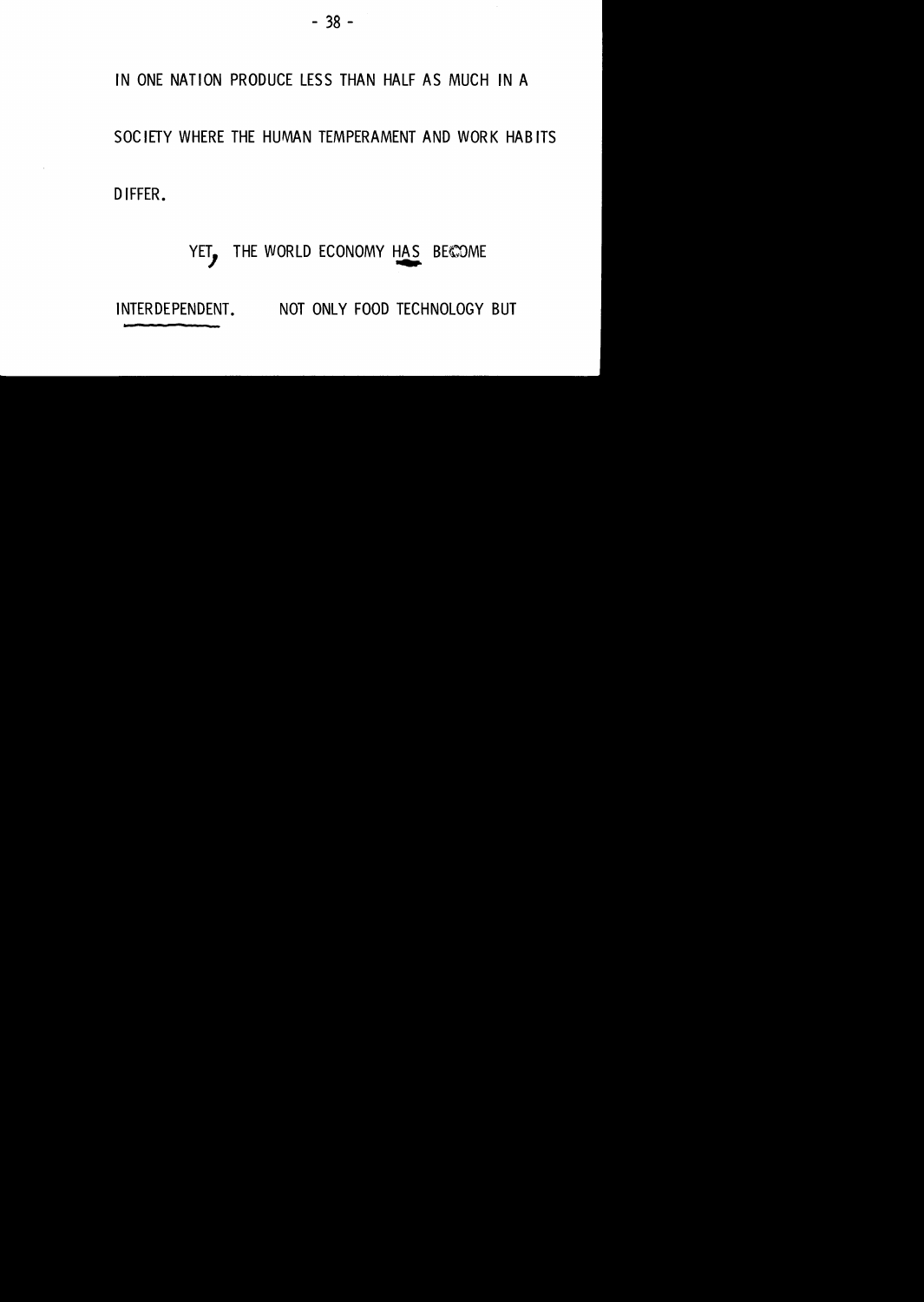#### IN ONE NATION PRODUCE LESS THAN HALF AS MUCH IN A

#### SOCIETY WHERE THE HUMAN TEMPERAMENT AND WORK HABITS

#### DIFFER.

### YET, THE WORLD ECONOMY HAS BECOME

#### INTERDEPENDENT. NOT ONLY FOOD TECHNOLOGY BUT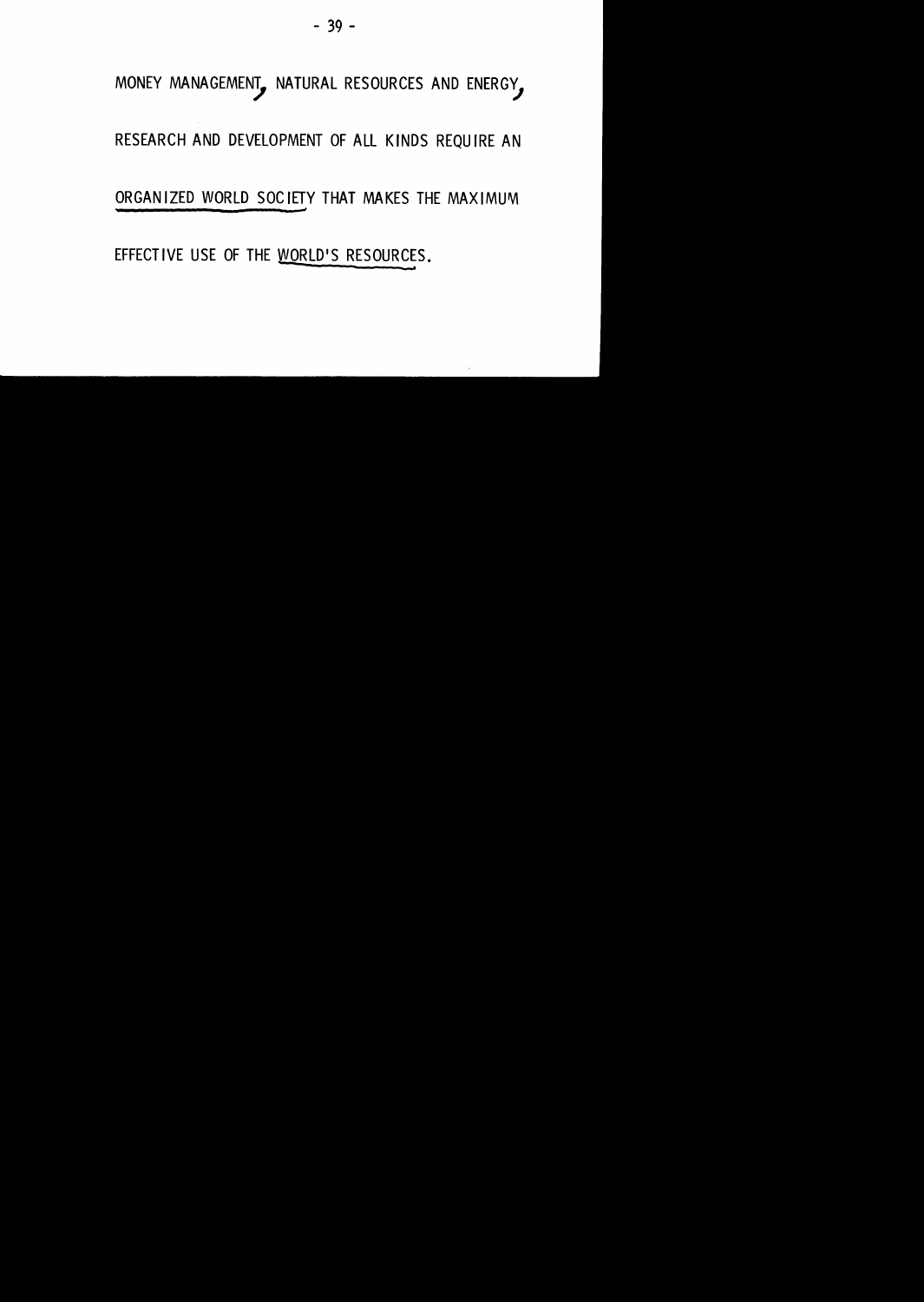### MONEY MANAGEMENT, NATURAL RESOURCES AND ENERGY,

#### RESEARCH AND DEVELOPMENT OF ALL KINDS REQUIRE AN

#### ORGANIZED WORLD SOCIETY THAT MAKES THE MAXIMUM

 $\sim$ 

EFFECTIVE USE OF THE WORLD'S RESOURCES.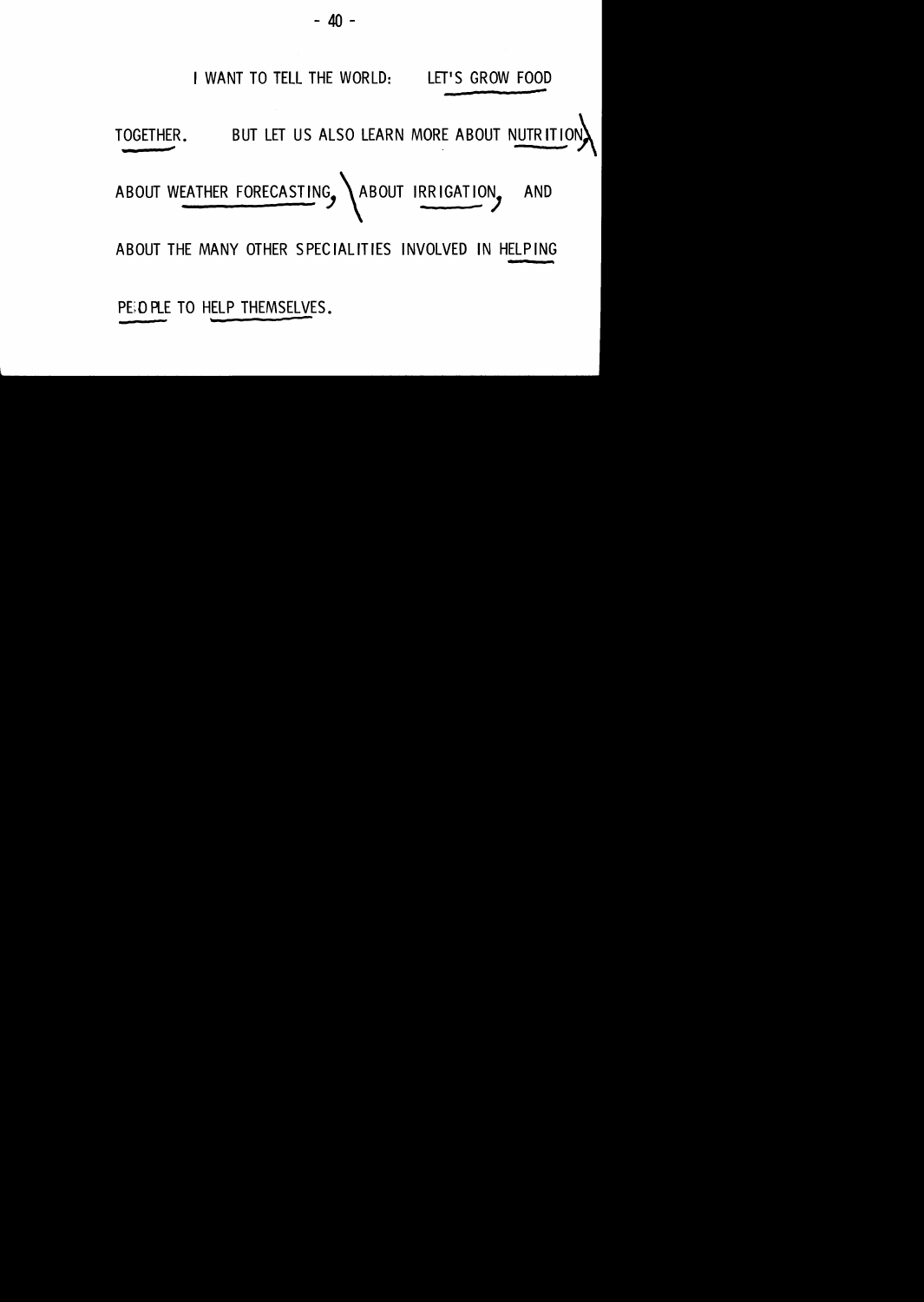

**ABOUT THE MANY OTHER SPECIALITIES INVOLVED IN HELPING** 

PEO PLE TO HELP THEMSELVES.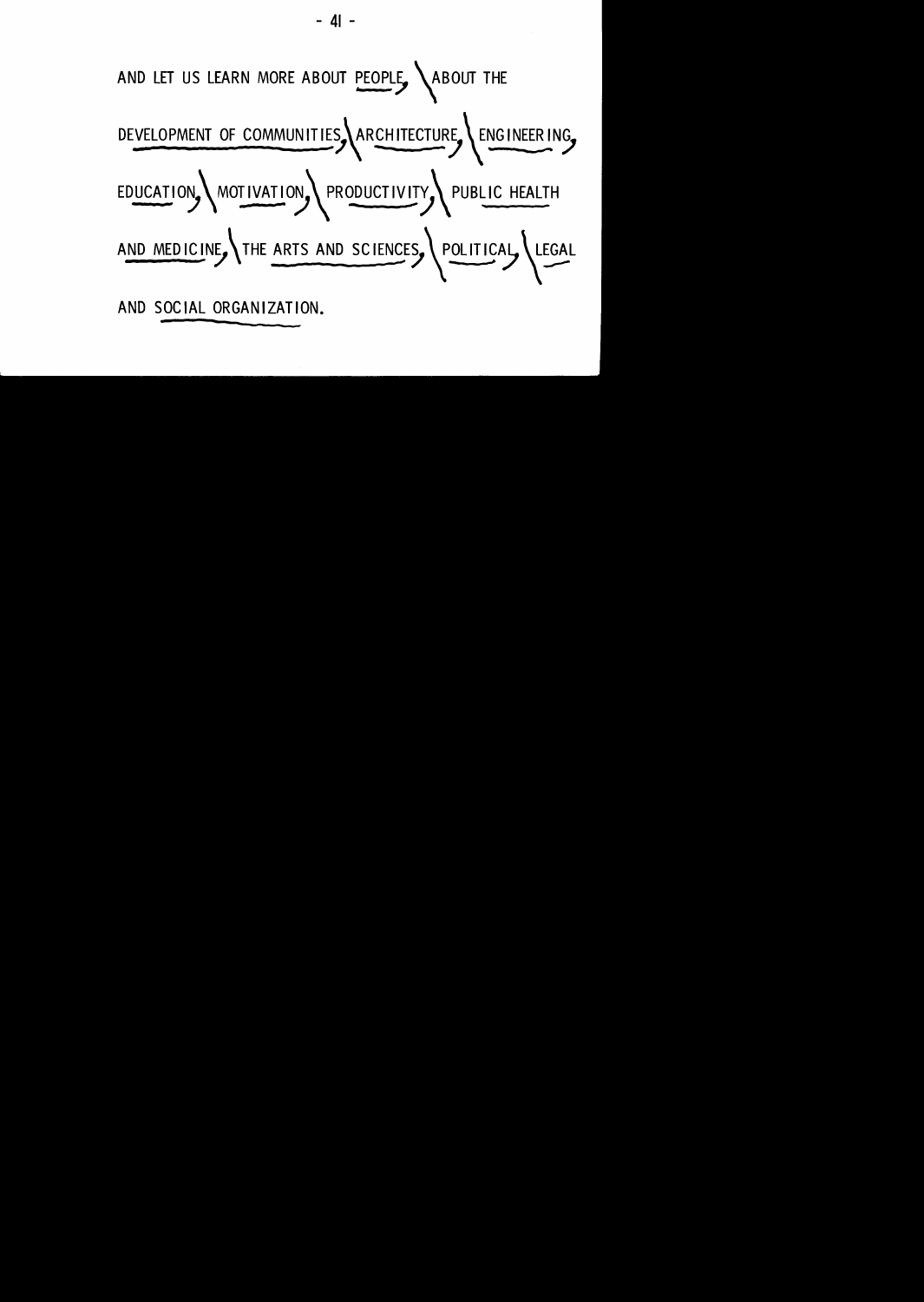

- **<sup>41</sup>**-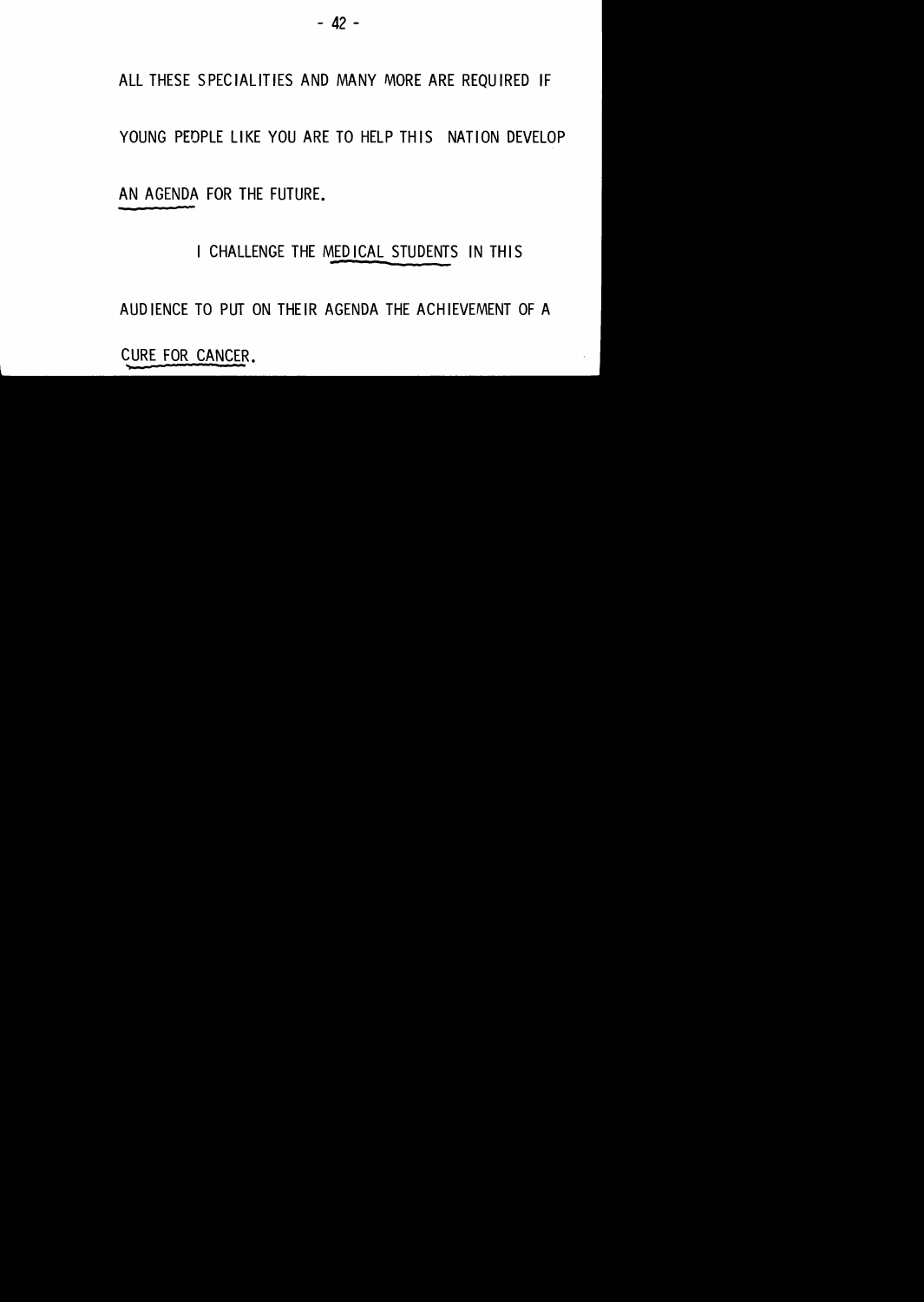#### ALL THESE SPECIALITIES AND MANY MORE ARE REQUIRED IF

#### YOUNG PEOPLE LIKE YOU ARE TO HELP THIS NATION DEVELOP

AN AGENDA FOR THE FUTURE.

#### I CHALLENGE THE MEDICAL STUDENTS IN THIS

AUDIENCE TO PUT ON THEIR AGENDA THE ACHIEVEMENT OF A

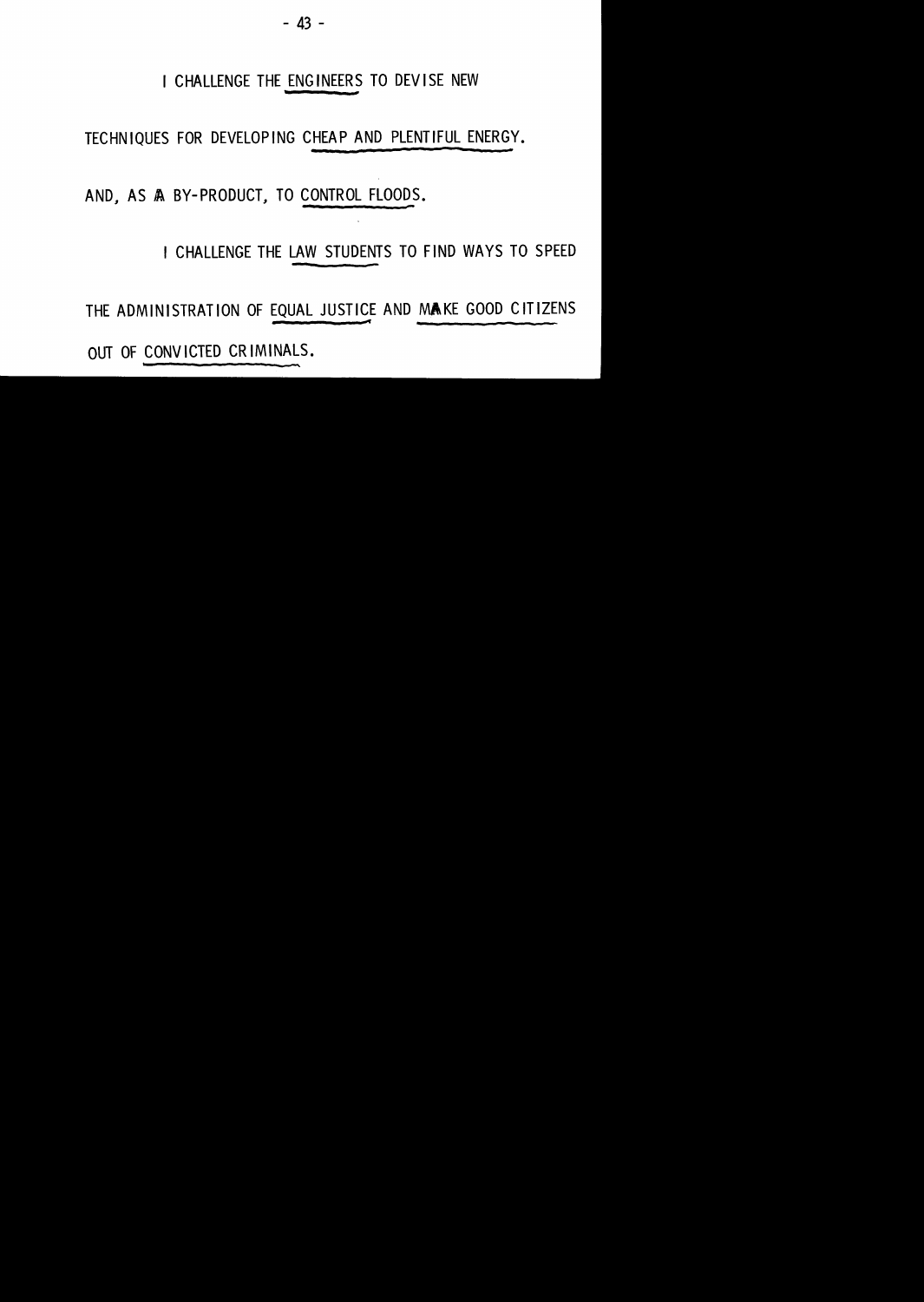#### I CHALLENGE THE ENGINEERS TO DEVISE NEW

TECHNIQUES FOR DEVELOPING CHEAP AND PLENTIFUL ENERGY.

AND. AS A BY-PRODUCT. TO CONTROL FLOODS.

I CHALLENGE THE LAW STUDENTS TO FIND WAYS TO SPEED

THE ADMINISTRATION OF EQUAL JUSTICE AND MAKE GOOD CITIZENS

OUT OF CONVICTED CRIMINALS.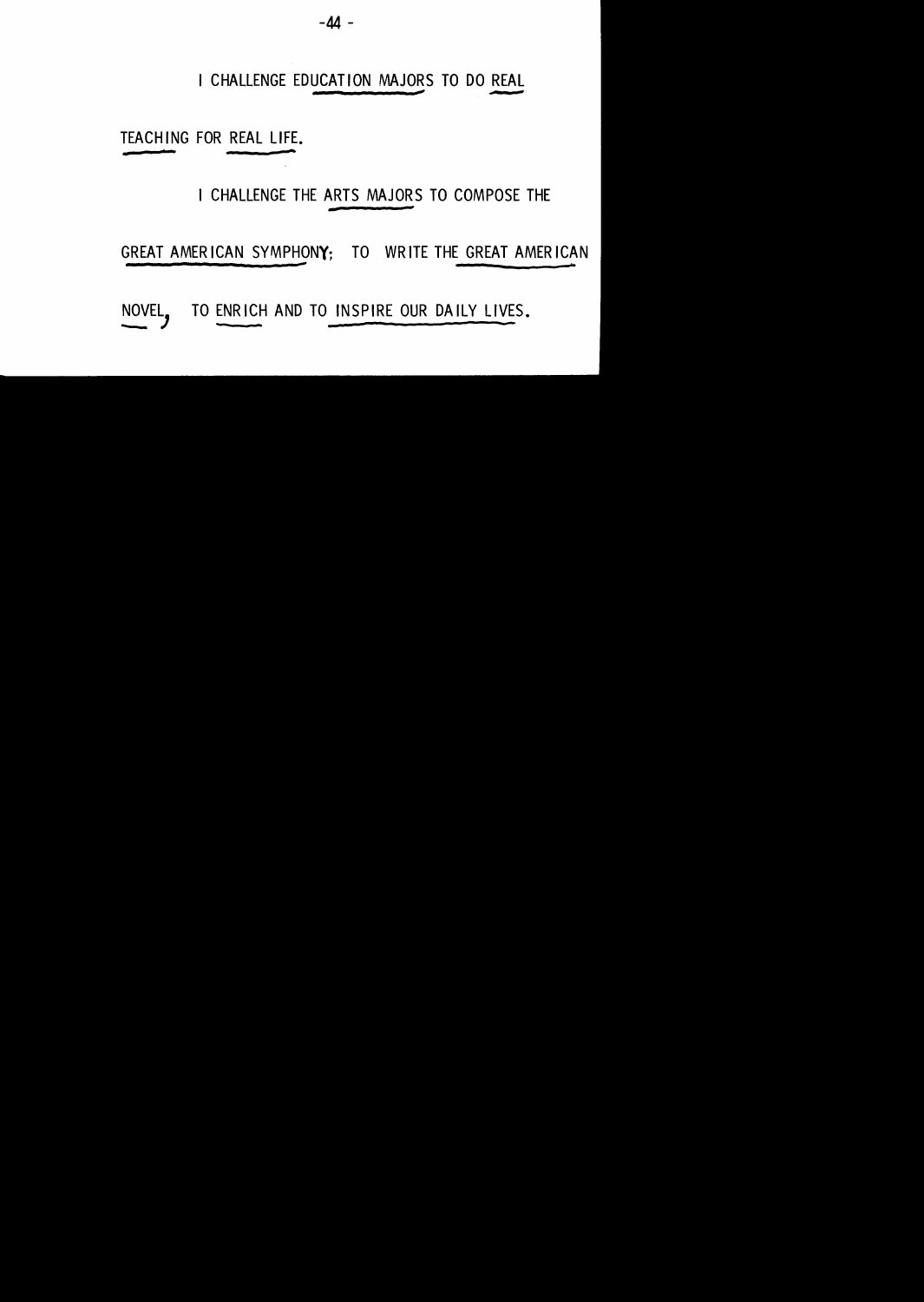#### I CHALLENGE EDUCATION MAJORS TO DO REAL

TEACHING FOR REAL LIFE.

I CHALLENGE THE ARTS MAJORS TO COMPOSE THE

GREAT AMERICAN SYMPHONY; TO WRITE THE GREAT AMERICAN

NOVEL. TO ENRICH AND TO INSPIRE OUR DAILY LIVES.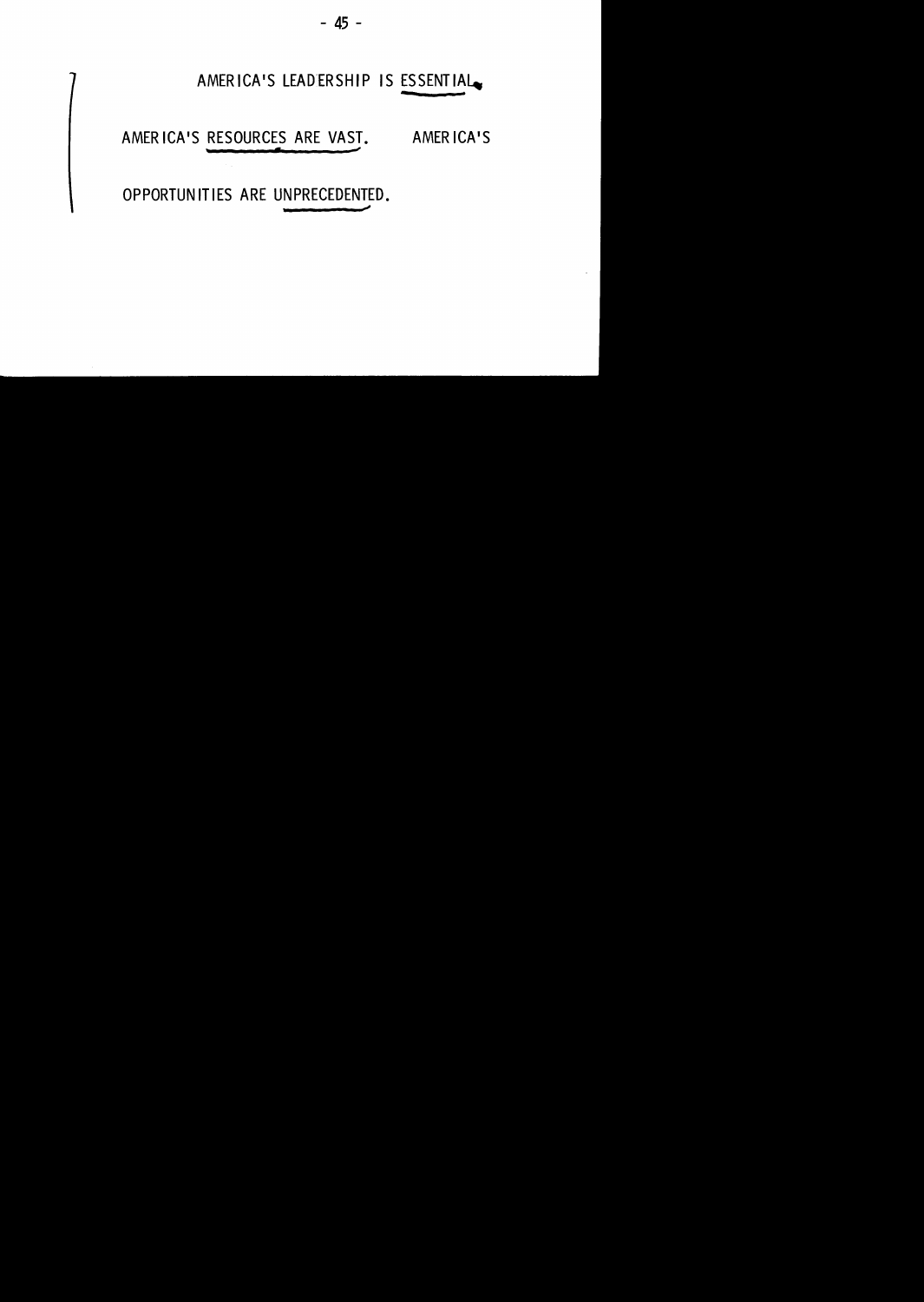

OPPORTUNITIES ARE UNPRECEDENTED.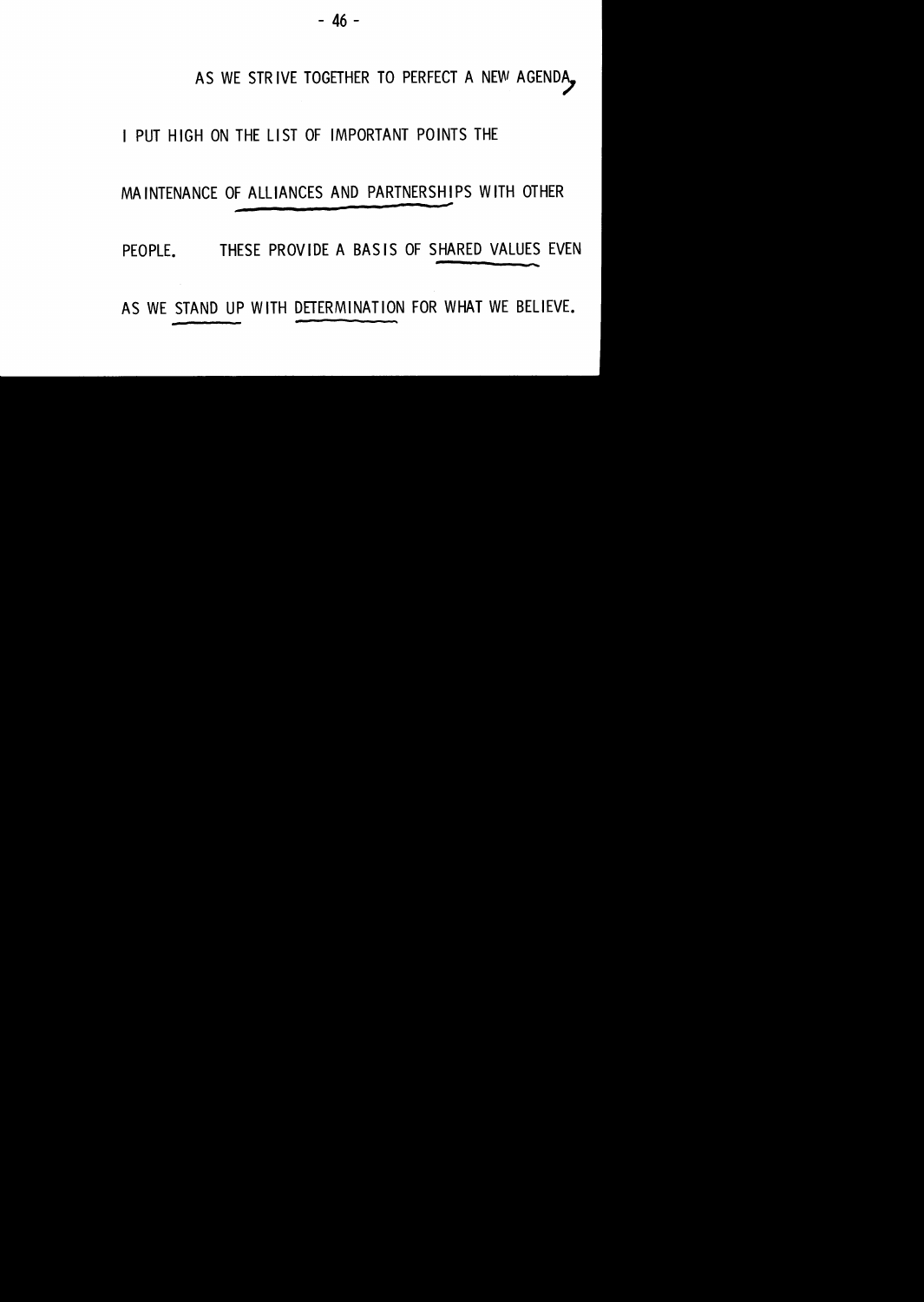#### AS WE STRIVE TOGETHER TO PERFECT A NEW AGENDA,

#### I PUT HIGH ON THE LIST OF IMPORTANT POINTS THE

#### MAINTENANCE OF ALLIANCES AND PARTNERSHIPS WITH OTHER

PEOPLE. THESE PROVIDE A BASIS OF SHARED VALUES EVEN

AS WE STAND UP WITH DETERMINATION FOR WHAT WE BELIEVE.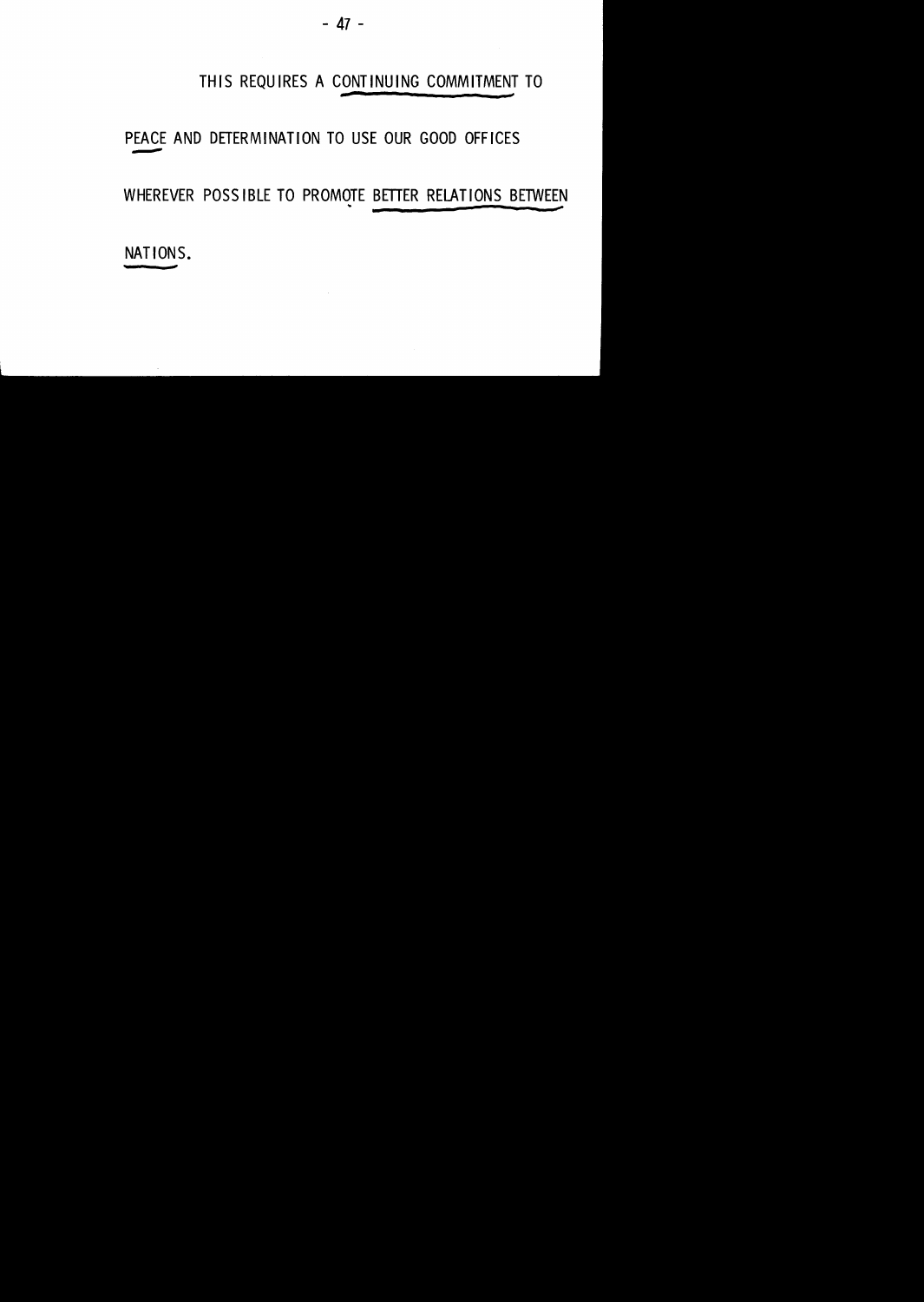#### THIS REQUIRES A CONTINUING COMMITMENT TO

#### PEACE AND DETERMINATION TO USE OUR GOOD OFFICES ----

#### WHEREVER POSSIBLE TO PROMOTE BETTER RELATIONS BETWEEN

NATIONS.

 $\sim$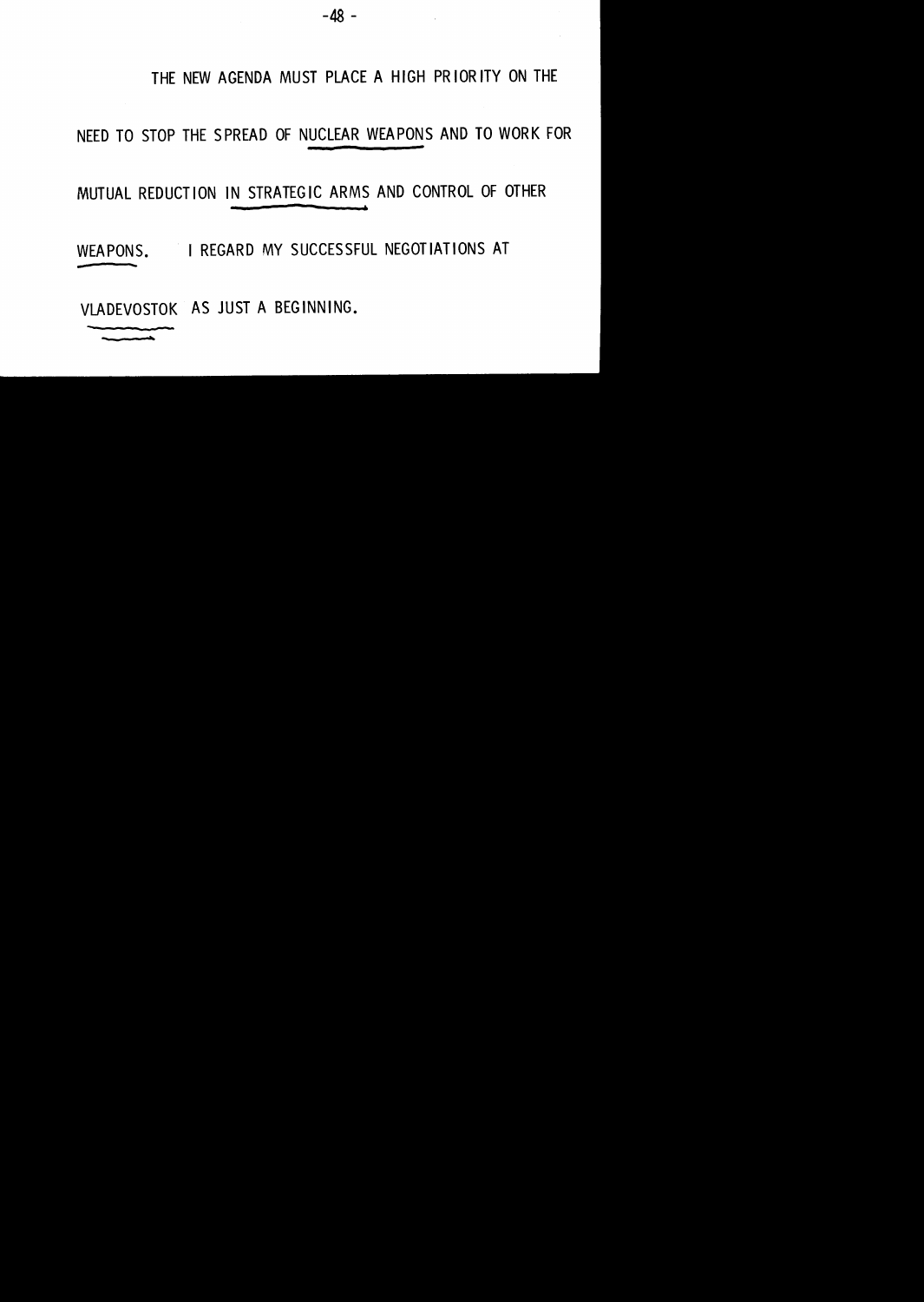#### THE NEW AGENDA MUST PLACE A HIGH PR lOR lTV ON THE

#### NEED TO STOP THE SPREAD OF NUCLEAR WEAPONS AND TO WORK FOR

#### MUTUAL REDUCT ION IN STRATEGIC ARMS AND CONTROL OF OTHER

WEAPONS. I REGARD MY SUCCESSFUL NEGOTIATIONS AT

VLADEVOSTOK AS JUST A BEGINNING.

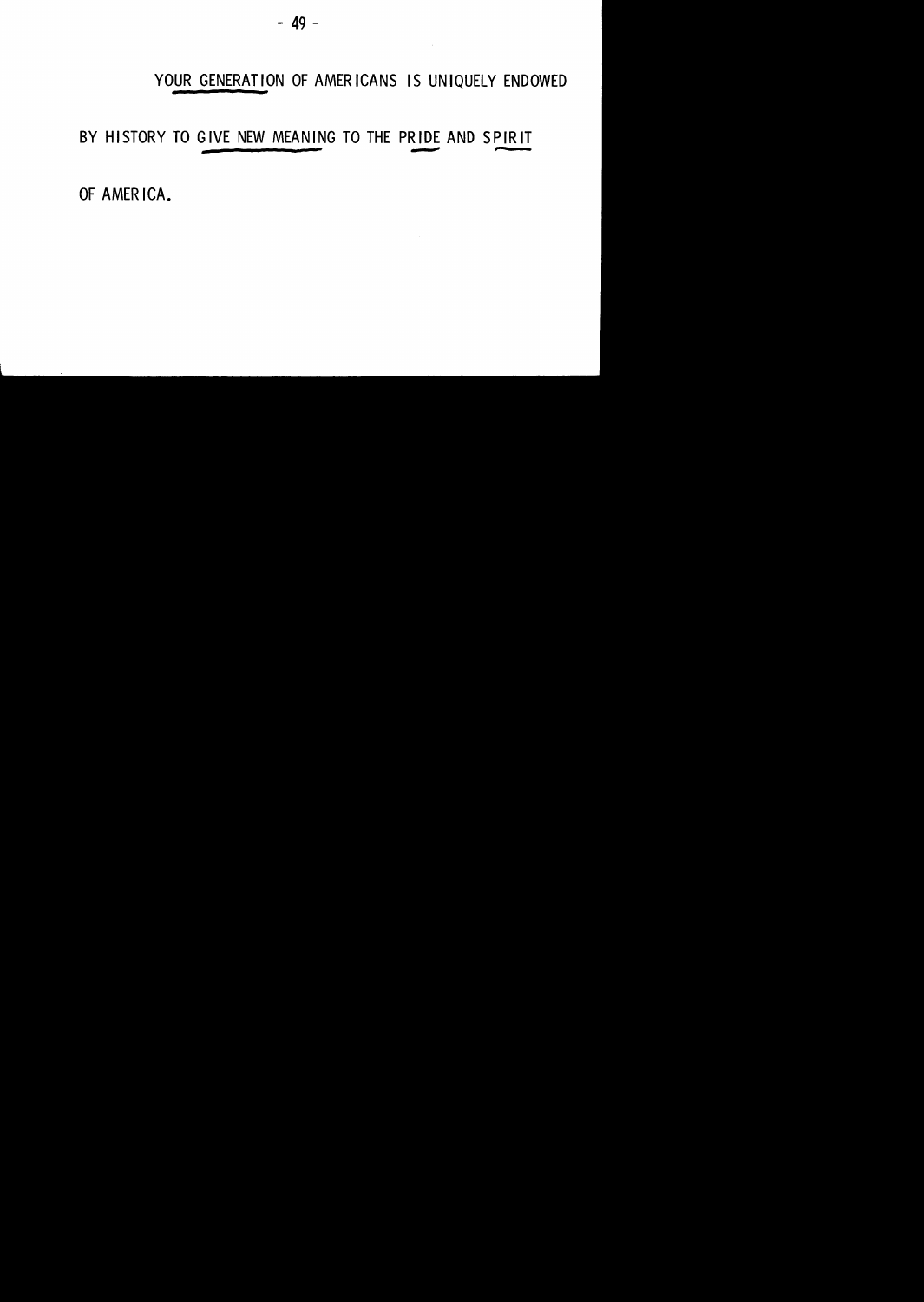#### YOUR GENERATION OF AMERICANS IS UNIQUELY ENDOWED

 $\sim$ 

# BY HISTORY TO GIVE NEW MEANING TO THE PRIDE AND SPIRIT

OF AMERICA.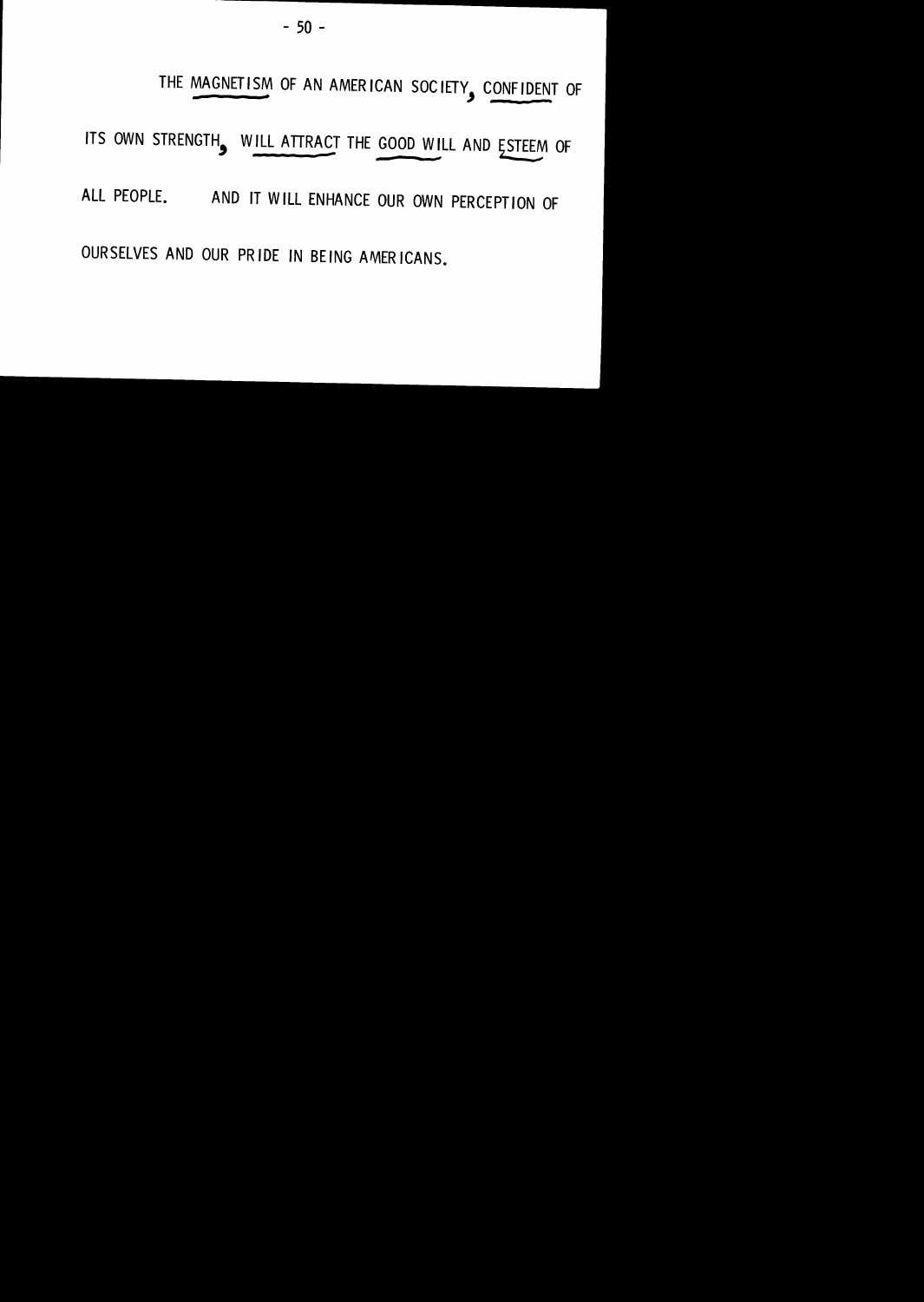THE MAGNETISM OF AN AMERICAN SOCIETY, CONFIDENT OF

ITS OWN STRENGTH, WILL ATTRACT THE GOOD WILL AND ESTEEM OF

ALL PEOPLE. AND IT WILL ENHANCE OUR OWN PERCEPTION OF

OURSELVES AND OUR PRIDE IN BEING AMERICANS.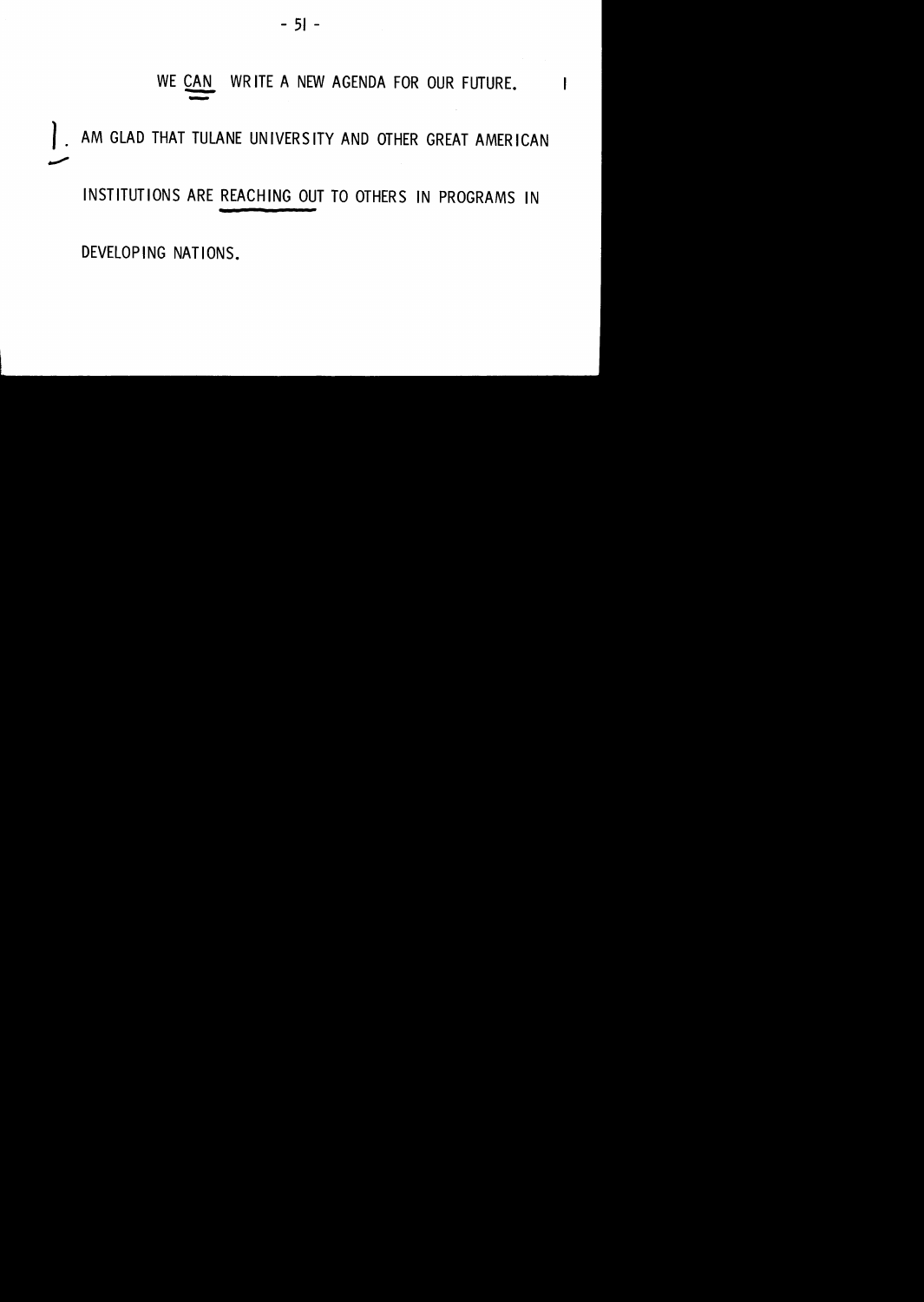#### WRITE A NEW AGENDA FOR OUR FUTURE. WE CAN

AM GLAD THAT TULANE UNIVERSITY AND OTHER GREAT AMERICAN  $\overline{\phantom{a}}$ 

INSTITUTIONS ARE REACHING OUT TO OTHERS IN PROGRAMS IN

DEVELOPING NATIONS.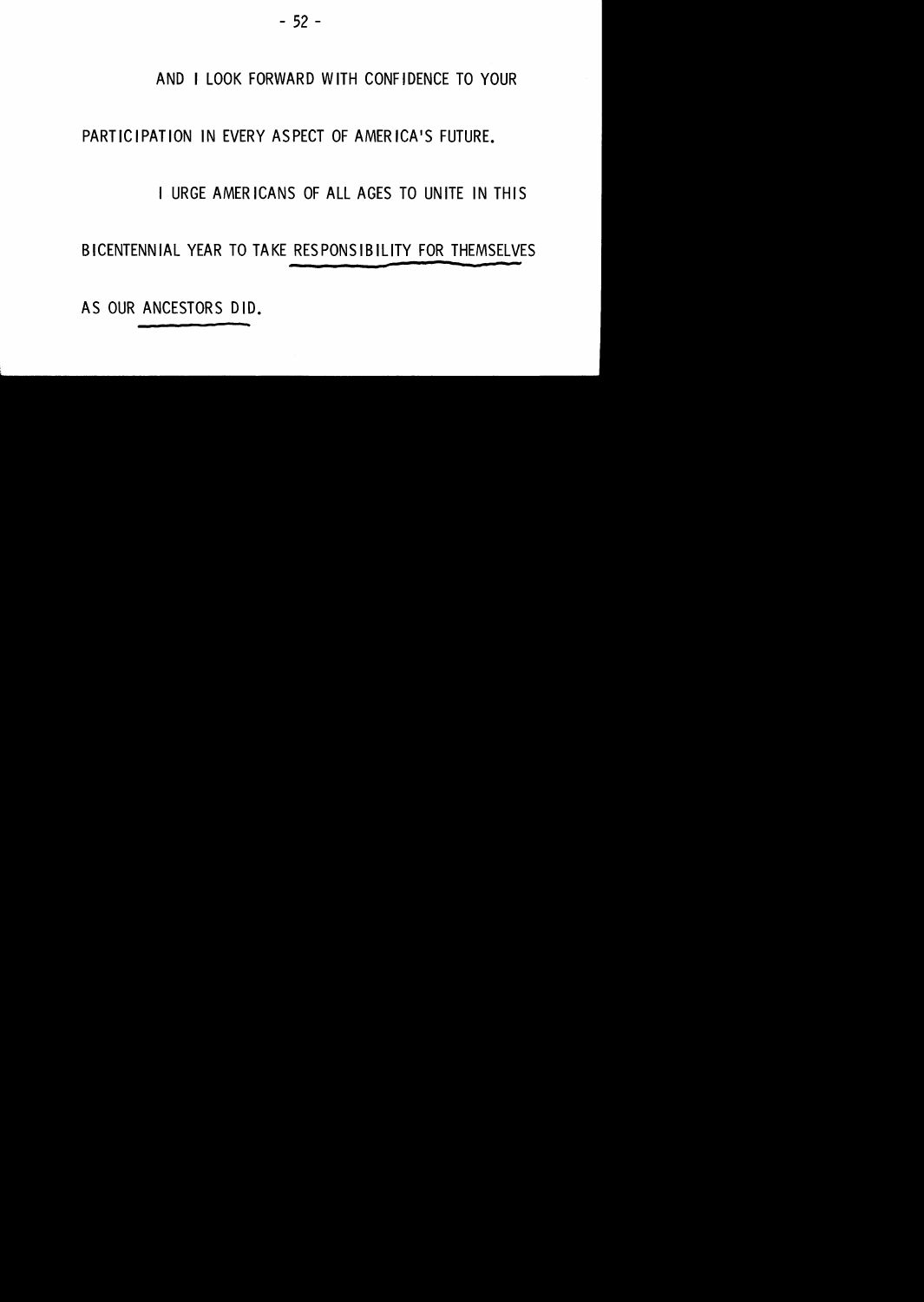#### AND I LOOK FORWARD WITH CONFIDENCE TO YOUR

#### PARTICIPATION IN EVERY ASPECT OF AMERICA'S FUTURE.

#### I URGE AMERICANS OF ALL AGES TO UNITE IN THIS

BICENTENNIAL YEAR TO TAKE RESPONSIBILITY FOR THEMSELVES

AS OUR ANCESTORS DID.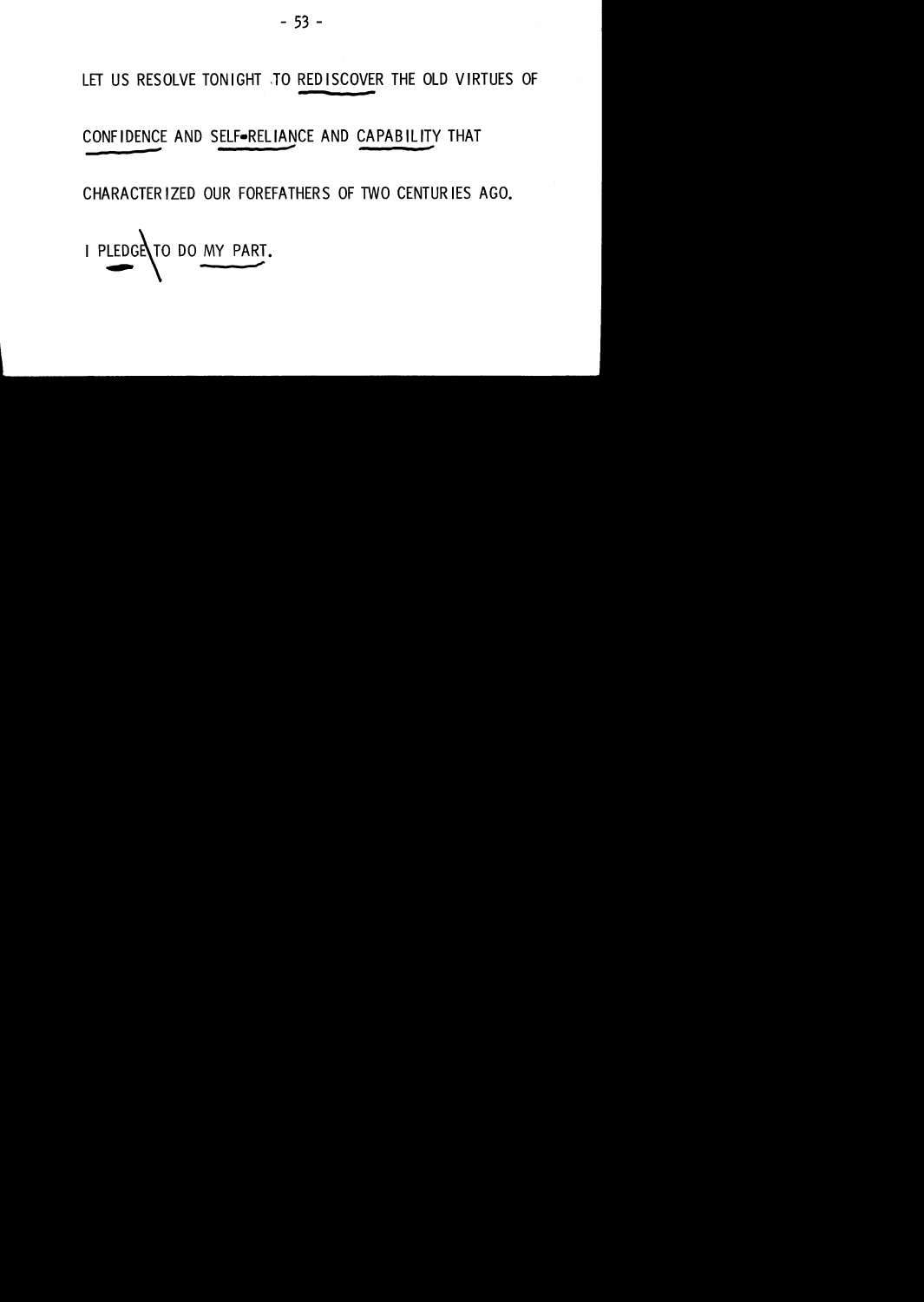LET US RESOLVE TONIGHT JO REDISCOVER THE OLD VIRTUES OF

#### CONFIDENCE AND SELF-RELIANCE AND CAPABILITY THAT

CHARACTER IZED OUR FOREFATHERS OF TWO CENTURIES AGO.

I PLEDGE TO DO MY PART.